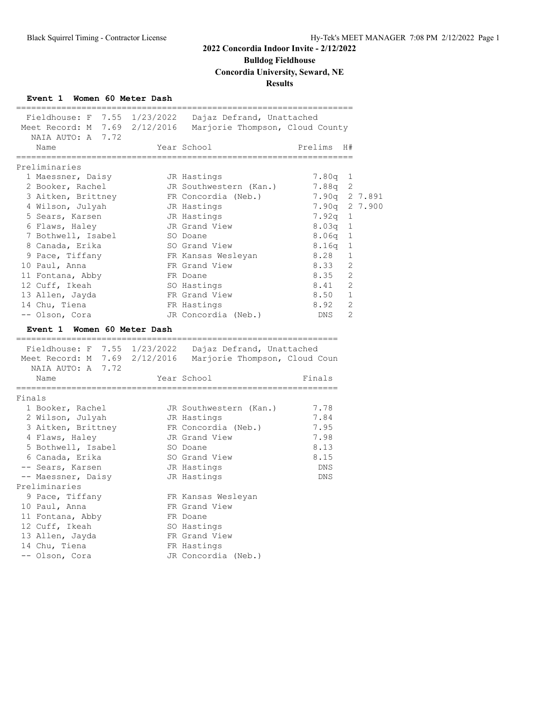**Bulldog Fieldhouse**

**Concordia University, Seward, NE**

## **Results**

## **Event 1 Women 60 Meter Dash**

| Fieldhouse: F 7.55 1/23/2022 Dajaz Defrand, Unattached<br>Meet Record: M 7.69 2/12/2016 Marjorie Thompson, Cloud County<br>NAIA AUTO: A 7.72<br>Year School<br>Prelims H#<br>Name<br>Preliminaries<br>1 Maessner, Daisy<br>$7.80q$ 1<br>JR Hastings<br>2 Booker, Rachel<br>JR Southwestern (Kan.)<br>7.88q 2<br>3 Aitken, Brittney<br>FR Concordia (Neb.)<br>4 Wilson, Julyah<br>JR Hastings<br>5 Sears, Karsen<br>JR Hastings<br>7.92q<br>1<br>6 Flaws, Haley<br>JR Grand View<br>8.03q<br>1<br>7 Bothwell, Isabel<br>8.06q<br>1<br>SO Doane<br>8 Canada, Erika<br>SO Grand View<br>8.16q<br>1<br>9 Pace, Tiffany<br>FR Kansas Wesleyan<br>8.28<br>1<br>FR Grand View<br>8.33<br>2<br>10 Paul, Anna<br>8.35<br>2<br>11 Fontana, Abby<br>FR Doane<br>8.41<br>2<br>12 Cuff, Ikeah<br>SO Hastings<br>8.50<br>1<br>13 Allen, Jayda<br>FR Grand View<br>$\overline{2}$<br>14 Chu, Tiena<br>8.92<br>FR Hastings<br><b>DNS</b><br>2<br>-- Olson, Cora<br>JR Concordia (Neb.)<br>Event 1 Women 60 Meter Dash<br>Fieldhouse: F 7.55 1/23/2022 Dajaz Defrand, Unattached<br>Meet Record: M 7.69 2/12/2016 Marjorie Thompson, Cloud Coun<br>NAIA AUTO: A 7.72<br>Year School<br>Finals<br>Name<br>---------------------<br>Finals<br>1 Booker, Rachel<br>7.78<br>JR Southwestern (Kan.)<br>7.84<br>2 Wilson, Julyah<br>JR Hastings<br>3 Aitken, Brittney<br>FR Concordia (Neb.)<br>7.95<br>7.98<br>4 Flaws, Haley<br>JR Grand View<br>8.13<br>5 Bothwell, Isabel<br>SO Doane<br>6 Canada, Erika<br>SO Grand View<br>8.15<br>-- Sears, Karsen<br>JR Hastings<br>DNS<br>-- Maessner, Daisy<br>JR Hastings<br>DNS<br>Preliminaries<br>9 Pace, Tiffany<br>FR Kansas Wesleyan<br>10 Paul, Anna<br>FR Grand View |
|--------------------------------------------------------------------------------------------------------------------------------------------------------------------------------------------------------------------------------------------------------------------------------------------------------------------------------------------------------------------------------------------------------------------------------------------------------------------------------------------------------------------------------------------------------------------------------------------------------------------------------------------------------------------------------------------------------------------------------------------------------------------------------------------------------------------------------------------------------------------------------------------------------------------------------------------------------------------------------------------------------------------------------------------------------------------------------------------------------------------------------------------------------------------------------------------------------------------------------------------------------------------------------------------------------------------------------------------------------------------------------------------------------------------------------------------------------------------------------------------------------------------------------------------------------------------------------------------------------------------------------------------------------------------------------------------------|
|                                                                                                                                                                                                                                                                                                                                                                                                                                                                                                                                                                                                                                                                                                                                                                                                                                                                                                                                                                                                                                                                                                                                                                                                                                                                                                                                                                                                                                                                                                                                                                                                                                                                                                  |
|                                                                                                                                                                                                                                                                                                                                                                                                                                                                                                                                                                                                                                                                                                                                                                                                                                                                                                                                                                                                                                                                                                                                                                                                                                                                                                                                                                                                                                                                                                                                                                                                                                                                                                  |
|                                                                                                                                                                                                                                                                                                                                                                                                                                                                                                                                                                                                                                                                                                                                                                                                                                                                                                                                                                                                                                                                                                                                                                                                                                                                                                                                                                                                                                                                                                                                                                                                                                                                                                  |
|                                                                                                                                                                                                                                                                                                                                                                                                                                                                                                                                                                                                                                                                                                                                                                                                                                                                                                                                                                                                                                                                                                                                                                                                                                                                                                                                                                                                                                                                                                                                                                                                                                                                                                  |
|                                                                                                                                                                                                                                                                                                                                                                                                                                                                                                                                                                                                                                                                                                                                                                                                                                                                                                                                                                                                                                                                                                                                                                                                                                                                                                                                                                                                                                                                                                                                                                                                                                                                                                  |
|                                                                                                                                                                                                                                                                                                                                                                                                                                                                                                                                                                                                                                                                                                                                                                                                                                                                                                                                                                                                                                                                                                                                                                                                                                                                                                                                                                                                                                                                                                                                                                                                                                                                                                  |
| 7.90q 2 7.891<br>7.90q 2 7.900                                                                                                                                                                                                                                                                                                                                                                                                                                                                                                                                                                                                                                                                                                                                                                                                                                                                                                                                                                                                                                                                                                                                                                                                                                                                                                                                                                                                                                                                                                                                                                                                                                                                   |
|                                                                                                                                                                                                                                                                                                                                                                                                                                                                                                                                                                                                                                                                                                                                                                                                                                                                                                                                                                                                                                                                                                                                                                                                                                                                                                                                                                                                                                                                                                                                                                                                                                                                                                  |
|                                                                                                                                                                                                                                                                                                                                                                                                                                                                                                                                                                                                                                                                                                                                                                                                                                                                                                                                                                                                                                                                                                                                                                                                                                                                                                                                                                                                                                                                                                                                                                                                                                                                                                  |
|                                                                                                                                                                                                                                                                                                                                                                                                                                                                                                                                                                                                                                                                                                                                                                                                                                                                                                                                                                                                                                                                                                                                                                                                                                                                                                                                                                                                                                                                                                                                                                                                                                                                                                  |
|                                                                                                                                                                                                                                                                                                                                                                                                                                                                                                                                                                                                                                                                                                                                                                                                                                                                                                                                                                                                                                                                                                                                                                                                                                                                                                                                                                                                                                                                                                                                                                                                                                                                                                  |
|                                                                                                                                                                                                                                                                                                                                                                                                                                                                                                                                                                                                                                                                                                                                                                                                                                                                                                                                                                                                                                                                                                                                                                                                                                                                                                                                                                                                                                                                                                                                                                                                                                                                                                  |
|                                                                                                                                                                                                                                                                                                                                                                                                                                                                                                                                                                                                                                                                                                                                                                                                                                                                                                                                                                                                                                                                                                                                                                                                                                                                                                                                                                                                                                                                                                                                                                                                                                                                                                  |
|                                                                                                                                                                                                                                                                                                                                                                                                                                                                                                                                                                                                                                                                                                                                                                                                                                                                                                                                                                                                                                                                                                                                                                                                                                                                                                                                                                                                                                                                                                                                                                                                                                                                                                  |
|                                                                                                                                                                                                                                                                                                                                                                                                                                                                                                                                                                                                                                                                                                                                                                                                                                                                                                                                                                                                                                                                                                                                                                                                                                                                                                                                                                                                                                                                                                                                                                                                                                                                                                  |
|                                                                                                                                                                                                                                                                                                                                                                                                                                                                                                                                                                                                                                                                                                                                                                                                                                                                                                                                                                                                                                                                                                                                                                                                                                                                                                                                                                                                                                                                                                                                                                                                                                                                                                  |
|                                                                                                                                                                                                                                                                                                                                                                                                                                                                                                                                                                                                                                                                                                                                                                                                                                                                                                                                                                                                                                                                                                                                                                                                                                                                                                                                                                                                                                                                                                                                                                                                                                                                                                  |
|                                                                                                                                                                                                                                                                                                                                                                                                                                                                                                                                                                                                                                                                                                                                                                                                                                                                                                                                                                                                                                                                                                                                                                                                                                                                                                                                                                                                                                                                                                                                                                                                                                                                                                  |
|                                                                                                                                                                                                                                                                                                                                                                                                                                                                                                                                                                                                                                                                                                                                                                                                                                                                                                                                                                                                                                                                                                                                                                                                                                                                                                                                                                                                                                                                                                                                                                                                                                                                                                  |
|                                                                                                                                                                                                                                                                                                                                                                                                                                                                                                                                                                                                                                                                                                                                                                                                                                                                                                                                                                                                                                                                                                                                                                                                                                                                                                                                                                                                                                                                                                                                                                                                                                                                                                  |
|                                                                                                                                                                                                                                                                                                                                                                                                                                                                                                                                                                                                                                                                                                                                                                                                                                                                                                                                                                                                                                                                                                                                                                                                                                                                                                                                                                                                                                                                                                                                                                                                                                                                                                  |
|                                                                                                                                                                                                                                                                                                                                                                                                                                                                                                                                                                                                                                                                                                                                                                                                                                                                                                                                                                                                                                                                                                                                                                                                                                                                                                                                                                                                                                                                                                                                                                                                                                                                                                  |
|                                                                                                                                                                                                                                                                                                                                                                                                                                                                                                                                                                                                                                                                                                                                                                                                                                                                                                                                                                                                                                                                                                                                                                                                                                                                                                                                                                                                                                                                                                                                                                                                                                                                                                  |
|                                                                                                                                                                                                                                                                                                                                                                                                                                                                                                                                                                                                                                                                                                                                                                                                                                                                                                                                                                                                                                                                                                                                                                                                                                                                                                                                                                                                                                                                                                                                                                                                                                                                                                  |
|                                                                                                                                                                                                                                                                                                                                                                                                                                                                                                                                                                                                                                                                                                                                                                                                                                                                                                                                                                                                                                                                                                                                                                                                                                                                                                                                                                                                                                                                                                                                                                                                                                                                                                  |
|                                                                                                                                                                                                                                                                                                                                                                                                                                                                                                                                                                                                                                                                                                                                                                                                                                                                                                                                                                                                                                                                                                                                                                                                                                                                                                                                                                                                                                                                                                                                                                                                                                                                                                  |
|                                                                                                                                                                                                                                                                                                                                                                                                                                                                                                                                                                                                                                                                                                                                                                                                                                                                                                                                                                                                                                                                                                                                                                                                                                                                                                                                                                                                                                                                                                                                                                                                                                                                                                  |
|                                                                                                                                                                                                                                                                                                                                                                                                                                                                                                                                                                                                                                                                                                                                                                                                                                                                                                                                                                                                                                                                                                                                                                                                                                                                                                                                                                                                                                                                                                                                                                                                                                                                                                  |
|                                                                                                                                                                                                                                                                                                                                                                                                                                                                                                                                                                                                                                                                                                                                                                                                                                                                                                                                                                                                                                                                                                                                                                                                                                                                                                                                                                                                                                                                                                                                                                                                                                                                                                  |
|                                                                                                                                                                                                                                                                                                                                                                                                                                                                                                                                                                                                                                                                                                                                                                                                                                                                                                                                                                                                                                                                                                                                                                                                                                                                                                                                                                                                                                                                                                                                                                                                                                                                                                  |
|                                                                                                                                                                                                                                                                                                                                                                                                                                                                                                                                                                                                                                                                                                                                                                                                                                                                                                                                                                                                                                                                                                                                                                                                                                                                                                                                                                                                                                                                                                                                                                                                                                                                                                  |
|                                                                                                                                                                                                                                                                                                                                                                                                                                                                                                                                                                                                                                                                                                                                                                                                                                                                                                                                                                                                                                                                                                                                                                                                                                                                                                                                                                                                                                                                                                                                                                                                                                                                                                  |
|                                                                                                                                                                                                                                                                                                                                                                                                                                                                                                                                                                                                                                                                                                                                                                                                                                                                                                                                                                                                                                                                                                                                                                                                                                                                                                                                                                                                                                                                                                                                                                                                                                                                                                  |
|                                                                                                                                                                                                                                                                                                                                                                                                                                                                                                                                                                                                                                                                                                                                                                                                                                                                                                                                                                                                                                                                                                                                                                                                                                                                                                                                                                                                                                                                                                                                                                                                                                                                                                  |
|                                                                                                                                                                                                                                                                                                                                                                                                                                                                                                                                                                                                                                                                                                                                                                                                                                                                                                                                                                                                                                                                                                                                                                                                                                                                                                                                                                                                                                                                                                                                                                                                                                                                                                  |
|                                                                                                                                                                                                                                                                                                                                                                                                                                                                                                                                                                                                                                                                                                                                                                                                                                                                                                                                                                                                                                                                                                                                                                                                                                                                                                                                                                                                                                                                                                                                                                                                                                                                                                  |
|                                                                                                                                                                                                                                                                                                                                                                                                                                                                                                                                                                                                                                                                                                                                                                                                                                                                                                                                                                                                                                                                                                                                                                                                                                                                                                                                                                                                                                                                                                                                                                                                                                                                                                  |
|                                                                                                                                                                                                                                                                                                                                                                                                                                                                                                                                                                                                                                                                                                                                                                                                                                                                                                                                                                                                                                                                                                                                                                                                                                                                                                                                                                                                                                                                                                                                                                                                                                                                                                  |
|                                                                                                                                                                                                                                                                                                                                                                                                                                                                                                                                                                                                                                                                                                                                                                                                                                                                                                                                                                                                                                                                                                                                                                                                                                                                                                                                                                                                                                                                                                                                                                                                                                                                                                  |
|                                                                                                                                                                                                                                                                                                                                                                                                                                                                                                                                                                                                                                                                                                                                                                                                                                                                                                                                                                                                                                                                                                                                                                                                                                                                                                                                                                                                                                                                                                                                                                                                                                                                                                  |
|                                                                                                                                                                                                                                                                                                                                                                                                                                                                                                                                                                                                                                                                                                                                                                                                                                                                                                                                                                                                                                                                                                                                                                                                                                                                                                                                                                                                                                                                                                                                                                                                                                                                                                  |
| 11 Fontana, Abby<br>FR Doane                                                                                                                                                                                                                                                                                                                                                                                                                                                                                                                                                                                                                                                                                                                                                                                                                                                                                                                                                                                                                                                                                                                                                                                                                                                                                                                                                                                                                                                                                                                                                                                                                                                                     |
| 12 Cuff, Ikeah<br>SO Hastings                                                                                                                                                                                                                                                                                                                                                                                                                                                                                                                                                                                                                                                                                                                                                                                                                                                                                                                                                                                                                                                                                                                                                                                                                                                                                                                                                                                                                                                                                                                                                                                                                                                                    |
| 13 Allen, Jayda<br>FR Grand View                                                                                                                                                                                                                                                                                                                                                                                                                                                                                                                                                                                                                                                                                                                                                                                                                                                                                                                                                                                                                                                                                                                                                                                                                                                                                                                                                                                                                                                                                                                                                                                                                                                                 |
|                                                                                                                                                                                                                                                                                                                                                                                                                                                                                                                                                                                                                                                                                                                                                                                                                                                                                                                                                                                                                                                                                                                                                                                                                                                                                                                                                                                                                                                                                                                                                                                                                                                                                                  |
| 14 Chu, Tiena<br>FR Hastings                                                                                                                                                                                                                                                                                                                                                                                                                                                                                                                                                                                                                                                                                                                                                                                                                                                                                                                                                                                                                                                                                                                                                                                                                                                                                                                                                                                                                                                                                                                                                                                                                                                                     |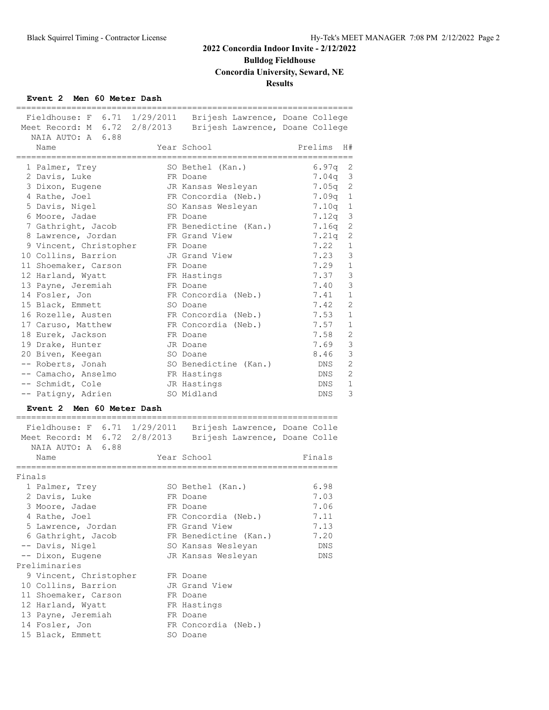# **Bulldog Fieldhouse**

**Concordia University, Seward, NE**

## **Results**

### **Event 2 Men 60 Meter Dash**

| Fieldhouse: F 6.71 1/29/2011 Brijesh Lawrence, Doane College                                                             |                       |                              |
|--------------------------------------------------------------------------------------------------------------------------|-----------------------|------------------------------|
| Meet Record: M 6.72 2/8/2013 Brijesh Lawrence, Doane College                                                             |                       |                              |
| NAIA AUTO: A 6.88                                                                                                        |                       |                              |
| Name                                                                                                                     | Year School           | Prelims<br>H#                |
| 1 Palmer, Trey                                                                                                           | SO Bethel (Kan.)      | 6.97q<br>2                   |
| 2 Davis, Luke                                                                                                            | FR Doane              | 3<br>7.04q                   |
| 3 Dixon, Eugene                                                                                                          | JR Kansas Wesleyan    | 2<br>7.05q                   |
| 4 Rathe, Joel                                                                                                            | FR Concordia (Neb.)   | 7.09q<br>1                   |
| 5 Davis, Nigel                                                                                                           | SO Kansas Wesleyan    | $\mathbf 1$<br>7.10q         |
| 6 Moore, Jadae                                                                                                           | FR Doane              | 3<br>7.12q                   |
| 7 Gathright, Jacob                                                                                                       | FR Benedictine (Kan.) | 2<br>7.16q                   |
| 8 Lawrence, Jordan                                                                                                       | FR Grand View         | 7.21q<br>2                   |
| 9 Vincent, Christopher                                                                                                   | FR Doane              | 7.22<br>$\mathbf{1}$         |
| 10 Collins, Barrion                                                                                                      | JR Grand View         | 7.23<br>3                    |
| 11 Shoemaker, Carson                                                                                                     | FR Doane              | 7.29<br>$\mathbf{1}$         |
| 12 Harland, Wyatt                                                                                                        | FR Hastings           | 3<br>7.37                    |
| 13 Payne, Jeremiah                                                                                                       | FR Doane              | 3<br>7.40                    |
| 14 Fosler, Jon                                                                                                           | FR Concordia (Neb.)   | $\mathbf 1$<br>7.41          |
| 15 Black, Emmett                                                                                                         | SO Doane              | 7.42<br>2                    |
|                                                                                                                          |                       | 7.53<br>1                    |
| 16 Rozelle, Austen                                                                                                       | FR Concordia (Neb.)   | $\mathbf 1$                  |
| 17 Caruso, Matthew                                                                                                       | FR Concordia (Neb.)   | 7.57                         |
| 18 Eurek, Jackson                                                                                                        | FR Doane              | 7.58<br>2                    |
| 19 Drake, Hunter                                                                                                         | JR Doane              | 7.69<br>3                    |
| 20 Biven, Keegan                                                                                                         | SO Doane              | 3<br>8.46                    |
| -- Roberts, Jonah                                                                                                        | SO Benedictine (Kan.) | $\overline{2}$<br>DNS        |
| -- Camacho, Anselmo                                                                                                      | FR Hastings           | $\mathfrak{D}$<br><b>DNS</b> |
| -- Schmidt, Cole                                                                                                         | JR Hastings           | $\mathbf{1}$<br><b>DNS</b>   |
| -- Patigny, Adrien                                                                                                       | SO Midland            | 3<br><b>DNS</b>              |
| Event 2 Men 60 Meter Dash                                                                                                | ==============        |                              |
|                                                                                                                          |                       |                              |
| Fieldhouse: F 6.71 1/29/2011 Brijesh Lawrence, Doane Colle<br>Meet Record: M 6.72 2/8/2013 Brijesh Lawrence, Doane Colle |                       |                              |
| NAIA AUTO: A 6.88                                                                                                        |                       |                              |
| Name                                                                                                                     | Year School           | Finals                       |
| ;=====================                                                                                                   |                       |                              |
| Finals                                                                                                                   |                       | 6.98                         |
| 1 Palmer, Trey                                                                                                           | SO Bethel (Kan.)      |                              |
| 2 Davis, Luke                                                                                                            | FR Doane              | 7.03                         |
| 3 Moore, Jadae                                                                                                           | FR Doane              | 7.06                         |
| 4 Rathe, Joel                                                                                                            | FR Concordia (Neb.)   | 7.11                         |
| 5 Lawrence, Jordan                                                                                                       | FR Grand View         | 7.13                         |
| 6 Gathright, Jacob                                                                                                       | FR Benedictine (Kan.) | 7.20                         |
| -- Davis, Nigel                                                                                                          | SO Kansas Wesleyan    | DNS                          |

| 4 Katne, Joel          | FR Concordia (Neb.)   | $\sqrt{1 + 1}$ |
|------------------------|-----------------------|----------------|
| 5 Lawrence, Jordan     | FR Grand View         | 7.13           |
| 6 Gathright, Jacob     | FR Benedictine (Kan.) | 7.20           |
| -- Davis, Nigel        | SO Kansas Wesleyan    | <b>DNS</b>     |
| -- Dixon, Eugene       | JR Kansas Wesleyan    | <b>DNS</b>     |
| Preliminaries          |                       |                |
| 9 Vincent, Christopher | FR Doane              |                |
| 10 Collins, Barrion    | JR Grand View         |                |
| 11 Shoemaker, Carson   | FR Doane              |                |
| 12 Harland, Wyatt      | FR Hastings           |                |
| 13 Payne, Jeremiah     | FR Doane              |                |
|                        |                       |                |

14 Fosler, Jon FR Concordia (Neb.)

15 Black, Emmett SO Doane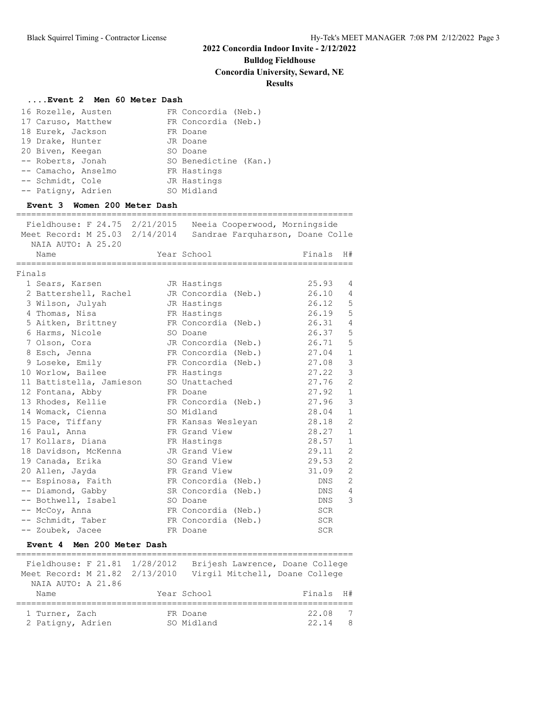**Bulldog Fieldhouse**

**Concordia University, Seward, NE**

## **Results**

### **....Event 2 Men 60 Meter Dash**

| 16 Rozelle, Austen                                                                    | FR Concordia (Neb.)                                               |
|---------------------------------------------------------------------------------------|-------------------------------------------------------------------|
| 17 Caruso, Matthew                                                                    | FR Concordia (Neb.)                                               |
| 18 Eurek, Jackson                                                                     | FR Doane                                                          |
| 19 Drake, Hunter                                                                      | JR Doane                                                          |
| 20 Biven, Keegan                                                                      | SO Doane                                                          |
| -- Roberts, Jonah                                                                     | SO Benedictine (Kan.)                                             |
| -- Camacho, Anselmo                                                                   | FR Hastings                                                       |
| -- Schmidt, Cole                                                                      | JR Hastings                                                       |
| -- Patigny, Adrien                                                                    | SO Midland                                                        |
| Event 3 Women 200 Meter Dash                                                          |                                                                   |
| Fieldhouse: F 24.75 2/21/2015<br>Meet Record: M 25.03 2/14/2014<br>NAIA AUTO: A 25.20 | Neeia Cooperwood, Morningside<br>Sandrae Farquharson, Doane Colle |
|                                                                                       |                                                                   |

|        | Name                     | Year School             | Finals     | H#             |
|--------|--------------------------|-------------------------|------------|----------------|
| Finals | -----------------------  | ----------------------- |            |                |
|        | 1 Sears, Karsen          | JR Hastings             | 25.93      | 4              |
|        | 2 Battershell, Rachel    | JR Concordia (Neb.)     | 26.10      | 4              |
|        | 3 Wilson, Julyah         | JR Hastings             | 26.12      | 5              |
|        | 4 Thomas, Nisa           | FR Hastings             | 26.19      | 5              |
|        | 5 Aitken, Brittney       | FR Concordia (Neb.)     | 26.31      | $\overline{4}$ |
|        | 6 Harms, Nicole          | SO Doane                | 26.37      | 5              |
|        | 7 Olson, Cora            | JR Concordia (Neb.)     | 26.71      | 5              |
|        | 8 Esch, Jenna            | FR Concordia (Neb.)     | 27.04      | $\,1\,$        |
|        | 9 Loseke, Emily          | FR Concordia (Neb.)     | 27.08      | 3              |
|        | 10 Worlow, Bailee        | FR Hastings             | 27.22      | 3              |
|        | 11 Battistella, Jamieson | SO Unattached           | 27.76      | $\overline{c}$ |
|        | 12 Fontana, Abby         | FR Doane                | 27.92      | $\mathbf 1$    |
|        | 13 Rhodes, Kellie        | FR Concordia (Neb.)     | 27.96      | 3              |
|        | 14 Womack, Cienna        | SO Midland              | 28.04      | $1\,$          |
|        | 15 Pace, Tiffany         | FR Kansas Wesleyan      | 28.18      | $\overline{c}$ |
|        | 16 Paul, Anna            | FR Grand View           | 28.27      | $\mathbf 1$    |
|        | 17 Kollars, Diana        | FR Hastings             | 28.57      | $\mathbf 1$    |
|        | 18 Davidson, McKenna     | JR Grand View           | 29.11      | $\overline{c}$ |
|        | 19 Canada, Erika         | SO Grand View           | 29.53      | $\overline{c}$ |
|        | 20 Allen, Jayda          | FR Grand View           | 31.09      | $\overline{c}$ |
|        | -- Espinosa, Faith       | FR Concordia (Neb.)     | DNS        | $\overline{c}$ |
|        | -- Diamond, Gabby        | SR Concordia (Neb.)     | DNS        | $\overline{4}$ |
|        | -- Bothwell, Isabel      | SO Doane                | DNS        | 3              |
|        | -- McCoy, Anna           | FR Concordia (Neb.)     | SCR        |                |
|        | -- Schmidt, Taber        | FR Concordia (Neb.)     | SCR        |                |
|        | -- Zoubek, Jacee         | FR Doane                | <b>SCR</b> |                |

### **Event 4 Men 200 Meter Dash**

| Fieldhouse: F 21.81 1/28/2012<br>Meet Record: M 21.82 2/13/2010<br>NAIA AUTO: A 21.86 |                        | Brijesh Lawrence, Doane College<br>Virgil Mitchell, Doane College |
|---------------------------------------------------------------------------------------|------------------------|-------------------------------------------------------------------|
| Name                                                                                  | Year School            | <b>H#</b><br>Finals                                               |
| 1 Turner, Zach<br>2 Patigny, Adrien                                                   | FR Doane<br>SO Midland | 22.08<br>7<br>22.14<br>8                                          |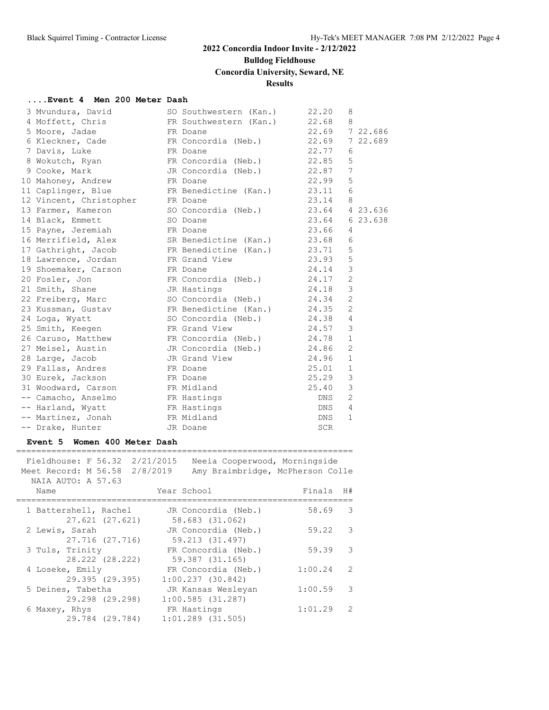# **Bulldog Fieldhouse**

# **Concordia University, Seward, NE**

## **Results**

## **....Event 4 Men 200 Meter Dash**

| 3 Mvundura, David                                               | SO Southwestern (Kan.)             | 22.20            | 8              |  |
|-----------------------------------------------------------------|------------------------------------|------------------|----------------|--|
| 4 Moffett, Chris FR Southwestern (Kan.) 22.68 8                 |                                    |                  |                |  |
| 5 Moore, Jadae<br>FR Doane                                      |                                    | 22.69 722.686    |                |  |
| 6 Kleckner, Cade 6 FR Concordia (Neb.)                          |                                    | 22.69 7 22.689   |                |  |
| 7 Davis, Luke                                                   | FR Doane                           | 22.77            | 6              |  |
| 8 Wokutch, Ryan FR Concordia (Neb.) 22.85                       |                                    |                  | 5              |  |
| 9 Cooke, Mark                                                   | JR Concordia (Neb.)                | 22.87            | 7              |  |
| 10 Mahoney, Andrew                                              | FR Doane                           | 22.99            | 5              |  |
| 11 Caplinger, Blue                                              | FR Benedictine (Kan.) 23.11 6      |                  |                |  |
| 12 Vincent, Christopher FR Doane                                |                                    | 23.14 8          |                |  |
| 13 Farmer, Kameron                                              | SO Concordia (Neb.) 23.64 4 23.636 |                  |                |  |
| 14 Black, Emmett                                                | SO Doane                           | 23.64 6 23.638   |                |  |
| 15 Payne, Jeremiah                                              | FR Doane                           | 23.66            | 4              |  |
| 16 Merrifield, Alex                                             | SR Benedictine (Kan.) 23.68        |                  | 6              |  |
| 17 Gathright, Jacob FR Benedictine (Kan.) 23.71                 |                                    |                  | 5              |  |
| 18 Lawrence, Jordan FR Grand View                               |                                    | 23.93            | 5              |  |
| 19 Shoemaker, Carson FR Doane                                   |                                    | 24.14            | $\mathcal{S}$  |  |
| 20 Fosler, Jon                                                  | FR Concordia (Neb.) 24.17          |                  | 2              |  |
| 21 Smith, Shane                                                 | JR Hastings                        | 24.18 3          |                |  |
| 22 Freiberg, Marc                                               | SO Concordia (Neb.) 24.34          |                  | $\overline{c}$ |  |
| 23 Kussman, Gustav                                              | FR Benedictine (Kan.) 24.35        |                  | $\overline{2}$ |  |
| 24 Loga, Wyatt                                                  | SO Concordia (Neb.) 24.38          |                  | $\overline{4}$ |  |
| 25 Smith, Keegen                                                | FR Grand View                      | 24.57            | 3              |  |
| 26 Caruso, Matthew FR Concordia (Neb.) 24.78                    |                                    |                  | $\mathbf{1}$   |  |
| 27 Meisel, Austin           JR Concordia (Neb.)           24.86 |                                    |                  | 2              |  |
| 28 Large, Jacob                                                 | JR Grand View                      | 24.96 1          |                |  |
| 29 Fallas, Andres                                               | FR Doane                           | 25.01            | $\mathbf{1}$   |  |
| 30 Eurek, Jackson                                               | FR Doane                           | 25.29            | 3              |  |
| 31 Woodward, Carson                                             | FR Midland                         | 25.40            | 3              |  |
| -- Camacho, Anselmo                                             | FR Hastings                        | DNS              | 2              |  |
| -- Harland, Wyatt                                               | FR Hastings                        | DNS <sub>4</sub> |                |  |
| -- Martinez, Jonah FR Midland                                   |                                    | DNS              | $\mathbf{1}$   |  |
| -- Drake, Hunter                                                | JR Doane                           | <b>SCR</b>       |                |  |

## **Event 5 Women 400 Meter Dash**

| Fieldhouse: F 56.32 2/21/2015<br>Meet Record: M 56.58 2/8/2019<br>NAIA AUTO: A 57.63 | Neeia Cooperwood, Morningside<br>Amy Braimbridge, McPherson Colle |               |
|--------------------------------------------------------------------------------------|-------------------------------------------------------------------|---------------|
| Name                                                                                 | Year School                                                       | Finals<br>H#  |
| 1 Battershell, Rachel                                                                | JR Concordia (Neb.)                                               | 58.69         |
| 27.621 (27.621)                                                                      | 58.683 (31.062)                                                   | 3             |
| 2 Lewis, Sarah                                                                       | JR Concordia (Neb.)                                               | 59.22         |
| 27.716 (27.716)                                                                      | 59.213 (31.497)                                                   | 3             |
| 3 Tuls, Trinity                                                                      | FR Concordia (Neb.)                                               | 59.39         |
| 28.222 (28.222)                                                                      | 59.387 (31.165)                                                   | 3             |
| 4 Loseke, Emily                                                                      | FR Concordia (Neb.)                                               | 1:00.24       |
| 29.395 (29.395)                                                                      | 1:00.237(30.842)                                                  | 2             |
| 5 Deines, Tabetha                                                                    | JR Kansas Wesleyan                                                | 1:00.59       |
| 29.298 (29.298)                                                                      | 1:00.585(31.287)                                                  | 3             |
| 6 Maxey, Rhys                                                                        | FR Hastings                                                       | 1:01.29       |
| 29.784 (29.784)                                                                      | $1:01.289$ (31.505)                                               | $\mathcal{L}$ |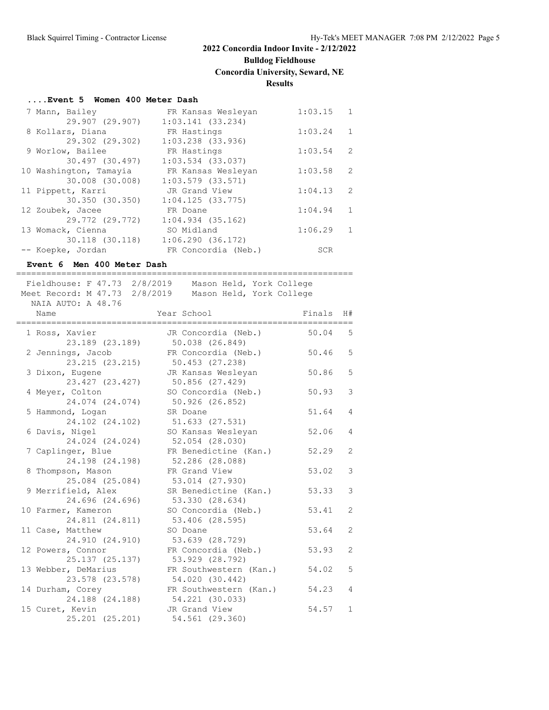# **Bulldog Fieldhouse**

**Concordia University, Seward, NE**

**Results**

### **....Event 5 Women 400 Meter Dash**

| 7 Mann, Bailey         | FR Kansas Wesleyan    | 1:03.15 | 1            |
|------------------------|-----------------------|---------|--------------|
| 29.907 (29.907)        | $1:03.141$ (33.234)   |         |              |
| 8 Kollars, Diana       | FR Hastings           | 1:03.24 | 1            |
| 29.302 (29.302)        | $1:03.238$ $(33.936)$ |         |              |
| 9 Worlow, Bailee       | FR Hastings           | 1:03.54 | 2            |
| 30.497 (30.497)        | $1:03.534$ (33.037)   |         |              |
| 10 Washington, Tamayia | FR Kansas Wesleyan    | 1:03.58 | 2            |
| 30.008 (30.008)        | $1:03.579$ (33.571)   |         |              |
| 11 Pippett, Karri      | JR Grand View         | 1:04.13 | 2            |
| 30.350 (30.350)        | 1:04.125(33.775)      |         |              |
| 12 Zoubek, Jacee       | FR Doane              | 1:04.94 | $\mathbf{1}$ |
| 29.772 (29.772)        | $1:04.934$ (35.162)   |         |              |
| 13 Womack, Cienna      | SO Midland            | 1:06.29 | 1            |
| 30.118 (30.118)        | 1:06.290(36.172)      |         |              |
| -- Koepke, Jordan      | FR Concordia (Neb.)   | SCR     |              |

### **Event 6 Men 400 Meter Dash**

===================================================================

| Fieldhouse: F 47.73 2/8/2019<br>Meet Record: M 47.73 2/8/2019 | Mason Held, York College<br>Mason Held, York College |        |                |
|---------------------------------------------------------------|------------------------------------------------------|--------|----------------|
| NAIA AUTO: A 48.76<br>Name                                    | Year School                                          | Finals | H#             |
| 1 Ross, Xavier<br>23.189 (23.189)                             | JR Concordia (Neb.)<br>50.038 (26.849)               | 50.04  | 5              |
| 2 Jennings, Jacob<br>23.215 (23.215)                          | FR Concordia (Neb.)<br>50.453 (27.238)               | 50.46  | 5              |
| 3 Dixon, Eugene<br>23.427 (23.427)                            | JR Kansas Wesleyan<br>50.856 (27.429)                | 50.86  | 5              |
| 4 Meyer, Colton<br>24.074 (24.074)                            | SO Concordia (Neb.)<br>50.926 (26.852)               | 50.93  | 3              |
| 5 Hammond, Logan<br>24.102 (24.102)                           | SR Doane<br>51.633 (27.531)                          | 51.64  | $\overline{4}$ |
| 6 Davis, Nigel<br>24.024 (24.024)                             | SO Kansas Wesleyan<br>52.054 (28.030)                | 52.06  | 4              |
| 7 Caplinger, Blue<br>24.198 (24.198)                          | FR Benedictine (Kan.)<br>52.286 (28.088)             | 52.29  | 2              |
| 8 Thompson, Mason<br>25.084 (25.084)                          | FR Grand View<br>53.014 (27.930)                     | 53.02  | 3              |
| 9 Merrifield, Alex<br>24.696 (24.696)                         | SR Benedictine (Kan.)<br>53.330 (28.634)             | 53.33  | 3              |
| 10 Farmer, Kameron<br>24.811 (24.811)                         | SO Concordia (Neb.)<br>53.406 (28.595)               | 53.41  | $\overline{2}$ |
| 11 Case, Matthew<br>24.910 (24.910)                           | SO Doane<br>53.639 (28.729)                          | 53.64  | 2              |
| 12 Powers, Connor<br>25.137 (25.137)                          | FR Concordia (Neb.)<br>53.929 (28.792)               | 53.93  | $\overline{2}$ |
| 13 Webber, DeMarius<br>23.578 (23.578)                        | FR Southwestern (Kan.)<br>54.020 (30.442)            | 54.02  | 5              |
| 14 Durham, Corey<br>24.188 (24.188)                           | FR Southwestern (Kan.)<br>54.221 (30.033)            | 54.23  | $\overline{4}$ |
| 15 Curet, Kevin<br>25.201 (25.201)                            | JR Grand View<br>54.561 (29.360)                     | 54.57  | $\mathbf{1}$   |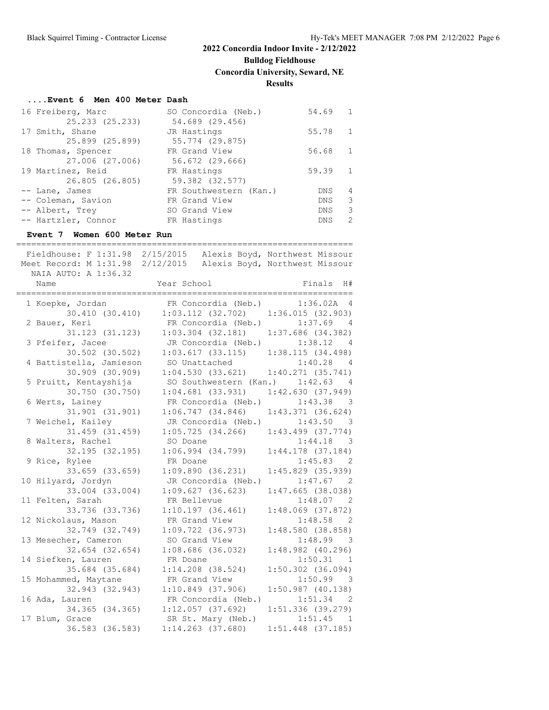**Bulldog Fieldhouse**

**Concordia University, Seward, NE**

**Results**

#### **....Event 6 Men 400 Meter Dash**

| 16 Freiberg, Marc   | SO Concordia (Neb.)    | 54.69      | $\overline{1}$ |
|---------------------|------------------------|------------|----------------|
| 25.233 (25.233)     | 54.689 (29.456)        |            |                |
| 17 Smith, Shane     | JR Hastings            | 55.78      |                |
| 25.899 (25.899)     | 55.774 (29.875)        |            |                |
| 18 Thomas, Spencer  | FR Grand View          | 56.68      |                |
| 27.006 (27.006)     | 56.672 (29.666)        |            |                |
| 19 Martinez, Reid   | FR Hastings            | 59.39      | $\mathbf{1}$   |
| 26.805 (26.805)     | 59.382 (32.577)        |            |                |
| -- Lane, James      | FR Southwestern (Kan.) | DNS.       | 4              |
| -- Coleman, Savion  | FR Grand View          | <b>DNS</b> | 3              |
| -- Albert, Trey     | SO Grand View          | <b>DNS</b> | 3              |
| -- Hartzler, Connor | FR Hastings            | <b>DNS</b> | $\mathcal{D}$  |

#### **Event 7 Women 600 Meter Run**

=================================================================== Fieldhouse: F 1:31.98 2/15/2015 Alexis Boyd, Northwest Missour Meet Record: M 1:31.98 2/12/2015 Alexis Boyd, Northwest Missour NAIA AUTO: A 1:36.32 Name Year School Finals H# =================================================================== 1 Koepke, Jordan FR Concordia (Neb.) 1:36.02A 4 30.410 (30.410) 1:03.112 (32.702) 1:36.015 (32.903) 2 Bauer, Keri FR Concordia (Neb.) 1:37.69 4 31.123 (31.123) 1:03.304 (32.181) 1:37.686 (34.382) 3 Pfeifer, Jacee JR Concordia (Neb.) 1:38.12 4 30.502 (30.502) 1:03.617 (33.115) 1:38.115 (34.498) 4 Battistella, Jamieson SO Unattached 1:40.28 4 30.909 (30.909) 1:04.530 (33.621) 1:40.271 (35.741) 5 Pruitt, Kentayshija SO Southwestern (Kan.) 1:42.63 4 30.750 (30.750) 1:04.681 (33.931) 1:42.630 (37.949) 6 Werts, Lainey FR Concordia (Neb.) 1:43.38 3 31.901 (31.901) 1:06.747 (34.846) 1:43.371 (36.624) 7 Weichel, Kailey JR Concordia (Neb.) 1:43.50 3 31.459 (31.459) 1:05.725 (34.266) 1:43.499 (37.774) 8 Walters, Rachel SO Doane 1:44.18 3 32.195 (32.195) 1:06.994 (34.799) 1:44.178 (37.184) 9 Rice, Rylee FR Doane 1:45.83 2 33.659 (33.659) 1:09.890 (36.231) 1:45.829 (35.939) 10 Hilyard, Jordyn JR Concordia (Neb.) 1:47.67 2 33.004 (33.004) 1:09.627 (36.623) 1:47.665 (38.038) 11 Felten, Sarah FR Bellevue 1:48.07 2 33.736 (33.736) 1:10.197 (36.461) 1:48.069 (37.872) 12 Nickolaus, Mason FR Grand View 1:48.58 2 32.749 (32.749) 1:09.722 (36.973) 1:48.580 (38.858) 13 Mesecher, Cameron SO Grand View 1:48.99 3 32.654 (32.654) 1:08.686 (36.032) 1:48.982 (40.296) 14 Siefken, Lauren 1:50.31 1 35.684 (35.684) 1:14.208 (38.524) 1:50.302 (36.094) 15 Mohammed, Maytane FR Grand View 1:50.99 3 32.943 (32.943) 1:10.849 (37.906) 1:50.987 (40.138) 16 Ada, Lauren FR Concordia (Neb.) 1:51.34 2 34.365 (34.365) 1:12.057 (37.692) 1:51.336 (39.279) 17 Blum, Grace SR St. Mary (Neb.) 1:51.45 1 36.583 (36.583) 1:14.263 (37.680) 1:51.448 (37.185)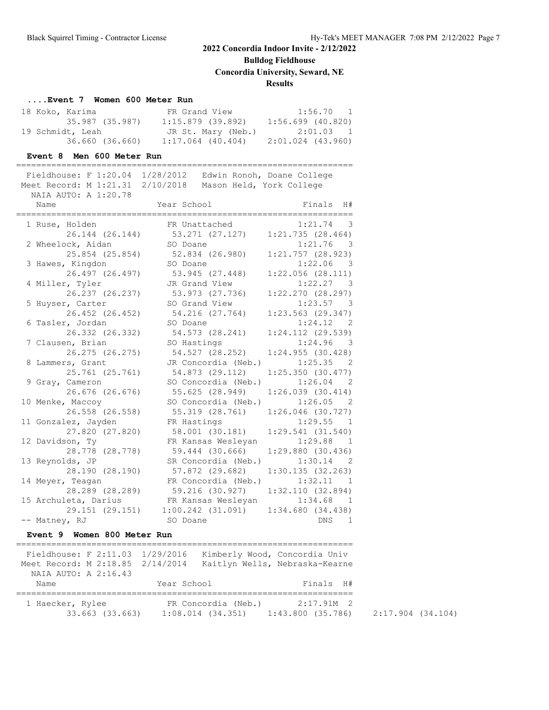# **Bulldog Fieldhouse**

**Concordia University, Seward, NE**

## **Results**

## **....Event 7 Women 600 Meter Run**

| 18 Koko, Karima  | FR Grand View      | $1:56.70$ 1         |
|------------------|--------------------|---------------------|
| 35.987 (35.987)  | 1:15.879 (39.892)  | $1:56.699$ (40.820) |
| 19 Schmidt, Leah | JR St. Mary (Neb.) | 2:01.03 1           |
| 36.660 (36.660)  | 1:17.064 (40.404)  | 2:01.024 (43.960)   |

### **Event 8 Men 600 Meter Run**

| Fieldhouse: F 1:20.04 1/28/2012  |                          | Edwin Ronoh, Doane College |
|----------------------------------|--------------------------|----------------------------|
| Meet Record: M 1:21.31 2/10/2018 | Mason Held, York College |                            |
| NAIA AUTO: A 1:20.78             |                          |                            |
| Name                             | Year School              | Finals H#                  |
| ===========================      |                          |                            |
| 1 Ruse, Holden                   | FR Unattached            | $1:21.74$ 3                |
| 26.144 (26.144)                  | 53.271 (27.127)          | 1:21.735(28.464)           |
| 2 Wheelock, Aidan                | SO Doane                 | $1:21.76$ 3                |
| 25.854 (25.854)                  | 52.834 (26.980)          | $1:21.757$ (28.923)        |
| 3 Hawes, Kingdon                 | SO Doane                 | $1:22.06$ 3                |
| 26.497 (26.497)                  | 53.945 (27.448)          | 1:22.056(28.111)           |
| 4 Miller, Tyler                  | JR Grand View            | 1:22.27 3                  |
| 26.237 (26.237)                  | 53.973 (27.736)          | $1:22.270$ $(28.297)$      |
| 5 Huyser, Carter                 | SO Grand View            | 1:23.57 3                  |
| 26.452 (26.452)                  | 54.216 (27.764)          | $1:23.563$ (29.347)        |
| 6 Tasler, Jordan                 | SO Doane                 | 1:24.12 2                  |
| 26.332 (26.332)                  | 54.573 (28.241)          | 1:24.112 (29.539)          |
| 7 Clausen, Brian                 | SO Hastings              | 1:24.96<br>- 3             |
| 26.275 (26.275)                  | 54.527 (28.252)          | 1:24.955(30.428)           |
| 8 Lammers, Grant                 | JR Concordia (Neb.)      | 1:25.35<br>- 2             |
| 25.761 (25.761)                  | 54.873 (29.112)          | 1:25.350(30.477)           |
| 9 Gray, Cameron                  | SO Concordia (Neb.)      | 1:26.04<br>- 2             |
| 26.676 (26.676)                  | 55.625 (28.949)          | $1:26.039$ (30.414)        |
| 10 Menke, Maccoy                 | SO Concordia (Neb.)      | 1:26.05<br>- 2             |
| 26.558 (26.558)                  | 55.319 (28.761)          | $1:26.046$ (30.727)        |
| 11 Gonzalez, Jayden              | FR Hastings              | 1:29.55<br>$\overline{1}$  |
| 27.820 (27.820)                  | 58.001 (30.181)          | 1:29.541(31.540)           |
| 12 Davidson, Ty                  | FR Kansas Wesleyan       | 1:29.88<br>$\sqrt{1}$      |
| 28.778 (28.778)                  | 59.444 (30.666)          | 1:29.880(30.436)           |
| 13 Reynolds, JP                  | SR Concordia (Neb.)      | $1:30.14$ 2                |
| 28.190 (28.190)                  | 57.872 (29.682)          | 1:30.135(32.263)           |
| 14 Meyer, Teagan                 | FR Concordia (Neb.)      | 1:32.11 1                  |
| 28.289 (28.289)                  | 59.216 (30.927)          | 1:32.110(32.894)           |
| 15 Archuleta, Darius             | FR Kansas Wesleyan       | $1:34.68$ 1                |
| 29.151 (29.151)                  | $1:00.242$ $(31.091)$    | 1:34.680(34.438)           |
| -- Matney, RJ                    | SO Doane                 | <b>DNS</b><br>$\mathbf{1}$ |

### **Event 9 Women 800 Meter Run**

| Fieldhouse: F 2:11.03 1/29/2016<br>Meet Record: M 2:18.85 2/14/2014 |             |                                              | Kimberly Wood, Concordia Univ<br>Kaitlyn Wells, Nebraska-Kearne |
|---------------------------------------------------------------------|-------------|----------------------------------------------|-----------------------------------------------------------------|
| NAIA AUTO: A 2:16.43<br>Name                                        | Year School |                                              | Finals H#                                                       |
| 1 Haecker, Rylee<br>33.663 (33.663)                                 |             | FR Concordia (Neb.)<br>$1:08.014$ $(34.351)$ | $2:17.91M$ 2<br>1:43.800(35.786)                                |

2:17.904 (34.104)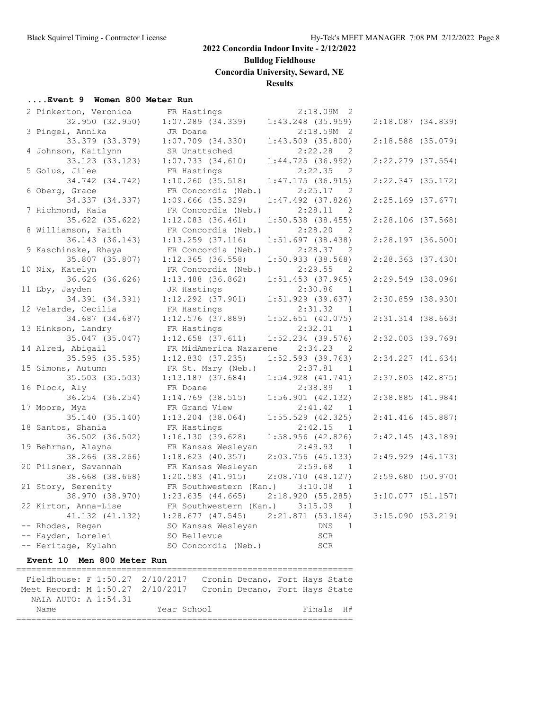**Bulldog Fieldhouse**

**Concordia University, Seward, NE**

## **Results**

## **....Event 9 Women 800 Meter Run**

| 2 Pinkerton, Veronica | FR Hastings            | $2:18.09M$ 2                          |                       |  |
|-----------------------|------------------------|---------------------------------------|-----------------------|--|
| 32.950 (32.950)       | $1:07.289$ (34.339)    | $1:43.248$ (35.959)                   | 2:18.087 (34.839)     |  |
| 3 Pingel, Annika      | JR Doane               | $2:18.59M$ 2                          |                       |  |
| 33.379 (33.379)       | $1:07.709$ $(34.330)$  | $1:43.509$ (35.800)                   | $2:18.588$ (35.079)   |  |
| 4 Johnson, Kaitlynn   | SR Unattached          | 2:22.28<br>$\overline{\phantom{0}}^2$ |                       |  |
| 33.123 (33.123)       | $1:07.733$ $(34.610)$  | 1:44.725(36.992)                      | $2:22.279$ (37.554)   |  |
| 5 Golus, Jilee        | FR Hastings            | 2:22.35<br>$\overline{2}$             |                       |  |
| 34.742 (34.742)       | $1:10.260$ (35.518)    | 1:47.175(36.915)                      | 2:22.347(35.172)      |  |
| 6 Oberg, Grace        | FR Concordia (Neb.)    | 2:25.17<br>$\overline{2}$             |                       |  |
| 34.337 (34.337)       | $1:09.666$ (35.329)    | $1:47.492$ (37.826)                   | $2:25.169$ (37.677)   |  |
| 7 Richmond, Kaia      | FR Concordia (Neb.)    | 2:28.11<br>$\overline{\phantom{0}}^2$ |                       |  |
| 35.622 (35.622)       | $1:12.083$ (36.461)    | $1:50.538$ (38.455)                   | $2:28.106$ (37.568)   |  |
| 8 Williamson, Faith   | FR Concordia (Neb.)    | 2:28.20<br>2                          |                       |  |
| 36.143 (36.143)       | $1:13.259$ (37.116)    | 1:51.697(38.438)                      | $2:28.197$ (36.500)   |  |
| 9 Kaschinske, Rhaya   | FR Concordia (Neb.)    | 2:28.37<br>$\overline{2}$             |                       |  |
| 35.807 (35.807)       | $1:12.365$ (36.558)    | $1:50.933$ (38.568)                   | $2:28.363$ (37.430)   |  |
| 10 Nix, Katelyn       | FR Concordia (Neb.)    | 2:29.55<br>$\overline{\phantom{0}}^2$ |                       |  |
| 36.626 (36.626)       | $1:13.488$ $(36.862)$  | $1:51.453$ (37.965)                   | $2:29.549$ (38.096)   |  |
| 11 Eby, Jayden        | JR Hastings            | 2:30.86<br>$\overline{1}$             |                       |  |
| 34.391 (34.391)       | $1:12.292$ (37.901)    | $1:51.929$ (39.637)                   | $2:30.859$ (38.930)   |  |
| 12 Velarde, Cecilia   | FR Hastings            | 2:31.32<br>$\overline{1}$             |                       |  |
| 34.687 (34.687)       | $1:12.576$ (37.889)    | $1:52.651$ (40.075)                   | $2:31.314$ (38.663)   |  |
| 13 Hinkson, Landry    | FR Hastings            | 2:32.01<br>$\overline{1}$             |                       |  |
| 35.047 (35.047)       | $1:12.658$ (37.611)    | $1:52.234$ (39.576)                   | $2:32.003$ (39.769)   |  |
| 14 Alred, Abigail     | FR MidAmerica Nazarene | 2:34.23<br>$\overline{\phantom{0}}^2$ |                       |  |
| 35.595 (35.595)       | 1:12.830(37.235)       | 1:52.593 (39.763)                     | $2:34.227$ $(41.634)$ |  |
| 15 Simons, Autumn     | FR St. Mary (Neb.)     | 2:37.81<br>$\overline{1}$             |                       |  |
| 35.503 (35.503)       | $1:13.187$ (37.684)    | $1:54.928$ $(41.741)$                 | $2:37.803$ (42.875)   |  |
| 16 Plock, Aly         | FR Doane               | 2:38.89<br>$\overline{1}$             |                       |  |
| 36.254 (36.254)       | $1:14.769$ (38.515)    | $1:56.901$ $(42.132)$                 | $2:38.885$ $(41.984)$ |  |
| 17 Moore, Mya         | FR Grand View          | 2:41.42<br>$\overline{1}$             |                       |  |
| 35.140 (35.140)       | $1:13.204$ (38.064)    | $1:55.529$ (42.325)                   | $2:41.416$ (45.887)   |  |
| 18 Santos, Shania     | FR Hastings            | 2:42.15<br>1                          |                       |  |
| 36.502 (36.502)       | 1:16.130(39.628)       | $1:58.956$ (42.826)                   | 2:42.145(43.189)      |  |
| 19 Behrman, Alayna    | FR Kansas Wesleyan     | 2:49.93<br><sup>1</sup>               |                       |  |
| 38.266 (38.266)       | $1:18.623$ (40.357)    | $2:03.756$ (45.133)                   | $2:49.929$ $(46.173)$ |  |
| 20 Pilsner, Savannah  | FR Kansas Wesleyan     | 2:59.68<br>$\overline{1}$             |                       |  |
| 38.668 (38.668)       | $1:20.583$ $(41.915)$  | 2:08.710(48.127)                      | 2:59.680(50.970)      |  |
| 21 Story, Serenity    | FR Southwestern (Kan.) | 3:10.08<br>- 1                        |                       |  |
| 38.970 (38.970)       | 1:23.635(44.665)       | 2:18.920(55.285)                      | $3:10.077$ (51.157)   |  |
| 22 Kirton, Anna-Lise  | FR Southwestern (Kan.) | 3:15.09<br>1                          |                       |  |
| 41.132 (41.132)       | $1:28.677$ (47.545)    | 2:21.871(53.194)                      | 3:15.090(53.219)      |  |
| -- Rhodes, Regan      | SO Kansas Wesleyan     | DNS<br>$\mathbf{1}$                   |                       |  |
| -- Hayden, Lorelei    | SO Bellevue            | SCR                                   |                       |  |
| -- Heritage, Kylahn   | SO Concordia (Neb.)    | SCR                                   |                       |  |
|                       |                        |                                       |                       |  |

## **Event 10 Men 800 Meter Run**

| Fieldhouse: F 1:50.27 2/10/2017                                 |  |             |  |  | Cronin Decano, Fort Hays State |  |  |
|-----------------------------------------------------------------|--|-------------|--|--|--------------------------------|--|--|
| Meet Record: M 1:50.27 2/10/2017 Cronin Decano, Fort Hays State |  |             |  |  |                                |  |  |
| NAIA AUTO: A 1:54.31                                            |  |             |  |  |                                |  |  |
| Name                                                            |  | Year School |  |  | Finals H#                      |  |  |
|                                                                 |  |             |  |  |                                |  |  |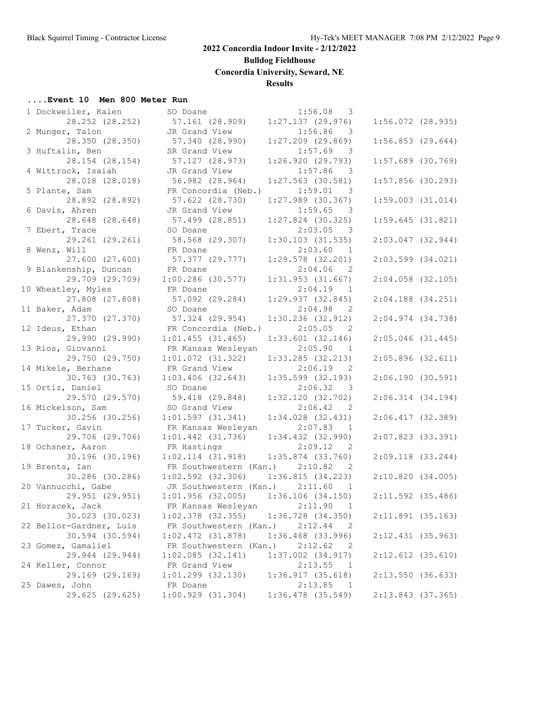**Bulldog Fieldhouse**

**Concordia University, Seward, NE**

## **Results**

### **....Event 10 Men 800 Meter Run**

| 1 Dockweiler, Kalen     | SO Doane                                | 1:56.08<br>3                          |                       |  |
|-------------------------|-----------------------------------------|---------------------------------------|-----------------------|--|
| 28.252 (28.252)         | 57.161 (28.909)                         | $1:27.137$ (29.976)                   | $1:56.072$ (28.935)   |  |
| 2 Munger, Talon         | JR Grand View                           | 1:56.86<br>$\overline{\mathbf{3}}$    |                       |  |
| 28.350 (28.350)         | 57.340 (28.990)                         | $1:27.209$ $(29.869)$                 | 1:56.853(29.644)      |  |
| 3 Huftalin, Ben         | SR Grand View                           | $1:57.69$ 3                           |                       |  |
| 28.154 (28.154)         | 57.127 (28.973)                         | 1:26.920(29.793)                      | $1:57.689$ (30.769)   |  |
| 4 Wittrock, Isaiah      | JR Grand View                           | 1:57.86<br>$\overline{\phantom{a}}$   |                       |  |
| 28.018 (28.018)         | 56.982 (28.964)                         | $1:27.563$ (30.581)                   | $1:57.856$ (30.293)   |  |
| 5 Plante, Sam           | FR Concordia (Neb.)                     | 1:59.01<br>$\overline{\phantom{a}}$ 3 |                       |  |
| 28.892 (28.892)         | 57.622 (28.730)                         | $1:27.989$ (30.367)                   | $1:59.003$ $(31.014)$ |  |
| 6 Davis, Ahren          | JR Grand View                           | 1:59.65<br>$\overline{\phantom{a}}$   |                       |  |
| 28.648 (28.648)         | 57.499 (28.851)                         | $1:27.824$ (30.325)                   | 1:59.645(31.821)      |  |
| 7 Ebert, Trace          | SO Doane                                | 2:03.05<br>$\overline{\phantom{a}}$   |                       |  |
| 29.261 (29.261)         | 58.568 (29.307)                         | $1:30.103$ (31.535)                   | $2:03.047$ (32.944)   |  |
| 8 Wenz, Will            | FR Doane                                | 2:03.60<br>$\overline{1}$             |                       |  |
| 27.600 (27.600)         | 57.377 (29.777)                         | $1:29.578$ (32.201)                   | $2:03.599$ $(34.021)$ |  |
| 9 Blankenship, Duncan   | FR Doane                                | $2:04.06$ 2                           |                       |  |
| 29.709 (29.709)         | $1:00.286$ (30.577)                     | $1:31.953$ (31.667)                   | $2:04.058$ (32.105)   |  |
| 10 Wheatley, Myles      | FR Doane                                | $2:04.19$ 1                           |                       |  |
| 27.808 (27.808)         | 57.092 (29.284)                         | 1:29.937 (32.845)                     | $2:04.188$ (34.251)   |  |
| 11 Baker, Adam          | SO Doane                                | $2:04.98$ 2                           |                       |  |
| 27.370 (27.370)         | 57.324 (29.954)                         | 1:30.236 (32.912)                     | $2:04.974$ $(34.738)$ |  |
| 12 Ideus, Ethan         | FR Concordia (Neb.)                     | 2:05.05 2                             |                       |  |
| 29.990 (29.990)         | $1:01.455$ (31.465)                     | $1:33.601$ (32.146)                   | $2:05.046$ (31.445)   |  |
| 13 Rios, Giovanni       | FR Kansas Wesleyan                      | 2:05.90<br>$\overline{1}$             |                       |  |
| 29.750 (29.750)         | $1:01.072$ $(31.322)$                   | 1:33.285 (32.213)                     | $2:05.896$ (32.611)   |  |
| 14 Mikele, Berhane      | FR Grand View                           | 2:06.19<br>$\overline{\phantom{0}}^2$ |                       |  |
| 30.763 (30.763)         | $1:03.406$ (32.643)                     | $1:35.599$ $(32.193)$                 | 2:06.190(30.591)      |  |
| 15 Ortiz, Daniel        | SO Doane                                | 2:06.32 3                             |                       |  |
| 29.570 (29.570)         | 59.418 (29.848)                         | 1:32.120(32.702)                      | 2:06.314(34.194)      |  |
| 16 Mickelson, Sam       | SO Grand View                           | 2:06.42 2                             |                       |  |
| 30.256 (30.256)         | 1:01.597(31.341)                        | $1:34.028$ (32.431)                   | $2:06.417$ (32.389)   |  |
| 17 Tucker, Gavin        | FR Kansas Wesleyan                      | 2:07.83<br>$\overline{1}$             |                       |  |
| 29.706 (29.706)         | $1:01.442$ (31.736)                     | 1:34.432 (32.990)                     | $2:07.823$ (33.391)   |  |
| 18 Ochsner, Aaron       | FR Hastings                             | 2:09.12<br>$\overline{\phantom{0}}^2$ |                       |  |
| 30.196 (30.196)         | 1:02.114(31.918)                        | $1:35.874$ (33.760)                   | $2:09.118$ (33.244)   |  |
| 19 Brents, Ian          | FR Southwestern (Kan.) 2:10.82          | $\overline{2}$                        |                       |  |
| 30.286 (30.286)         | $1:02.592$ (32.306)                     | 1:36.815(34.223)                      | 2:10.820(34.005)      |  |
| 20 Vannucchi, Gabe      | JR Southwestern (Kan.) 2:11.60          | $\overline{1}$                        |                       |  |
| 29.951 (29.951)         | $1:01.956$ (32.005) $1:36.106$ (34.150) |                                       | $2:11.592$ (35.486)   |  |
| 21 Horacek, Jack        | FR Kansas Wesleyan                      | 2:11.90<br>$\overline{1}$             |                       |  |
| 30.023 (30.023)         | $1:02.378$ (32.355)                     | 1:36.728 (34.350)                     | $2:11.891$ (35.163)   |  |
| 22 Bellor-Gardner, Luis | FR Southwestern (Kan.)                  | 2:12.44<br>2                          |                       |  |
| 30.594 (30.594)         | $1:02.472$ $(31.878)$                   | $1:36.468$ $(33.996)$                 | $2:12.431$ (35.963)   |  |
| 23 Gomez, Gamaliel      | FR Southwestern (Kan.)                  | 2:12.62<br>2                          |                       |  |
| 29.944 (29.944)         | 1:02.085(32.141)                        | $1:37.002$ $(34.917)$                 | $2:12.612$ (35.610)   |  |
| 24 Keller, Connor       | FR Grand View                           | 2:13.55<br>$\mathbf{1}$               |                       |  |
| 29.169 (29.169)         | $1:01.299$ $(32.130)$                   | 1:36.917(35.618)                      | 2:13.550(36.633)      |  |
| 25 Dawes, John          | FR Doane                                | 2:13.85<br>-1                         |                       |  |
| 29.625 (29.625)         | 1:00.929(31.304)                        | $1:36.478$ (35.549)                   | 2:13.843 (37.365)     |  |
|                         |                                         |                                       |                       |  |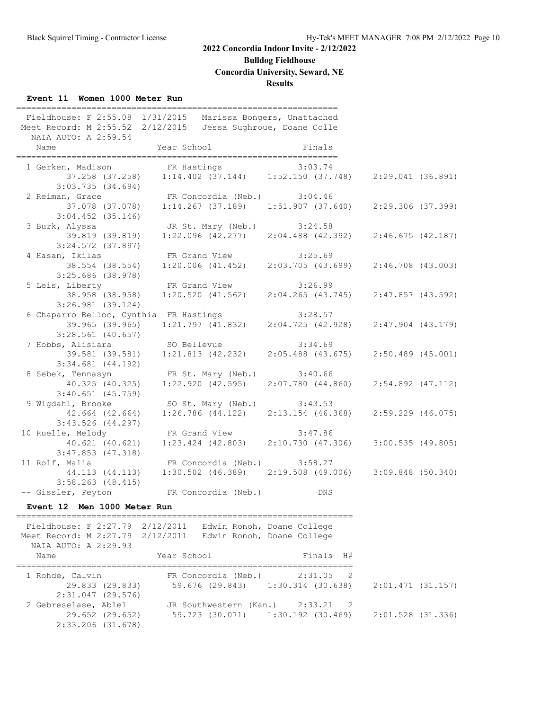# **Bulldog Fieldhouse**

**Concordia University, Seward, NE**

### **Results**

### **Event 11 Women 1000 Meter Run**

| Fieldhouse: F 2:55.08 1/31/2015<br>Meet Record: M 2:55.52 2/12/2015<br>NAIA AUTO: A 2:59.54                    |                                                                       | ============<br>Marissa Bongers, Unattached<br>Jessa Sughroue, Doane Colle |                     |
|----------------------------------------------------------------------------------------------------------------|-----------------------------------------------------------------------|----------------------------------------------------------------------------|---------------------|
| Name                                                                                                           | Year School                                                           | Finals                                                                     |                     |
| 1 Gerken, Madison FR Hastings 3:03.74<br>37.258 (37.258) 1:14.402 (37.144) 1:52.150 (37.748) 2:29.041 (36.891) |                                                                       |                                                                            |                     |
|                                                                                                                |                                                                       |                                                                            |                     |
| 3:03.735(34.694)<br>2 Reiman, Grace                                                                            | FR Concordia (Neb.) 3:04.46                                           |                                                                            |                     |
|                                                                                                                | 37.078 (37.078) 1:14.267 (37.189) 1:51.907 (37.640) 2:29.306 (37.399) |                                                                            |                     |
| $3:04.452$ (35.146)                                                                                            |                                                                       |                                                                            |                     |
| 3 Burk, Alyssa                                                                                                 | JR St. Mary (Neb.) 3:24.58                                            |                                                                            |                     |
| 39.819 (39.819)                                                                                                | $1:22.096$ (42.277) $2:04.488$ (42.392) $2:46.675$ (42.187)           |                                                                            |                     |
| $3:24.572$ (37.897)                                                                                            |                                                                       |                                                                            |                     |
| 4 Hasan, Ikilas                                                                                                | FR Grand View 3:25.69                                                 |                                                                            |                     |
| 38.554 (38.554)                                                                                                | $1:20.006$ (41.452) $2:03.705$ (43.699)                               |                                                                            | $2:46.708$ (43.003) |
| $3:25.686$ (38.978)                                                                                            |                                                                       |                                                                            |                     |
| 5 Leis, Liberty                                                                                                | FR Grand View                                                         | 3:26.99                                                                    |                     |
| 38.958 (38.958)                                                                                                | $1:20.520$ (41.562) $2:04.265$ (43.745) $2:47.857$ (43.592)           |                                                                            |                     |
| $3:26.981$ (39.124)                                                                                            |                                                                       |                                                                            |                     |
| 6 Chaparro Belloc, Cynthia FR Hastings                                                                         | $3:28.57$<br>1:21.797 (41.832) 2:04 725 100                           |                                                                            |                     |
| 39.965 (39.965)                                                                                                |                                                                       | $2:04.725$ (42.928) $2:47.904$ (43.179)                                    |                     |
| $3:28.561$ (40.657)                                                                                            |                                                                       |                                                                            |                     |
| 7 Hobbs, Alisiara                                                                                              | SO Bellevue                                                           | 3:34.69                                                                    |                     |
| 39.581 (39.581)                                                                                                | 1:21.813(42.232)                                                      | $2:05.488$ (43.675) $2:50.489$ (45.001)                                    |                     |
| $3:34.681$ (44.192)                                                                                            |                                                                       |                                                                            |                     |
| 8 Sebek, Tennasyn                                                                                              | FR St. Mary (Neb.)                                                    | 3:40.66                                                                    |                     |
| 40.325 (40.325)                                                                                                | 1:22.920(42.595)                                                      | 2:07.780(44.860)                                                           | 2:54.892 (47.112)   |
| $3:40.651$ (45.759)                                                                                            |                                                                       |                                                                            |                     |
| 9 Wigdahl, Brooke                                                                                              | SO St. Mary (Neb.) 3:43.53                                            |                                                                            |                     |
| 42.664 (42.664)                                                                                                | $1:26.786$ (44.122) $2:13.154$ (46.368)                               |                                                                            | 2:59.229 (46.075)   |
| $3:43.526$ (44.297)                                                                                            |                                                                       |                                                                            |                     |
| 10 Ruelle, Melody                                                                                              | FR Grand View                                                         | 3:47.86                                                                    |                     |
| 40.621 (40.621)                                                                                                | $1:23.424$ (42.803) $2:10.730$ (47.306)                               |                                                                            | 3:00.535(49.805)    |
| $3:47.853$ $(47.318)$<br>11 Rolf, Malia                                                                        | FR Concordia (Neb.) 3:58.27                                           |                                                                            |                     |
| 44.113 (44.113)                                                                                                | $1:30.502$ (46.389) $2:19.508$ (49.006)                               |                                                                            | $3:09.848$ (50.340) |
| $3:58.263$ (48.415)                                                                                            |                                                                       |                                                                            |                     |
| -- Gissler, Peyton                                                                                             | FR Concordia (Neb.)                                                   | DNS                                                                        |                     |
|                                                                                                                |                                                                       |                                                                            |                     |

## **Event 12 Men 1000 Meter Run**

=================================================================== Fieldhouse: F 2:27.79 2/12/2011 Edwin Ronoh, Doane College Meet Record: M 2:27.79 2/12/2011 Edwin Ronoh, Doane College NAIA AUTO: A 2:29.93 Name  $Year School$  Finals H# =================================================================== 1 Rohde, Calvin FR Concordia (Neb.) 2:31.05 2 29.833 (29.833) 59.676 (29.843) 1:30.314 (30.638) 2:01.471 (31.157) 2:31.047 (29.576) 2 Gebreselase, Ablel JR Southwestern (Kan.) 2:33.21 2 29.652 (29.652) 59.723 (30.071) 1:30.192 (30.469) 2:01.528 (31.336) 2:33.206 (31.678)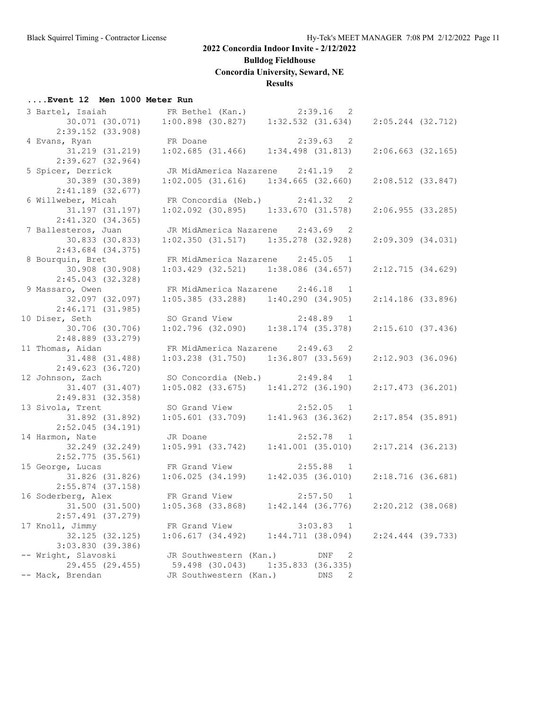**Bulldog Fieldhouse**

**Concordia University, Seward, NE**

## **Results**

## **....Event 12 Men 1000 Meter Run**

| 3 Bartel, Isaiah (Kan.) |                                         | $2:39.16$ 2                                                    |                       |
|-------------------------|-----------------------------------------|----------------------------------------------------------------|-----------------------|
| 30.071 (30.071)         |                                         | $1:00.898$ (30.827) $1:32.532$ (31.634)                        | 2:05.244 (32.712)     |
| 2:39.152 (33.908)       |                                         |                                                                |                       |
| 4 Evans, Ryan           | FR Doane                                | 2:39.63 2                                                      |                       |
| 31.219 (31.219)         |                                         | FR Doane 2:39.63 2<br>1:02.685 (31.466) 1:34.498 (31.813)      | $2:06.663$ $(32.165)$ |
| $2:39.627$ (32.964)     |                                         |                                                                |                       |
|                         |                                         |                                                                |                       |
| 5 Spicer, Derrick       | JR MidAmerica Nazarene 2:41.19 2        |                                                                |                       |
| 30.389 (30.389)         | $1:02.005$ (31.616) $1:34.665$ (32.660) |                                                                | 2:08.512 (33.847)     |
| 2:41.189 (32.677)       |                                         |                                                                |                       |
| 6 Willweber, Micah      | FR Concordia (Neb.) 2:41.32 2           |                                                                |                       |
| 31.197 (31.197)         | $1:02.092$ (30.895) $1:33.670$ (31.578) |                                                                | $2:06.955$ (33.285)   |
| 2:41.320(34.365)        |                                         |                                                                |                       |
| 7 Ballesteros, Juan     | JR MidAmerica Nazarene 2:43.69 2        |                                                                |                       |
| 30.833 (30.833)         |                                         | $1:02.350$ $(31.517)$ $1:35.278$ $(32.928)$                    | $2:09.309$ $(34.031)$ |
| $2:43.684$ $(34.375)$   |                                         |                                                                |                       |
| 8 Bourquin, Bret        | FR MidAmerica Nazarene 2:45.05 1        |                                                                |                       |
| 30.908 (30.908)         |                                         | $1:03.429$ (32.521) $1:38.086$ (34.657)                        | 2:12.715 (34.629)     |
| $2:45.043$ (32.328)     |                                         |                                                                |                       |
|                         |                                         |                                                                |                       |
| 9 Massaro, Owen         | FR MidAmerica Nazarene 2:46.18 1        |                                                                |                       |
| 32.097 (32.097)         |                                         | $1:05.385$ (33.288) $1:40.290$ (34.905)                        | 2:14.186 (33.896)     |
| 2:46.171(31.985)        |                                         |                                                                |                       |
| 10 Diser, Seth          |                                         | SO Grand View 2:48.89 1<br>1:02.796 (32.090) 1:38.174 (35.378) |                       |
| 30.706 (30.706)         |                                         |                                                                | 2:15.610(37.436)      |
| 2:48.889 (33.279)       |                                         |                                                                |                       |
| 11 Thomas, Aidan        | FR MidAmerica Nazarene 2:49.63 2        |                                                                |                       |
| 31.488 (31.488)         |                                         | $1:03.238$ $(31.750)$ $1:36.807$ $(33.569)$                    | $2:12.903$ (36.096)   |
| $2:49.623$ (36.720)     |                                         |                                                                |                       |
| 12 Johnson, Zach        | SO Concordia (Neb.) $2:49.84$ 1         |                                                                |                       |
| 31.407 (31.407)         |                                         | $1:05.082$ (33.675) $1:41.272$ (36.190)                        | 2:17.473 (36.201)     |
| 2:49.831 (32.358)       |                                         |                                                                |                       |
| 13 Sivola, Trent        |                                         |                                                                |                       |
|                         |                                         | SO Grand View 2:52.05 1<br>1:05.601 (33.709) 1:41.963 (36.362) |                       |
| 31.892 (31.892)         |                                         |                                                                | $2:17.854$ (35.891)   |
| $2:52.045$ (34.191)     |                                         |                                                                |                       |
| 14 Harmon, Nate         | JR Doane                                | 2:52.78 1                                                      |                       |
| 32.249 (32.249)         | 1:05.991(33.742)                        | 1:41.001(35.010)                                               | 2:17.214 (36.213)     |
| $2:52.775$ (35.561)     |                                         |                                                                |                       |
| 15 George, Lucas        | FR Grand View                           | $2:55.88$ 1                                                    |                       |
| 31.826 (31.826)         |                                         | $1:06.025$ (34.199) $1:42.035$ (36.010)                        | 2:18.716(36.681)      |
| $2:55.874$ (37.158)     |                                         |                                                                |                       |
| 16 Soderberg, Alex      | FR Grand View 2:57.50 1                 |                                                                |                       |
| 31.500 (31.500)         |                                         | $1:05.368$ (33.868) $1:42.144$ (36.776)                        | $2:20.212$ (38.068)   |
| $2:57.491$ (37.279)     |                                         |                                                                |                       |
| 17 Knoll, Jimmy         | FR Grand View                           | 3:03.83<br>1                                                   |                       |
| 32.125 (32.125)         | 1:06.617(34.492)                        | 1:44.711(38.094)                                               | 2:24.444 (39.733)     |
|                         |                                         |                                                                |                       |
| 3:03.830 (39.386)       |                                         |                                                                |                       |
| -- Wright, Slavoski     | JR Southwestern (Kan.)                  | 2<br>DNF                                                       |                       |
| 29.455 (29.455)         | 59.498 (30.043)                         | $1:35.833$ (36.335)                                            |                       |
| -- Mack, Brendan        | JR Southwestern (Kan.)                  | DNS<br>2                                                       |                       |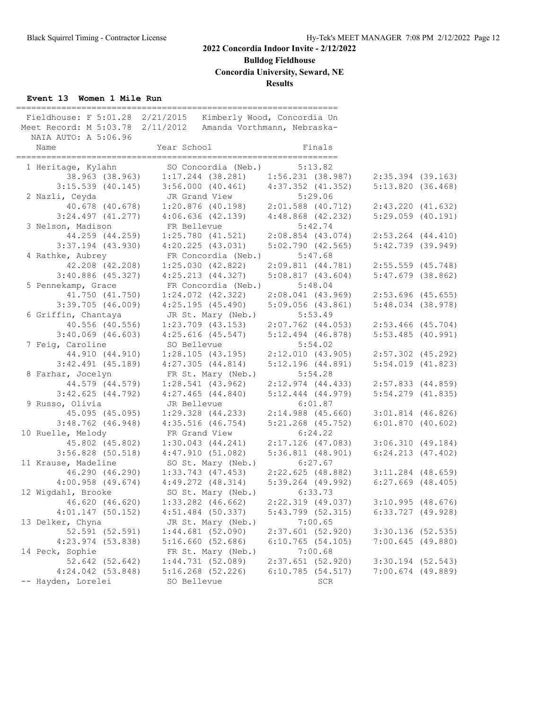**Bulldog Fieldhouse**

**Concordia University, Seward, NE**

## **Results**

## **Event 13 Women 1 Mile Run**

| Meet Record: M 5:03.78 2/11/2012<br>NAIA AUTO: A 5:06.96 | Fieldhouse: F 5:01.28 2/21/2015 |                       | Kimberly Wood, Concordia Un<br>Amanda Vorthmann, Nebraska- |                       |  |
|----------------------------------------------------------|---------------------------------|-----------------------|------------------------------------------------------------|-----------------------|--|
| Name                                                     | Year School                     |                       | Finals                                                     |                       |  |
| 1 Heritage, Kylahn                                       |                                 | SO Concordia (Neb.)   | 5:13.82                                                    |                       |  |
| 38.963 (38.963)                                          |                                 |                       | $1:17.244$ (38.281) $1:56.231$ (38.987)                    | $2:35.394$ (39.163)   |  |
| $3:15.539$ (40.145)                                      |                                 |                       | $3:56.000$ (40.461) $4:37.352$ (41.352)                    | 5:13.820(36.468)      |  |
| 2 Nazli, Ceyda                                           | JR Grand View                   |                       | 5:29.06                                                    |                       |  |
| 40.678 (40.678)                                          |                                 | 1:20.876 (40.198)     | $2:01.588$ (40.712)                                        | 2:43.220(41.632)      |  |
| $3:24.497$ $(41.277)$                                    |                                 | $4:06.636$ $(42.139)$ | $4:48.868$ $(42.232)$                                      | $5:29.059$ $(40.191)$ |  |
| 3 Nelson, Madison                                        | FR Bellevue                     |                       | 5:42.74                                                    |                       |  |
| 44.259 (44.259)                                          |                                 | $1:25.780$ (41.521)   | $2:08.854$ (43.074)                                        | $2:53.264$ $(44.410)$ |  |
| $3:37.194$ (43.930)                                      |                                 | 4:20.225(43.031)      | 5:02.790(42.565)                                           | $5:42.739$ (39.949)   |  |
| 4 Rathke, Aubrey                                         |                                 | FR Concordia (Neb.)   | 5:47.68                                                    |                       |  |
| 42.208 (42.208)                                          |                                 | 1:25.030(42.822)      | 2:09.811(44.781)                                           | $2:55.559$ (45.748)   |  |
| $3:40.886$ (45.327)                                      |                                 | $4:25.213$ $(44.327)$ | 5:08.817(43.604)                                           | $5:47.679$ (38.862)   |  |
| 5 Pennekamp, Grace                                       |                                 | FR Concordia (Neb.)   | 5:48.04                                                    |                       |  |
| 41.750 (41.750)                                          |                                 | $1:24.072$ $(42.322)$ | $2:08.041$ (43.969)                                        | $2:53.696$ (45.655)   |  |
| $3:39.705$ (46.009)                                      |                                 | 4:25.195(45.490)      | 5:09.056(43.861)                                           | $5:48.034$ (38.978)   |  |
| 6 Griffin, Chantaya                                      |                                 | JR St. Mary (Neb.)    | 5:53.49                                                    |                       |  |
| 40.556 (40.556)                                          |                                 | $1:23.709$ (43.153)   | $2:07.762$ $(44.053)$                                      | $2:53.466$ (45.704)   |  |
| $3:40.069$ (46.603)                                      |                                 | $4:25.616$ (45.547)   | $5:12.494$ (46.878)                                        | $5:53.485$ (40.991)   |  |
| 7 Feig, Caroline                                         | SO Bellevue                     |                       | 5:54.02                                                    |                       |  |
| 44.910 (44.910)                                          |                                 | $1:28.105$ (43.195)   | 2:12.010(43.905)                                           | $2:57.302$ (45.292)   |  |
| $3:42.491$ (45.189)                                      |                                 | 4:27.305(44.814)      | $5:12.196$ (44.891)                                        | $5:54.019$ $(41.823)$ |  |
| 8 Farhar, Jocelyn                                        |                                 | FR St. Mary (Neb.)    | 5:54.28                                                    |                       |  |
| 44.579 (44.579)                                          |                                 | $1:28.541$ (43.962)   | 2:12.974(44.433)                                           | $2:57.833$ (44.859)   |  |
| 3:42.625(44.792)                                         |                                 | $4:27.465$ $(44.840)$ | $5:12.444$ $(44.979)$                                      | $5:54.279$ $(41.835)$ |  |
| 9 Russo, Olivia                                          | JR Bellevue                     |                       | 6:01.87                                                    |                       |  |
| 45.095 (45.095)                                          |                                 | $1:29.328$ $(44.233)$ | $2:14.988$ (45.660)                                        | $3:01.814$ (46.826)   |  |
| $3:48.762$ (46.948)                                      |                                 | $4:35.516$ (46.754)   | $5:21.268$ (45.752)                                        | $6:01.870$ (40.602)   |  |
| 10 Ruelle, Melody                                        | FR Grand View                   |                       | 6:24.22                                                    |                       |  |
| 45.802 (45.802)                                          |                                 | 1:30.043(44.241)      | $2:17.126$ (47.083)                                        | 3:06.310(49.184)      |  |
| $3:56.828$ (50.518)                                      |                                 | 4:47.910(51.082)      | 5:36.811(48.901)                                           | $6:24.213$ $(47.402)$ |  |
| 11 Krause, Madeline                                      |                                 | SO St. Mary (Neb.)    | 6:27.67                                                    |                       |  |
| 46.290 (46.290)                                          |                                 | $1:33.743$ $(47.453)$ | 2:22.625(48.882)                                           | $3:11.284$ (48.659)   |  |
| $4:00.958$ (49.674)                                      | $4:49.272$ $(48.314)$           |                       | $5:39.264$ (49.992)                                        | $6:27.669$ $(48.405)$ |  |
| 12 Wigdahl, Brooke                                       |                                 | SO St. Mary (Neb.)    | 6:33.73                                                    |                       |  |
| 46.620 (46.620)                                          |                                 | $1:33.282$ $(46.662)$ | $2:22.319$ (49.037)                                        | $3:10.995$ (48.676)   |  |
| 4:01.147(50.152)                                         |                                 | $4:51.484$ (50.337)   | 5:43.799 (52.315)                                          | $6:33.727$ $(49.928)$ |  |
| 13 Delker, Chyna                                         |                                 | JR St. Mary (Neb.)    | 7:00.65                                                    |                       |  |
| 52.591 (52.591)                                          |                                 | $1:44.681$ (52.090)   | $2:37.601$ (52.920)                                        | $3:30.136$ (52.535)   |  |
| 4:23.974 (53.838)                                        |                                 | 5:16.660(52.686)      | 6:10.765(54.105)                                           | 7:00.645(49.880)      |  |
| 14 Peck, Sophie                                          |                                 | FR St. Mary (Neb.)    | 7:00.68                                                    |                       |  |
| 52.642 (52.642)                                          |                                 | 1:44.731(52.089)      | $2:37.651$ (52.920)                                        | $3:30.194$ $(52.543)$ |  |
| $4:24.042$ $(53.848)$                                    |                                 | $5:16.268$ (52.226)   | 6:10.785(54.517)                                           | $7:00.674$ (49.889)   |  |
| -- Hayden, Lorelei                                       | SO Bellevue                     |                       | SCR                                                        |                       |  |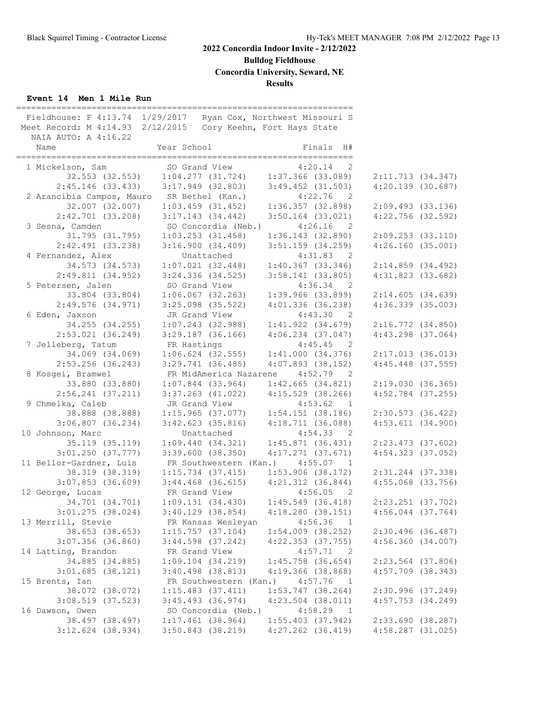**Bulldog Fieldhouse**

**Concordia University, Seward, NE**

## **Results**

## **Event 14 Men 1 Mile Run**

| Fieldhouse: F 4:13.74 1/29/2017<br>Meet Record: M 4:14.93 2/12/2015<br>NAIA AUTO: A 4:16.22 |                                         | Ryan Cox, Northwest Missouri S<br>Cory Keehn, Fort Hays State |                                              |  |
|---------------------------------------------------------------------------------------------|-----------------------------------------|---------------------------------------------------------------|----------------------------------------------|--|
| Name                                                                                        | Year School                             | Finals H#                                                     |                                              |  |
| 1 Mickelson, Sam                                                                            | SO Grand View                           | 4:20.14<br>$\overline{\phantom{0}}^2$                         |                                              |  |
| 32.553 (32.553)                                                                             | $1:04.277$ (31.724) $1:37.366$ (33.089) |                                                               | 2:11.713(34.347)                             |  |
| $2:45.146$ (33.433)                                                                         | $3:17.949$ (32.803)                     | $3:49.452$ (31.503)                                           | $4:20.139$ (30.687)                          |  |
| 2 Arancibia Campos, Mauro SR Bethel (Kan.)                                                  |                                         | $4:22.76$ 2                                                   |                                              |  |
| 32.007 (32.007)                                                                             | $1:03.459$ $(31.452)$                   | 1:36.357(32.898)                                              | $2:09.493$ (33.136)                          |  |
| $2:42.701$ (33.208)                                                                         | $3:17.143$ (34.442)                     | $3:50.164$ (33.021)                                           | $4:22.756$ (32.592)                          |  |
| 3 Sesna, Camden                                                                             | SO Concordia (Neb.)                     | 4:26.16<br>$\overline{2}$                                     |                                              |  |
| 31.795 (31.795)                                                                             | $1:03.253$ (31.458)                     | 1:36.143(32.890)                                              | 2:09.253(33.110)                             |  |
| $2:42.491$ (33.238)                                                                         | 3:16.900(34.409)                        | $3:51.159$ $(34.259)$                                         | 4:26.160(35.001)                             |  |
| 4 Fernandez, Alex                                                                           | Unattached                              | 4:31.83 2                                                     |                                              |  |
| 34.573 (34.573)                                                                             | 1:07.021(32.448)                        | $1:40.367$ (33.346)                                           | 2:14.859 (34.492)                            |  |
| 2:49.811(34.952)                                                                            | $3:24.336$ $(34.525)$                   | $3:58.141$ (33.805)                                           | $4:31.823$ (33.682)                          |  |
| 5 Petersen, Jalen                                                                           | SO Grand View                           | $4:36.34$ 2                                                   |                                              |  |
| 33.804 (33.804)                                                                             | $1:06.067$ (32.263)                     | $1:39.966$ (33.899)                                           | 2:14.605(34.639)                             |  |
| $2:49.576$ (34.971)                                                                         | $3:25.098$ (35.522)                     | $4:01.336$ (36.238)                                           | $4:36.339$ (35.003)                          |  |
| 6 Eden, Jaxson                                                                              | JR Grand View                           | 4:43.30 2                                                     |                                              |  |
| 34.255 (34.255)                                                                             | $1:07.243$ (32.988)                     | $1:41.922$ $(34.679)$                                         | 2:16.772(34.850)                             |  |
| $2:53.021$ (36.249)                                                                         | $3:29.187$ (36.166)                     | $4:06.234$ $(37.047)$                                         | $4:43.298$ $(37.064)$                        |  |
| 7 Jelleberg, Tatum                                                                          | FR Hastings                             | 4:45.45<br>$\overline{2}$                                     |                                              |  |
| 34.069 (34.069)                                                                             | $1:06.624$ (32.555)                     | 1:41.000(34.376)                                              | 2:17.013(36.013)                             |  |
| $2:53.256$ (36.243)                                                                         | $3:29.741$ (36.485)                     | $4:07.893$ $(38.152)$                                         | $4:45.448$ (37.555)                          |  |
| 8 Kosgei, Bramwel                                                                           | FR MidAmerica Nazarene 4:52.79 2        |                                                               |                                              |  |
| 33.880 (33.880)                                                                             | $1:07.844$ (33.964)                     | 1:42.665(34.821)                                              | 2:19.030(36.365)                             |  |
| $2:56.241$ (37.211)                                                                         | $3:37.263$ (41.022)                     | $4:15.529$ (38.266)                                           | $4:52.784$ (37.255)                          |  |
| 9 Chmelka, Caleb                                                                            | JR Grand View                           | 4:53.62<br>$\overline{1}$                                     |                                              |  |
| 38.888 (38.888)                                                                             | $1:15.965$ (37.077) $1:54.151$ (38.186) |                                                               | $2:30.573$ (36.422)<br>$4:53.611$ $(34.900)$ |  |
| $3:06.807$ (36.234)<br>10 Johnson, Marc                                                     | $3:42.623$ (35.816)<br>Unattached       | 4:18.711 (36.088)<br>4:54.33 2                                |                                              |  |
| 35.119 (35.119)                                                                             | 1:09.440(34.321)                        | 1:45.871(36.431)                                              | $2:23.473$ (37.602)                          |  |
| $3:01.250$ (37.777)                                                                         | 3:39.600(38.350)                        | $4:17.271$ $(37.671)$                                         | $4:54.323$ (37.052)                          |  |
| 11 Bellor-Gardner, Luis                                                                     | FR Southwestern (Kan.)                  | 4:55.07<br>$\mathbf{1}$                                       |                                              |  |
| 38.319 (38.319)                                                                             | $1:15.734$ (37.415)                     | 1:53.906(38.172)                                              | 2:31.244 (37.338)                            |  |
| $3:07.853$ (36.609)                                                                         | $3:44.468$ (36.615) $4:21.312$ (36.844) |                                                               | $4:55.068$ $(33.756)$                        |  |
| 12 George, Lucas                                                                            | FR Grand View                           | $4:56.05$ 2                                                   |                                              |  |
| 34.701 (34.701)                                                                             | 1:09.131(34.430)                        | $1:45.549$ (36.418)                                           | $2:23.251$ (37.702)                          |  |
| $3:01.275$ (38.024)                                                                         | $3:40.129$ (38.854)                     | 4:18.280(38.151)                                              | $4:56.044$ $(37.764)$                        |  |
| 13 Merrill, Stevie                                                                          | FR Kansas Wesleyan                      | 4:56.36<br>$\overline{1}$                                     |                                              |  |
| 38.653 (38.653)                                                                             | 1:15.757(37.104)                        | $1:54.009$ $(38.252)$                                         | $2:30.496$ (36.487)                          |  |
| $3:07.356$ (36.860)                                                                         | $3:44.598$ $(37.242)$                   | $4:22.353$ $(37.755)$                                         | 4:56.360(34.007)                             |  |
| 14 Latting, Brandon                                                                         | FR Grand View                           | 4:57.71<br>- 2                                                |                                              |  |
| 34.885 (34.885)                                                                             | $1:09.104$ $(34.219)$                   | $1:45.758$ (36.654)                                           | 2:23.564 (37.806)                            |  |
| $3:01.685$ (38.121)                                                                         | $3:40.498$ $(38.813)$                   | $4:19.366$ (38.868)                                           | $4:57.709$ $(38.343)$                        |  |
| 15 Brents, Ian                                                                              | FR Southwestern (Kan.)                  | 4:57.76<br>$\overline{1}$                                     |                                              |  |
| 38.072 (38.072)                                                                             | $1:15.483$ (37.411)                     | $1:53.747$ (38.264)                                           | 2:30.996 (37.249)                            |  |
| $3:08.519$ $(37.523)$                                                                       | $3:45.493$ (36.974)                     | $4:23.504$ $(38.011)$                                         | $4:57.753$ $(34.249)$                        |  |
| 16 Dawson, Owen                                                                             | SO Concordia (Neb.)                     | 4:58.29<br>$\overline{\phantom{1}}$                           |                                              |  |
| 38.497 (38.497)                                                                             | $1:17.461$ (38.964)                     | $1:55.403$ (37.942)                                           | 2:33.690(38.287)                             |  |
| $3:12.624$ (38.934)                                                                         | $3:50.843$ (38.219)                     | $4:27.262$ $(36.419)$                                         | $4:58.287$ (31.025)                          |  |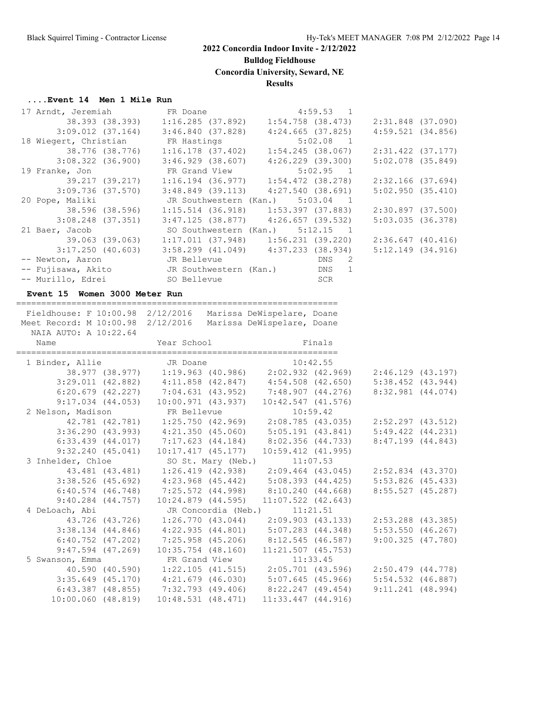**Bulldog Fieldhouse**

**Concordia University, Seward, NE**

## **Results**

## **....Event 14 Men 1 Mile Run**

| 17 Arndt, Jeremiah FR Doane                                                                                |             | 4:59.53 1                                                                       |                     |
|------------------------------------------------------------------------------------------------------------|-------------|---------------------------------------------------------------------------------|---------------------|
|                                                                                                            |             | 38.393 (38.393) 1:16.285 (37.892) 1:54.758 (38.473) 2:31.848 (37.090)           |                     |
|                                                                                                            |             | $3:09.012$ (37.164) $3:46.840$ (37.828) $4:24.665$ (37.825)                     | $4:59.521$ (34.856) |
|                                                                                                            |             |                                                                                 |                     |
| 18 Wiegert, Christian FR Hastings 5:02.08 1<br>38.776 (38.776) 1:16.178 (37.402) 1:54.245 (38.067)         |             |                                                                                 | 2:31.422 (37.177)   |
|                                                                                                            |             | $3:08.322$ (36.900) $3:46.929$ (38.607) $4:26.229$ (39.300)                     | 5:02.078(35.849)    |
| 19 Franke, Jon FR Grand View 5:02.95 1<br>39.217 (39.217) 1:16.194 (36.977) 1:54.472 (38.278)              |             |                                                                                 |                     |
|                                                                                                            |             |                                                                                 | 2:32.166 (37.694)   |
|                                                                                                            |             | $3:09.736$ (37.570) $3:48.849$ (39.113) $4:27.540$ (38.691)                     | 5:02.950(35.410)    |
| 20 Pope, Maliki Mark JR Southwestern (Kan.) 5:03.04 1                                                      |             |                                                                                 |                     |
|                                                                                                            |             |                                                                                 | 2:30.897 (37.500)   |
|                                                                                                            |             | $3:08.248$ (37.351) $3:47.125$ (38.877) $4:26.657$ (39.532)                     | 5:03.035(36.378)    |
| 21 Baer, Jacob SO Southwestern (Kan.) 5:12.15 1                                                            |             |                                                                                 |                     |
|                                                                                                            |             | 39.063 (39.063) 1:17.011 (37.948) 1:56.231 (39.220) 2:36.647 (40.416)           |                     |
|                                                                                                            |             | $3:17.250$ (40.603) $3:58.299$ (41.049) $4:37.233$ (38.934)                     | 5:12.149(34.916)    |
|                                                                                                            |             |                                                                                 |                     |
|                                                                                                            |             |                                                                                 |                     |
| -- Murillo, Edrei (SO Bellevue)                                                                            |             | <b>SCR</b>                                                                      |                     |
| Event 15 Women 3000 Meter Run                                                                              |             |                                                                                 |                     |
|                                                                                                            |             |                                                                                 |                     |
| Fieldhouse: F 10:00.98 2/12/2016 Marissa DeWispelare, Doane                                                |             |                                                                                 |                     |
| Meet Record: M 10:00.98 2/12/2016 Marissa DeWispelare, Doane                                               |             |                                                                                 |                     |
| NAIA AUTO: A 10:22.64                                                                                      |             |                                                                                 |                     |
| Name                                                                                                       | Year School | Finals                                                                          |                     |
|                                                                                                            |             |                                                                                 |                     |
| 1 Binder, Allie JR Doane 10:42.55<br>38.977 (38.977) 1:19.963 (40.986) 2:02.932 (42.969) 2:46.129 (43.197) |             |                                                                                 |                     |
|                                                                                                            |             | $3:29.011$ (42.882) $4:11.858$ (42.847) $4:54.508$ (42.650) $5:38.452$ (43.944) |                     |
|                                                                                                            |             | 6:20.679 (42.227) 7:04.631 (43.952) 7:48.907 (44.276) 8:32.981 (44.074)         |                     |
|                                                                                                            |             |                                                                                 |                     |

|                        | $9:17.034$ $(44.053)$ | 10:00.971 (43.937)                                      | $10:42.547$ $(41.576)$              |                       |  |
|------------------------|-----------------------|---------------------------------------------------------|-------------------------------------|-----------------------|--|
| 2 Nelson, Madison      |                       | FR Bellevue                                             | 10:59.42                            |                       |  |
|                        | 42.781 (42.781)       | 1:25.750 (42.969)                                       | 2:08.785 (43.035)                   | $2:52.297$ (43.512)   |  |
| 3:36.290(43.993)       |                       | 4:21.350 (45.060)                                       | 5:05.191(43.841)                    | $5:49.422$ $(44.231)$ |  |
| $6:33.439$ $(44.017)$  |                       |                                                         | 7:17.623 (44.184) 8:02.356 (44.733) | $8:47.199$ $(44.843)$ |  |
|                        | 9:32.240(45.041)      | 10:17.417(45.177)                                       | $10:59.412$ $(41.995)$              |                       |  |
| 3 Inhelder, Chloe      |                       | SO St. Mary (Neb.)                                      | 11:07.53                            |                       |  |
|                        | 43.481 (43.481)       | 1:26.419 (42.938)                                       | 2:09.464 (43.045)                   | $2:52.834$ $(43.370)$ |  |
| $3:38.526$ (45.692)    |                       | 4:23.968 (45.442)                                       | 5:08.393 (44.425)                   | $5:53.826$ (45.433)   |  |
|                        |                       | $6:40.574$ (46.748) 7:25.572 (44.998) 8:10.240 (44.668) |                                     | $8:55.527$ (45.287)   |  |
|                        | $9:40.284$ $(44.757)$ | $10:24.879$ $(44.595)$                                  | $11:07.522$ $(42.643)$              |                       |  |
| 4 DeLoach, Abi         |                       |                                                         | JR Concordia (Neb.) 11:21.51        |                       |  |
|                        | 43.726 (43.726)       | 1:26.770(43.044)                                        | 2:09.903 (43.133)                   | $2:53.288$ (43.385)   |  |
| $3:38.134$ $(44.846)$  |                       | 4:22.935 (44.801)                                       | 5:07.283 (44.348)                   | $5:53.550$ (46.267)   |  |
|                        |                       | $6:40.752$ (47.202) 7:25.958 (45.206) 8:12.545 (46.587) |                                     | 9:00.325(47.780)      |  |
|                        | $9:47.594$ (47.269)   | $10:35.754$ (48.160)                                    | $11:21.507$ (45.753)                |                       |  |
| 5 Swanson, Emma        |                       | FR Grand View                                           | 11:33.45                            |                       |  |
|                        | 40.590 (40.590)       | $1:22.105$ (41.515)                                     | 2:05.701 (43.596)                   | $2:50.479$ $(44.778)$ |  |
| $3:35.649$ (45.170)    |                       | 4:21.679 (46.030)                                       | 5:07.645 (45.966)                   | $5:54.532$ (46.887)   |  |
|                        |                       | $6:43.387$ (48.855) 7:32.793 (49.406) 8:22.247 (49.454) |                                     | $9:11.241$ (48.994)   |  |
| $10:00.060$ $(48.819)$ |                       | $10:48.531$ $(48.471)$                                  | $11:33.447$ $(44.916)$              |                       |  |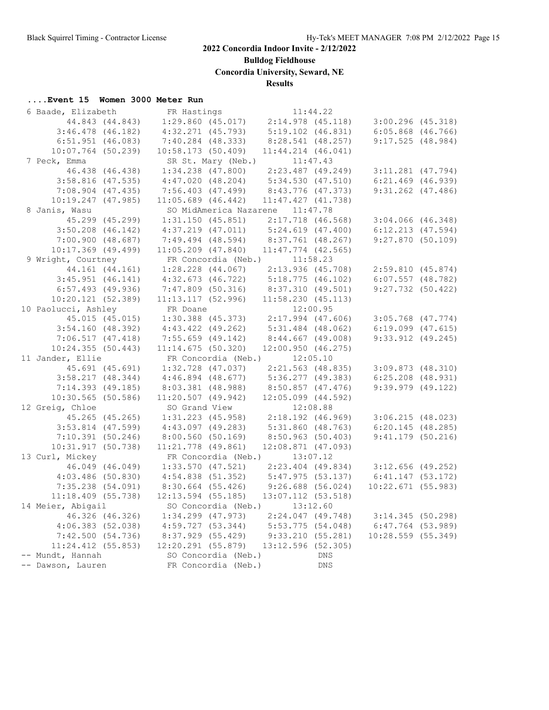**Bulldog Fieldhouse**

**Concordia University, Seward, NE**

## **Results**

## **....Event 15 Women 3000 Meter Run**

| 6 Baade, Elizabeth     | FR Hastings                                                    | 11:44.22                                |                       |  |
|------------------------|----------------------------------------------------------------|-----------------------------------------|-----------------------|--|
| 44.843 (44.843)        |                                                                | $1:29.860$ (45.017) $2:14.978$ (45.118) | $3:00.296$ (45.318)   |  |
| $3:46.478$ (46.182)    | $4:32.271$ $(45.793)$                                          | $5:19.102$ $(46.831)$                   | $6:05.868$ $(46.766)$ |  |
| 6:51.951(46.083)       | 7:40.284 (48.333)                                              | 8:28.541 (48.257)                       | 9:17.525(48.984)      |  |
| $10:07.764$ (50.239)   | 10:58.173(50.409)                                              | $11:44.214$ $(46.041)$                  |                       |  |
| 7 Peck, Emma           | SR St. Mary (Neb.)                                             | 11:47.43                                |                       |  |
| 46.438 (46.438)        | $1:34.238$ $(47.800)$                                          | 2:23.487 (49.249)                       | $3:11.281$ (47.794)   |  |
| $3:58.816$ (47.535)    | 4:47.020(48.204)                                               | 5:34.530 (47.510)                       | $6:21.469$ $(46.939)$ |  |
| $7:08.904$ $(47.435)$  | $7:56.403$ $(47.499)$                                          | 8:43.776 (47.373)                       | $9:31.262$ $(47.486)$ |  |
| $10:19.247$ $(47.985)$ | $11:05.689$ (46.442)                                           | $11:47.427$ $(41.738)$                  |                       |  |
| 8 Janis, Wasu          | SO MidAmerica Nazarene 11:47.78                                |                                         |                       |  |
| 45.299 (45.299)        | $1:31.150$ (45.851)                                            | $2:17.718$ (46.568)                     | $3:04.066$ (46.348)   |  |
| $3:50.208$ $(46.142)$  | $4:37.219$ $(47.011)$                                          | 5:24.619(47.400)                        | $6:12.213$ $(47.594)$ |  |
| 7:00.900(48.687)       | $7:49.494$ $(48.594)$                                          | 8:37.761 (48.267)                       | 9:27.870(50.109)      |  |
| $10:17.369$ (49.499)   | $11:05.209$ (47.840)                                           | $11:47.774$ (42.565)                    |                       |  |
| 9 Wright, Courtney     | FR Concordia (Neb.)                                            | 11:58.23                                |                       |  |
| 44.161 (44.161)        | $1:28.228$ $(44.067)$                                          | 2:13.936 (45.708)                       | 2:59.810(45.874)      |  |
| $3:45.951$ $(46.141)$  | $4:32.673$ (46.722)                                            | 5:18.775(46.102)                        | $6:07.557$ $(48.782)$ |  |
| $6:57.493$ (49.936)    |                                                                | 7:47.809 (50.316) 8:37.310 (49.501)     | $9:27.732$ (50.422)   |  |
| 10:20.121 (52.389)     | 11:13.117 (52.996)                                             | 11:58.230(45.113)                       |                       |  |
| 10 Paolucci, Ashley    | FR Doane                                                       | 12:00.95                                |                       |  |
| 45.015 (45.015)        |                                                                | $1:30.388$ (45.373) $2:17.994$ (47.606) | $3:05.768$ (47.774)   |  |
| $3:54.160$ (48.392)    | $4:43.422$ $(49.262)$                                          | $5:31.484$ (48.062)                     | $6:19.099$ $(47.615)$ |  |
| 7:06.517(47.418)       | $7:55.659$ (49.142)                                            | 8:44.667(49.008)                        | $9:33.912$ (49.245)   |  |
| 10:24.355(50.443)      | 11:14.675(50.320)                                              | 12:00.950(46.275)                       |                       |  |
| 11 Jander, Ellie       | FR Concordia (Neb.) 12:05.10                                   |                                         |                       |  |
| 45.691 (45.691)        | $1:32.728$ (47.037)                                            | $2:21.563$ (48.835)                     | 3:09.873(48.310)      |  |
| $3:58.217$ (48.344)    | $4:46.894$ $(48.677)$                                          | 5:36.277(49.383)                        | $6:25.208$ $(48.931)$ |  |
| $7:14.393$ (49.185)    | $8:03.381$ (48.988)                                            | 8:50.857 (47.476)                       | $9:39.979$ $(49.122)$ |  |
| $10:30.565$ (50.586)   | 11:20.507(49.942)                                              | $12:05.099$ $(44.592)$                  |                       |  |
| 12 Greig, Chloe        | SO Grand View                                                  | 12:08.88                                |                       |  |
| 45.265 (45.265)        | $1:31.223$ (45.958)                                            | $2:18.192$ (46.969)                     | $3:06.215$ (48.023)   |  |
| $3:53.814$ (47.599)    | $4:43.097$ $(49.283)$                                          | 5:31.860(48.763)                        | $6:20.145$ (48.285)   |  |
| 7:10.391(50.246)       | 8:00.560(50.169)                                               | 8:50.963(50.403)                        | $9:41.179$ (50.216)   |  |
| 10:31.917(50.738)      | 11:21.778 (49.861)                                             | $12:08.871$ (47.093)                    |                       |  |
| 13 Curl, Mickey        | FR Concordia (Neb.) $13:07.12$                                 |                                         |                       |  |
| 46.049 (46.049)        | $1:33.570$ (47.521)                                            | $2:23.404$ (49.834)                     | $3:12.656$ (49.252)   |  |
| $4:03.486$ (50.830)    | $4:54.838$ (51.352)                                            | 5:47.975(53.137)                        | 6:41.147(53.172)      |  |
| $7:35.238$ $(54.091)$  | $8:30.664$ (55.426)                                            | $9:26.688$ (56.024)                     | $10:22.671$ (55.983)  |  |
| $11:18.409$ (55.738)   | $12:13.594$ (55.185)                                           | 13:07.112 (53.518)                      |                       |  |
| 14 Meier, Abigail      | SO Concordia (Neb.)                                            | 13:12.60                                |                       |  |
| 46.326 (46.326)        | $1:34.299$ $(47.973)$<br>$4:59.727$ (53.344) 5:53.775 (54.048) | 2:24.047 (49.748)                       | 3:14.345 (50.298)     |  |
| $4:06.383$ (52.038)    |                                                                |                                         | 6:47.764 (53.989)     |  |
| 7:42.500(54.736)       | 8:37.929 (55.429) 9:33.210 (55.281)                            |                                         | 10:28.559 (55.349)    |  |
| $11:24.412$ (55.853)   | 12:20.291 (55.879)                                             | 13:12.596 (52.305)                      |                       |  |
| -- Mundt, Hannah       | SO Concordia (Neb.)                                            | <b>DNS</b>                              |                       |  |
| -- Dawson, Lauren      | FR Concordia (Neb.)                                            | <b>DNS</b>                              |                       |  |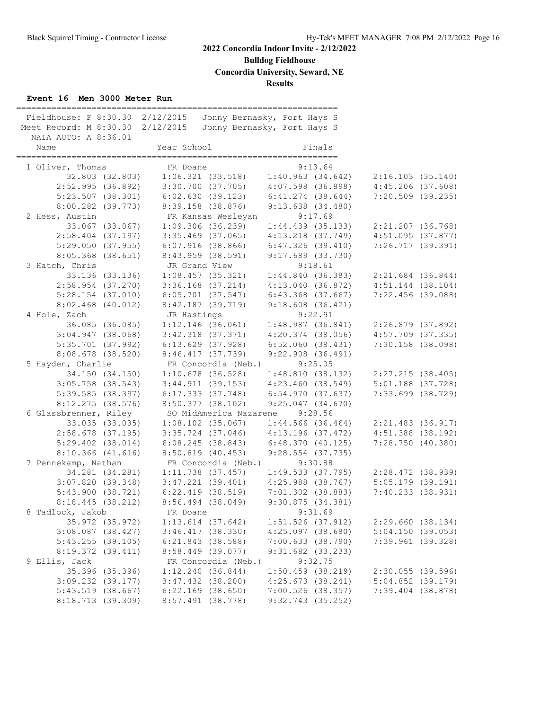**Bulldog Fieldhouse**

**Concordia University, Seward, NE**

**Results**

## **Event 16 Men 3000 Meter Run**

| Fieldhouse: F 8:30.30 2/12/2015<br>Meet Record: M 8:30.30 2/12/2015 |                 |                                         | Jonny Bernasky, Fort Hays S<br>Jonny Bernasky, Fort Hays S |                       |                     |                                         |  |
|---------------------------------------------------------------------|-----------------|-----------------------------------------|------------------------------------------------------------|-----------------------|---------------------|-----------------------------------------|--|
| NAIA AUTO: A 8:36.01<br>Name                                        |                 | Year School                             |                                                            |                       | Finals              |                                         |  |
| 1 Oliver, Thomas                                                    |                 | FR Doane                                |                                                            |                       | 9:13.64             |                                         |  |
|                                                                     | 32.803 (32.803) | $1:06.321$ (33.518) $1:40.963$ (34.642) |                                                            |                       |                     | 2:16.103(35.140)                        |  |
| 2:52.995(36.892)                                                    |                 | 3:30.700 (37.705)                       |                                                            | 4:07.598 (36.898)     |                     | $4:45.206$ $(37.608)$                   |  |
| 5:23.507(38.301)                                                    |                 | 6:02.630(39.123)                        |                                                            | $6:41.274$ $(38.644)$ |                     | $7:20.509$ (39.235)                     |  |
| 8:00.282 (39.773)                                                   |                 | 8:39.158 (38.876)                       |                                                            | 9:13.638(34.480)      |                     |                                         |  |
| 2 Hess, Austin                                                      |                 |                                         | FR Kansas Wesleyan                                         |                       | 9:17.69             |                                         |  |
|                                                                     | 33.067 (33.067) | 1:09.306(36.239)                        |                                                            |                       | $1:44.439$ (35.133) | 2:21.207 (36.768)                       |  |
| $2:58.404$ (37.197)                                                 |                 | $3:35.469$ (37.065)                     |                                                            | $4:13.218$ $(37.749)$ |                     | 4:51.095(37.877)                        |  |
| 5:29.050(37.955)                                                    |                 | $6:07.916$ (38.866)                     |                                                            | 6:47.326(39.410)      |                     | $7:26.717$ (39.391)                     |  |
| $8:05.368$ $(38.651)$                                               |                 | $8:43.959$ $(38.591)$                   |                                                            | $9:17.689$ (33.730)   |                     |                                         |  |
| 3 Hatch, Chris                                                      |                 | JR Grand View                           |                                                            |                       | 9:18.61             |                                         |  |
|                                                                     | 33.136 (33.136) |                                         | 1:08.457(35.321)                                           |                       |                     | $1:44.840$ (36.383) $2:21.684$ (36.844) |  |
| $2:58.954$ (37.270)                                                 |                 | $3:36.168$ $(37.214)$                   |                                                            | 4:13.040(36.872)      |                     | $4:51.144$ (38.104)                     |  |
| $5:28.154$ (37.010)                                                 |                 | $6:05.701$ (37.547)                     |                                                            | 6:43.368 (37.667)     |                     | 7:22.456 (39.088)                       |  |
| $8:02.468$ (40.012)                                                 |                 | 8:42.187 (39.719)                       |                                                            | 9:18.608(36.421)      |                     |                                         |  |
| 4 Hole, Zach                                                        |                 | JR Hastings                             |                                                            |                       | 9:22.91             |                                         |  |
|                                                                     | 36.085 (36.085) | $1:12.146$ (36.061)                     |                                                            |                       | 1:48.987(36.841)    | 2:26.879 (37.892)                       |  |
| $3:04.947$ (38.068)                                                 |                 | $3:42.318$ $(37.371)$                   |                                                            | 4:20.374 (38.056)     |                     | $4:57.709$ $(37.335)$                   |  |
| $5:35.701$ (37.992)                                                 |                 | $6:13.629$ $(37.928)$                   |                                                            | 6:52.060(38.431)      |                     | $7:30.158$ (38.098)                     |  |
| $8:08.678$ (38.520)                                                 |                 | 8:46.417(37.739)                        |                                                            | $9:22.908$ (36.491)   |                     |                                         |  |
| 5 Hayden, Charlie                                                   |                 |                                         | FR Concordia (Neb.)                                        |                       | 9:25.05             |                                         |  |
| 34.150 (34.150)                                                     |                 |                                         | $1:10.678$ (36.528)                                        | 1:48.810 (38.132)     |                     | 2:27.215 (38.405)                       |  |
| $3:05.758$ (38.543)                                                 |                 | 3:44.911(39.153)                        |                                                            | 4:23.460(38.549)      |                     | 5:01.188 (37.728)                       |  |
| $5:39.585$ (38.397)                                                 |                 | $6:17.333$ $(37.748)$                   |                                                            | 6:54.970(37.637)      |                     | $7:33.699$ (38.729)                     |  |
| $8:12.275$ (38.576)                                                 |                 | $8:50.377$ (38.102)                     |                                                            | 9:25.047(34.670)      |                     |                                         |  |
| 6 Glassbrenner, Riley                                               |                 |                                         | SO MidAmerica Nazarene                                     |                       | 9:28.56             |                                         |  |
|                                                                     | 33.035 (33.035) | $1:08.102$ (35.067)                     |                                                            |                       | $1:44.566$ (36.464) | 2:21.483 (36.917)                       |  |
| $2:58.678$ (37.195)                                                 |                 | $3:35.724$ (37.046)                     |                                                            | 4:13.196 (37.472)     |                     | $4:51.388$ (38.192)                     |  |
| $5:29.402$ $(38.014)$                                               |                 | $6:08.245$ (38.843)                     |                                                            | 6:48.370(40.125)      |                     | 7:28.750 (40.380)                       |  |
| $8:10.366$ $(41.616)$                                               |                 | 8:50.819 (40.453)                       |                                                            | $9:28.554$ (37.735)   |                     |                                         |  |
| 7 Pennekamp, Nathan                                                 |                 |                                         | FR Concordia (Neb.)                                        |                       | 9:30.88             |                                         |  |
|                                                                     | 34.281 (34.281) | $1:11.738$ (37.457)                     |                                                            |                       |                     | $1:49.533$ (37.795) $2:28.472$ (38.939) |  |
| 3:07.820(39.348)                                                    |                 | $3:47.221$ $(39.401)$                   |                                                            | 4:25.988 (38.767)     |                     | $5:05.179$ (39.191)                     |  |
| 5:43.900(38.721)                                                    |                 | $6:22.419$ $(38.519)$                   |                                                            | $7:01.302$ (38.883)   |                     | 7:40.233(38.931)                        |  |
| 8:18.445(38.212)                                                    |                 | $8:56.494$ (38.049)                     |                                                            | 9:30.875(34.381)      |                     |                                         |  |
| 8 Tadlock, Jakob                                                    |                 | FR Doane                                |                                                            |                       | 9:31.69             |                                         |  |
|                                                                     | 35.972 (35.972) | $1:13.614$ (37.642)                     |                                                            | $1:51.526$ (37.912)   |                     | 2:29.660(38.134)                        |  |
| $3:08.087$ $(38.427)$                                               |                 | $3:46.417$ $(38.330)$                   |                                                            | $4:25.097$ (38.680)   |                     | 5:04.150(39.053)                        |  |
| 5:43.255(39.105)                                                    |                 | $6:21.843$ (38.588)                     |                                                            | 7:00.633(38.790)      |                     | $7:39.961$ (39.328)                     |  |
| 8:19.372 (39.411)                                                   |                 | 8:58.449 (39.077)                       |                                                            | 9:31.682 (33.233)     |                     |                                         |  |
| 9 Ellis, Jack                                                       |                 |                                         | FR Concordia (Neb.)                                        |                       | 9:32.75             |                                         |  |
|                                                                     | 35.396 (35.396) | 1:12.240(36.844)                        |                                                            | $1:50.459$ (38.219)   |                     | $2:30.055$ (39.596)                     |  |
| $3:09.232$ $(39.177)$                                               |                 | $3:47.432$ (38.200)                     |                                                            | 4:25.673(38.241)      |                     | $5:04.852$ (39.179)                     |  |
| $5:43.519$ $(38.667)$                                               |                 | $6:22.169$ (38.650)                     |                                                            | $7:00.526$ (38.357)   |                     | $7:39.404$ (38.878)                     |  |
| 8:18.713 (39.309)                                                   |                 | 8:57.491 (38.778)                       |                                                            | 9:32.743 (35.252)     |                     |                                         |  |
|                                                                     |                 |                                         |                                                            |                       |                     |                                         |  |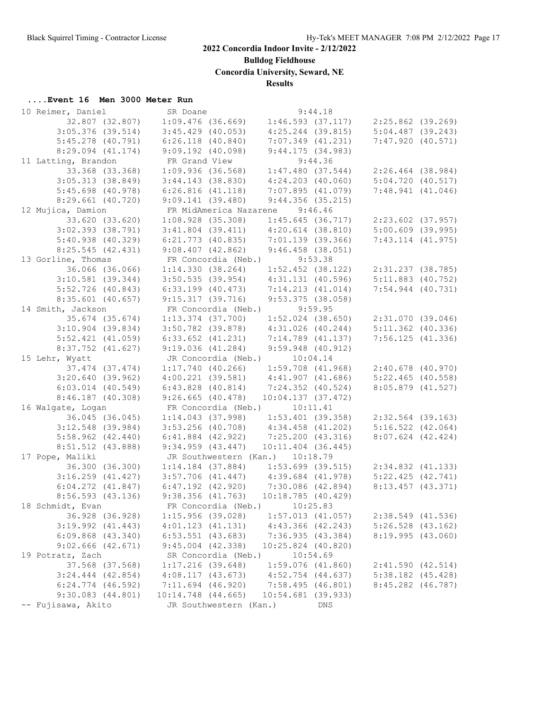**Bulldog Fieldhouse**

**Concordia University, Seward, NE**

## **Results**

## **....Event 16 Men 3000 Meter Run**

| 10 Reimer, Daniel     | SR Doane                                | 9:44.18                                                     |                       |
|-----------------------|-----------------------------------------|-------------------------------------------------------------|-----------------------|
| 32.807 (32.807)       | $1:09.476$ (36.669)                     | $1:46.593$ (37.117) $2:25.862$ (39.269)                     |                       |
| $3:05.376$ (39.514)   | $3:45.429$ (40.053)                     | $4:25.244$ (39.815)                                         | $5:04.487$ (39.243)   |
| $5:45.278$ (40.791)   | $6:26.118$ $(40.840)$                   | $7:07.349$ $(41.231)$                                       | 7:47.920(40.571)      |
| $8:29.094$ $(41.174)$ | $9:09.192$ (40.098)                     | 9:44.175(34.983)                                            |                       |
| 11 Latting, Brandon   | FR Grand View                           | 9:44.36                                                     |                       |
| 33.368 (33.368)       | $1:09.936$ (36.568)                     | $1:47.480$ (37.544) $2:26.464$ (38.984)                     |                       |
| 3:05.313(38.849)      | $3:44.143$ (38.830)                     | $4:24.203$ $(40.060)$                                       | 5:04.720(40.517)      |
| $5:45.698$ (40.978)   | 6:26.816(41.118)                        | 7:07.895 (41.079)                                           | 7:48.941(41.046)      |
| $8:29.661$ (40.720)   | 9:09.141(39.480)                        | 9:44.356(35.215)                                            |                       |
| 12 Mujica, Damion     | FR MidAmerica Nazarene 9:46.46          |                                                             |                       |
| 33.620 (33.620)       | $1:08.928$ (35.308)                     | $1:45.645$ (36.717) $2:23.602$ (37.957)                     |                       |
| $3:02.393$ (38.791)   | $3:41.804$ (39.411)                     | $4:20.614$ (38.810)                                         | 5:00.609 (39.995)     |
| $5:40.938$ (40.329)   | $6:21.773$ (40.835)                     | 7:01.139 (39.366)                                           | $7:43.114$ $(41.975)$ |
| 8:25.545(42.431)      | 9:08.407(42.862)                        | $9:46.458$ (38.051)                                         |                       |
| 13 Gorline, Thomas    | FR Concordia (Neb.)                     | 9:53.38                                                     |                       |
| 36.066 (36.066)       |                                         | $1:14.330$ (38.264) $1:52.452$ (38.122)                     | 2:31.237 (38.785)     |
| $3:10.581$ (39.344)   | $3:50.535$ (39.954)                     | $4:31.131$ (40.596)                                         | $5:11.883$ (40.752)   |
| $5:52.726$ (40.843)   | $6:33.199$ $(40.473)$                   | 7:14.213(41.014)                                            | $7:54.944$ $(40.731)$ |
| $8:35.601$ (40.657)   | 9:15.317(39.716)                        | $9:53.375$ (38.058)                                         |                       |
| 14 Smith, Jackson     | FR Concordia (Neb.)                     | 9:59.95                                                     |                       |
| 35.674 (35.674)       | $1:13.374$ (37.700)                     | $1:52.024$ $(38.650)$                                       | 2:31.070 (39.046)     |
| $3:10.904$ (39.834)   | $3:50.782$ (39.878)                     | $4:31.026$ $(40.244)$                                       | $5:11.362$ (40.336)   |
| $5:52.421$ $(41.059)$ | $6:33.652$ $(41.231)$                   | 7:14.789 (41.137)                                           | 7:56.125(41.336)      |
| $8:37.752$ $(41.627)$ | 9:19.036(41.284)                        | $9:59.948$ $(40.912)$                                       |                       |
| 15 Lehr, Wyatt        | JR Concordia (Neb.) 10:04.14            |                                                             |                       |
| 37.474 (37.474)       |                                         |                                                             |                       |
|                       | $1:17.740$ (40.266)                     | $1:59.708$ (41.968) $2:40.678$ (40.970)                     |                       |
| 3:20.640(39.962)      | $4:00.221$ (39.581) $4:41.907$ (41.686) |                                                             | 5:22.465(40.558)      |
| $6:03.014$ $(40.549)$ | $6:43.828$ $(40.814)$                   | 7:24.352 (40.524)                                           | 8:05.879 (41.527)     |
| $8:46.187$ (40.308)   | $9:26.665$ (40.478)                     | 10:04.137(37.472)                                           |                       |
| 16 Walgate, Logan     | FR Concordia (Neb.)                     | 10:11.41                                                    |                       |
| 36.045 (36.045)       |                                         | $1:14.043$ (37.998) $1:53.401$ (39.358) $2:32.564$ (39.163) |                       |
| $3:12.548$ (39.984)   | $3:53.256$ (40.708) $4:34.458$ (41.202) |                                                             | $5:16.522$ $(42.064)$ |
| $5:58.962$ $(42.440)$ | $6:41.884$ $(42.922)$                   | 7:25.200 (43.316)                                           | $8:07.624$ (42.424)   |
| 8:51.512 (43.888)     | $9:34.959$ $(43.447)$                   | $10:11.404$ (36.445)                                        |                       |
| 17 Pope, Maliki       | JR Southwestern (Kan.) 10:18.79         |                                                             |                       |
| 36.300 (36.300)       |                                         | $1:14.184$ (37.884) $1:53.699$ (39.515) $2:34.832$ (41.133) |                       |
| $3:16.259$ $(41.427)$ | $3:57.706$ (41.447) $4:39.684$ (41.978) |                                                             | 5:22.425(42.741)      |
| $6:04.272$ $(41.847)$ | $6:47.192$ (42.920) 7:30.086 (42.894)   |                                                             | $8:13.457$ (43.371)   |
| $8:56.593$ (43.136)   | $9:38.356$ (41.763) 10:18.785 (40.429)  |                                                             |                       |
| 18 Schmidt, Evan      | FR Concordia (Neb.) 10:25.83            |                                                             |                       |
| 36.928 (36.928)       | 1:15.956(39.028)                        | $1:57.013$ $(41.057)$                                       | 2:38.549 (41.536)     |
| $3:19.992$ $(41.443)$ | 4:01.123(41.131)                        | $4:43.366$ $(42.243)$                                       | $5:26.528$ (43.162)   |
| $6:09.868$ $(43.340)$ | $6:53.551$ $(43.683)$                   | 7:36.935(43.384)                                            | 8:19.995 (43.060)     |
| $9:02.666$ $(42.671)$ | $9:45.004$ $(42.338)$                   | 10:25.824 (40.820)                                          |                       |
| 19 Potratz, Zach      | SR Concordia (Neb.)                     | 10:54.69                                                    |                       |
| 37.568 (37.568)       | $1:17.216$ (39.648)                     | $1:59.076$ $(41.860)$                                       | 2:41.590(42.514)      |
| $3:24.444$ $(42.854)$ | 4:08.117(43.673)                        | $4:52.754$ $(44.637)$                                       | $5:38.182$ $(45.428)$ |
| $6:24.774$ $(46.592)$ | $7:11.694$ (46.920)                     | 7:58.495(46.801)                                            | 8:45.282 (46.787)     |
| $9:30.083$ $(44.801)$ | $10:14.748$ $(44.665)$                  | 10:54.681 (39.933)                                          |                       |
| -- Fujisawa, Akito    | JR Southwestern (Kan.)                  | <b>DNS</b>                                                  |                       |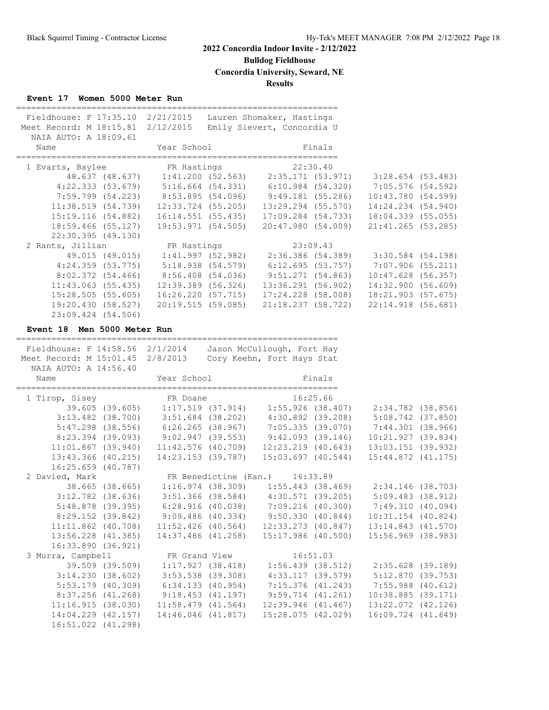**Bulldog Fieldhouse**

**Concordia University, Seward, NE**

**Results**

## **Event 17 Women 5000 Meter Run**

| Fieldhouse: F 17:35.10 2/21/2015<br>Meet Record: M 18:15.81 2/12/2015<br>NAIA AUTO: A 18:09.61 |                                                                                             | Lauren Shomaker, Hastings<br>Emily Sievert, Concordia U |                      |  |
|------------------------------------------------------------------------------------------------|---------------------------------------------------------------------------------------------|---------------------------------------------------------|----------------------|--|
| Name                                                                                           | <b>Example 19 Year School</b> School Finals                                                 |                                                         |                      |  |
| 1 Evarts, Baylee FR Hastings 22:30.40                                                          |                                                                                             |                                                         |                      |  |
|                                                                                                | 48.637 (48.637) 1:41.200 (52.563) 2:35.171 (53.971) 3:28.654 (53.483)                       |                                                         |                      |  |
|                                                                                                | 4:22.333 (53.679) 5:16.664 (54.331) 6:10.984 (54.320) 7:05.576 (54.592)                     |                                                         |                      |  |
|                                                                                                | 7:59.799 (54.223) 8:53.895 (54.096) 9:49.181 (55.286) 10:43.780 (54.599)                    |                                                         |                      |  |
|                                                                                                | $11:38.519$ $(54.739)$ $12:33.724$ $(55.205)$ $13:29.294$ $(55.570)$ $14:24.234$ $(54.940)$ |                                                         |                      |  |
|                                                                                                | 15:19.116 (54.882)  16:14.551 (55.435)  17:09.284 (54.733)  18:04.339 (55.055)              |                                                         |                      |  |
|                                                                                                | $18:59.466$ (55.127) $19:53.971$ (54.505) $20:47.980$ (54.009) $21:41.265$ (53.285)         |                                                         |                      |  |
| 22:30.395 (49.130)                                                                             |                                                                                             |                                                         |                      |  |
| 2 Rants, Jillian R Hastings 23:09.43                                                           |                                                                                             |                                                         |                      |  |
|                                                                                                | 49.015 (49.015) 1:41.997 (52.982) 2:36.386 (54.389) 3:30.584 (54.198)                       |                                                         |                      |  |
|                                                                                                | $4:24.359$ (53.775) 5:18.938 (54.579) 6:12.695 (53.757) 7:07.906 (55.211)                   |                                                         |                      |  |
|                                                                                                | $8:02.372$ (54.466) $8:56.408$ (54.036) $9:51.271$ (54.863)                                 |                                                         | $10:47.628$ (56.357) |  |
|                                                                                                | $11:43.063$ (55.435) $12:39.389$ (56.326) $13:36.291$ (56.902) $14:32.900$ (56.609)         |                                                         |                      |  |
|                                                                                                | $15:28.505$ (55.605) $16:26.220$ (57.715) $17:24.228$ (58.008) $18:21.903$ (57.675)         |                                                         |                      |  |
|                                                                                                | 19:20.430 (58.527) 20:19.515 (59.085) 21:18.237 (58.722) 22:14.918 (56.681)                 |                                                         |                      |  |
| 23:09.424 (54.506)                                                                             |                                                                                             |                                                         |                      |  |

### **Event 18 Men 5000 Meter Run**

| Fieldhouse: F 14:58.56 2/1/2014 Jason McCullough, Fort Hay<br>Meet Record: M 15:01.45 2/8/2013 Cory Keehn, Fort Hays Stat<br>NAIA AUTO: A 14:56.40<br>Name | _______________________<br>Year School Finals | ===================                                                                 |                    |  |
|------------------------------------------------------------------------------------------------------------------------------------------------------------|-----------------------------------------------|-------------------------------------------------------------------------------------|--------------------|--|
|                                                                                                                                                            |                                               |                                                                                     |                    |  |
| 1 Tirop, Sisey FR Doane 16:25.66<br>39.605 (39.605) 1:17.519 (37.914) 1:55.926 (38.407) 2:34.782 (38.856)                                                  |                                               |                                                                                     |                    |  |
|                                                                                                                                                            |                                               |                                                                                     |                    |  |
|                                                                                                                                                            |                                               | 3:13.482 (38.700) 3:51.684 (38.202) 4:30.892 (39.208) 5:08.742 (37.850)             |                    |  |
|                                                                                                                                                            |                                               | 5:47.298 (38.556) 6:26.265 (38.967) 7:05.335 (39.070) 7:44.301 (38.966)             |                    |  |
|                                                                                                                                                            |                                               | 8:23.394 (39.093) 9:02.947 (39.553) 9:42.093 (39.146) 10:21.927 (39.834)            |                    |  |
|                                                                                                                                                            |                                               | $11:01.867$ (39.940) $11:42.576$ (40.709) $12:23.219$ (40.643) $13:03.151$ (39.932) |                    |  |
|                                                                                                                                                            |                                               | 13:43.366 (40.215) 14:23.153 (39.787) 15:03.697 (40.544) 15:44.872 (41.175)         |                    |  |
| 16:25.659 (40.787)                                                                                                                                         |                                               |                                                                                     |                    |  |
| 2 Davied, Mark FR Benedictine (Kan.) 16:33.89                                                                                                              |                                               |                                                                                     |                    |  |
|                                                                                                                                                            |                                               | 38.665 (38.665) 1:16.974 (38.309) 1:55.443 (38.469) 2:34.146 (38.703)               |                    |  |
|                                                                                                                                                            |                                               | 3:12.782 (38.636) 3:51.366 (38.584) 4:30.571 (39.205) 5:09.483 (38.912)             |                    |  |
|                                                                                                                                                            |                                               | 5:48.878 (39.395) 6:28.916 (40.038) 7:09.216 (40.300) 7:49.310 (40.094)             |                    |  |
|                                                                                                                                                            |                                               | 8:29.152 (39.842) 9:09.486 (40.334) 9:50.330 (40.844) 10:31.154 (40.824)            |                    |  |
|                                                                                                                                                            |                                               | $11:11.862$ (40.708) $11:52.426$ (40.564) $12:33.273$ (40.847) $13:14.843$ (41.570) |                    |  |
|                                                                                                                                                            |                                               | 13:56.228 (41.385) 14:37.486 (41.258) 15:17.986 (40.500) 15:56.969 (38.983)         |                    |  |
| 16:33.890 (36.921)                                                                                                                                         |                                               |                                                                                     |                    |  |
| 3 Murra, Campbell FR Grand View 16:51.03                                                                                                                   |                                               |                                                                                     |                    |  |
|                                                                                                                                                            | 39.509 (39.509) 1:17.927 (38.418)             | $1:56.439$ (38.512) $2:35.628$ (39.189)                                             |                    |  |
|                                                                                                                                                            |                                               | 3:14.230 (38.602) 3:53.538 (39.308) 4:33.117 (39.579) 5:12.870 (39.753)             |                    |  |
|                                                                                                                                                            |                                               | 5:53.179 (40.309) 6:34.133 (40.954) 7:15.376 (41.243) 7:55.988 (40.612)             |                    |  |
|                                                                                                                                                            |                                               | 8:37.256 (41.268) 9:18.453 (41.197) 9:59.714 (41.261) 10:38.885 (39.171)            |                    |  |
|                                                                                                                                                            |                                               | $11:16.915$ (38.030) $11:58.479$ (41.564) $12:39.946$ (41.467)                      | 13:22.072 (42.126) |  |
| $14:04.229$ $(42.157)$                                                                                                                                     |                                               | 14:46.046 (41.817) 15:28.075 (42.029)                                               | 16:09.724 (41.649) |  |
| 16:51.022 (41.298)                                                                                                                                         |                                               |                                                                                     |                    |  |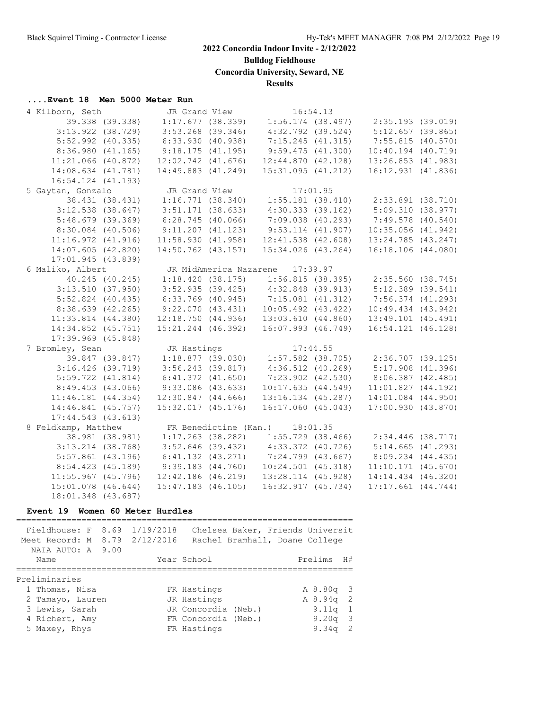**Bulldog Fieldhouse**

**Concordia University, Seward, NE**

**Results**

#### **....Event 18 Men 5000 Meter Run**

| 4 Kilborn, Seth        |                 | JR Grand View          |                                             | 16:54.13 |                                                                               |  |
|------------------------|-----------------|------------------------|---------------------------------------------|----------|-------------------------------------------------------------------------------|--|
|                        | 39.338 (39.338) |                        |                                             |          | $1:17.677$ (38.339) $1:56.174$ (38.497) $2:35.193$ (39.019)                   |  |
| $3:13.922$ $(38.729)$  |                 | $3:53.268$ (39.346)    | 4:32.792 (39.524)                           |          | 5:12.657(39.865)                                                              |  |
| $5:52.992$ (40.335)    |                 | $6:33.930$ $(40.938)$  | 7:15.245(41.315)                            |          | 7:55.815(40.570)                                                              |  |
| 8:36.980(41.165)       |                 | 9:18.175(41.195)       | 9:59.475(41.300)                            |          | $10:40.194$ $(40.719)$                                                        |  |
| $11:21.066$ (40.872)   |                 | $12:02.742$ $(41.676)$ | 12:44.870(42.128)                           |          | $13:26.853$ $(41.983)$                                                        |  |
| 14:08.634 (41.781)     |                 | 14:49.883 (41.249)     | 15:31.095(41.212)                           |          | 16:12.931 (41.836)                                                            |  |
| 16:54.124 (41.193)     |                 |                        |                                             |          |                                                                               |  |
| 5 Gaytan, Gonzalo      |                 | JR Grand View          |                                             | 17:01.95 |                                                                               |  |
|                        | 38.431 (38.431) |                        |                                             |          | $1:16.771$ (38.340) $1:55.181$ (38.410) $2:33.891$ (38.710)                   |  |
| $3:12.538$ $(38.647)$  |                 | $3:51.171$ (38.633)    |                                             |          | $4:30.333$ (39.162) $5:09.310$ (38.977)                                       |  |
| 5:48.679(39.369)       |                 | 6:28.745(40.066)       | 7:09.038 (40.293)                           |          | $7:49.578$ (40.540)                                                           |  |
| $8:30.084$ (40.506)    |                 | 9:11.207(41.123)       | $9:53.114$ $(41.907)$                       |          | $10:35.056$ $(41.942)$                                                        |  |
| 11:16.972(41.916)      |                 | 11:58.930(41.958)      | $12:41.538$ $(42.608)$                      |          | 13:24.785 (43.247)                                                            |  |
| 14:07.605(42.820)      |                 | 14:50.762 (43.157)     | 15:34.026 (43.264)                          |          | 16:18.106(44.080)                                                             |  |
| 17:01.945(43.839)      |                 |                        |                                             |          |                                                                               |  |
| 6 Maliko, Albert       |                 |                        | JR MidAmerica Nazarene 17:39.97             |          |                                                                               |  |
| 40.245 (40.245)        |                 |                        |                                             |          | $1:18.420$ (38.175) $1:56.815$ (38.395) $2:35.560$ (38.745)                   |  |
| 3:13.510(37.950)       |                 |                        | $3:52.935$ (39.425) $4:32.848$ (39.913)     |          | $5:12.389$ (39.541)                                                           |  |
| $5:52.824$ (40.435)    |                 |                        |                                             |          | $6:33.769$ (40.945) $7:15.081$ (41.312) $7:56.374$ (41.293)                   |  |
| 8:38.639 (42.265)      |                 |                        | $9:22.070$ (43.431) 10:05.492 (43.422)      |          | $10:49.434$ $(43.942)$                                                        |  |
| $11:33.814$ $(44.380)$ |                 |                        |                                             |          | $12:18.750$ (44.936) $13:03.610$ (44.860) $13:49.101$ (45.491)                |  |
| 14:34.852 (45.751)     |                 | 15:21.244 (46.392)     | 16:07.993 (46.749)                          |          | $16:54.121$ $(46.128)$                                                        |  |
| $17:39.969$ $(45.848)$ |                 |                        |                                             |          |                                                                               |  |
| 7 Bromley, Sean        |                 | JR Hastings            |                                             |          | JR Hastings 17:44.55<br>1:18.877 (39.030) 1:57.582 (38.705) 2:36.707 (39.125) |  |
| 39.847 (39.847)        |                 |                        |                                             |          |                                                                               |  |
| $3:16.426$ (39.719)    |                 | $3:56.243$ (39.817)    | $4:36.512$ $(40.269)$                       |          | $5:17.908$ $(41.396)$                                                         |  |
| $5:59.722$ $(41.814)$  |                 | $6:41.372$ $(41.650)$  | $7:23.902$ $(42.530)$                       |          | $8:06.387$ (42.485)                                                           |  |
| 8:49.453 (43.066)      |                 | $9:33.086$ (43.633)    | 10:17.635(44.549)                           |          | 11:01.827(44.192)                                                             |  |
| $11:46.181$ $(44.354)$ |                 | $12:30.847$ $(44.666)$ | $13:16.134$ $(45.287)$                      |          | 14:01.084 (44.950)                                                            |  |
| 14:46.841 (45.757)     |                 | $15:32.017$ $(45.176)$ | 16:17.060(45.043)                           |          | 17:00.930(43.870)                                                             |  |
| 17:44.543(43.613)      |                 |                        |                                             |          |                                                                               |  |
| 8 Feldkamp, Matthew    |                 |                        | FR Benedictine (Kan.) 18:01.35              |          |                                                                               |  |
|                        | 38.981 (38.981) |                        |                                             |          | $1:17.263$ (38.282) $1:55.729$ (38.466) $2:34.446$ (38.717)                   |  |
| $3:13.214$ (38.768)    |                 |                        | $3:52.646$ (39.432) $4:33.372$ (40.726)     |          | 5:14.665(41.293)                                                              |  |
| $5:57.861$ (43.196)    |                 |                        | $6:41.132$ $(43.271)$ $7:24.799$ $(43.667)$ |          | $8:09.234$ $(44.435)$                                                         |  |
| 8:54.423 (45.189)      |                 | $9:39.183$ $(44.760)$  | $10:24.501$ (45.318)                        |          | $11:10.171$ (45.670)                                                          |  |
| $11:55.967$ (45.796)   |                 | $12:42.186$ $(46.219)$ | 13:28.114 (45.928)                          |          | 14:14.434 (46.320)                                                            |  |
| 15:01.078 (46.644)     |                 | $15:47.183$ $(46.105)$ | 16:32.917 (45.734)                          |          | $17:17.661$ $(44.744)$                                                        |  |
| 18:01.348 (43.687)     |                 |                        |                                             |          |                                                                               |  |

#### **Event 19 Women 60 Meter Hurdles**

=================================================================== Fieldhouse: F 8.69 1/19/2018 Chelsea Baker, Friends Universit Meet Record: M 8.79 2/12/2016 Rachel Bramhall, Doane College NAIA AUTO: A 9.00 Name Year School Prelims H# =================================================================== Preliminaries 1 Thomas, Nisa FR Hastings A 8.80q 3 2 Tamayo, Lauren JR Hastings A 8.94q 2 3 Lewis, Sarah JR Concordia (Neb.) 9.11q 1 4 Richert, Amy FR Concordia (Neb.) 9.20q 3 5 Maxey, Rhys FR Hastings 9.34q 2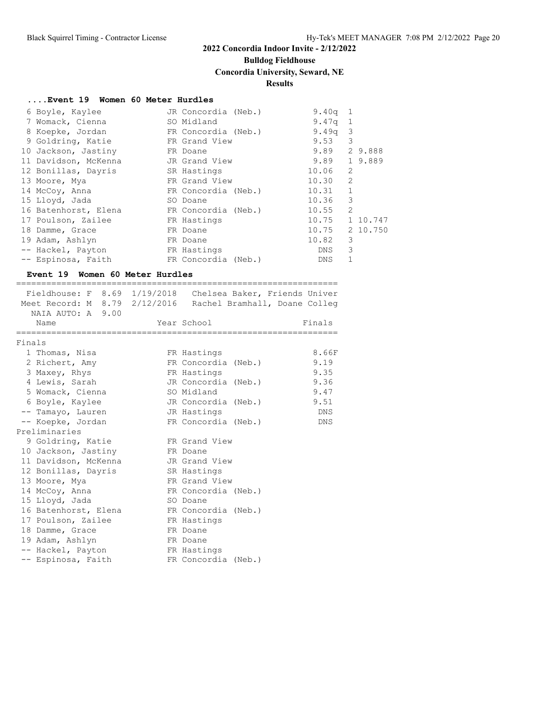# **Bulldog Fieldhouse**

=================================

# **Concordia University, Seward, NE**

## **Results**

### **....Event 19 Women 60 Meter Hurdles**

| 6 Boyle, Kaylee      | JR Concordia (Neb.) | $9.40q$ 1    |                |          |
|----------------------|---------------------|--------------|----------------|----------|
| 7 Womack, Cienna     | SO Midland          | $9.47q$ 1    |                |          |
| 8 Koepke, Jordan     | FR Concordia (Neb.) | 9.49q        | - 3            |          |
| 9 Goldring, Katie    | FR Grand View       | 9.53         | 3              |          |
| 10 Jackson, Jastiny  | FR Doane            | 9.89 2 9.888 |                |          |
| 11 Davidson, McKenna | JR Grand View       | 9.89 1 9.889 |                |          |
| 12 Bonillas, Dayris  | SR Hastings         | 10.06        | 2              |          |
| 13 Moore, Mya        | FR Grand View       | 10.30        | 2              |          |
| 14 McCoy, Anna       | FR Concordia (Neb.) | 10.31        | $\mathbf{1}$   |          |
| 15 Lloyd, Jada       | SO Doane            | 10.36        | 3              |          |
| 16 Batenhorst, Elena | FR Concordia (Neb.) | 10.55        | $\overline{2}$ |          |
| 17 Poulson, Zailee   | FR Hastings         | 10.75        |                | 1 10.747 |
| 18 Damme, Grace      | FR Doane            | 10.75        |                | 2 10.750 |
| 19 Adam, Ashlyn      | FR Doane            | 10.82        | 3              |          |
| -- Hackel, Payton    | FR Hastings         | DNS          | 3              |          |
| -- Espinosa, Faith   | FR Concordia (Neb.) | DNS          |                |          |

### **Event 19 Women 60 Meter Hurdles**

| NAIA AUTO: A 9.00              | Fieldhouse: F 8.69 1/19/2018 Chelsea Baker, Friends Univer<br>Meet Record: M 8.79 2/12/2016 Rachel Bramhall, Doane Colleg |        |
|--------------------------------|---------------------------------------------------------------------------------------------------------------------------|--------|
| Name                           | Year School                                                                                                               | Finals |
| ====================<br>Finals |                                                                                                                           |        |
| 1 Thomas, Nisa                 | FR Hastings                                                                                                               | 8.66F  |
| 2 Richert, Amy                 | FR Concordia (Neb.)                                                                                                       | 9.19   |
| 3 Maxey, Rhys                  | FR Hastings                                                                                                               | 9.35   |
| 4 Lewis, Sarah                 | JR Concordia (Neb.)                                                                                                       | 9.36   |
| 5 Womack, Cienna               | SO Midland                                                                                                                | 9.47   |
| 6 Boyle, Kaylee                | JR Concordia (Neb.)                                                                                                       | 9.51   |
| -- Tamayo, Lauren              | JR Hastings                                                                                                               | DNS    |
| -- Koepke, Jordan              | FR Concordia (Neb.)                                                                                                       | DNS    |
| Preliminaries                  |                                                                                                                           |        |
| 9 Goldring, Katie              | FR Grand View                                                                                                             |        |
| 10 Jackson, Jastiny            | FR Doane                                                                                                                  |        |
| 11 Davidson, McKenna           | JR Grand View                                                                                                             |        |
| 12 Bonillas, Dayris            | SR Hastings                                                                                                               |        |
|                                | FR Grand View                                                                                                             |        |
| 13 Moore, Mya                  |                                                                                                                           |        |
| 14 McCoy, Anna                 | FR Concordia (Neb.)                                                                                                       |        |
| 15 Lloyd, Jada                 | SO Doane                                                                                                                  |        |
| 16 Batenhorst, Elena           | FR Concordia (Neb.)                                                                                                       |        |
| 17 Poulson, Zailee             | FR Hastings                                                                                                               |        |
| 18 Damme, Grace                | FR Doane                                                                                                                  |        |
| 19 Adam, Ashlyn                | FR Doane                                                                                                                  |        |
| -- Hackel, Payton              | FR Hastings                                                                                                               |        |
| -- Espinosa, Faith             | FR Concordia (Neb.)                                                                                                       |        |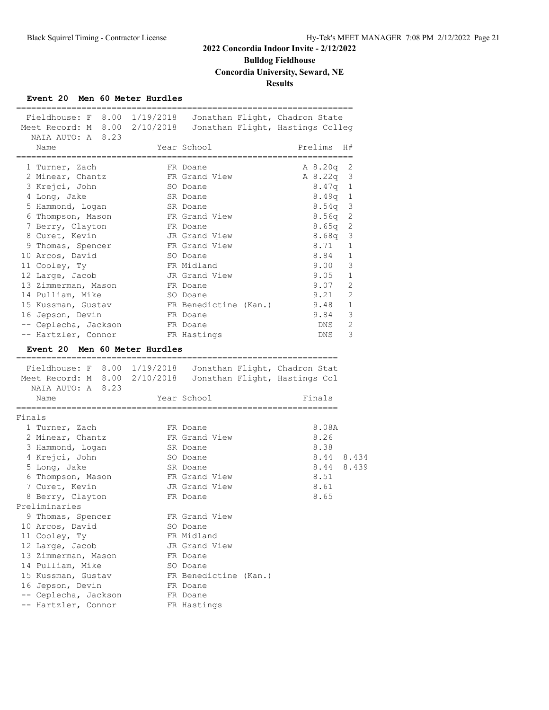# **Bulldog Fieldhouse**

# **Concordia University, Seward, NE**

## **Results**

## **Event 20 Men 60 Meter Hurdles**

|                                           |                               |                       | Fieldhouse: F 8.00 1/19/2018 Jonathan Flight, Chadron State                                                               |              |
|-------------------------------------------|-------------------------------|-----------------------|---------------------------------------------------------------------------------------------------------------------------|--------------|
| Meet Record: M 8.00                       |                               |                       | 2/10/2018 Jonathan Flight, Hastings Colleg                                                                                |              |
| NAIA AUTO: A 8.23                         |                               |                       |                                                                                                                           |              |
| Name                                      |                               | Year School           | Prelims                                                                                                                   | H#           |
| -----------------------<br>1 Turner, Zach |                               | FR Doane              | =================<br>A 8.20q                                                                                              | 2            |
| 2 Minear, Chantz                          |                               | FR Grand View         | A 8.22q                                                                                                                   | 3            |
| 3 Krejci, John                            |                               | SO Doane              | 8.47q                                                                                                                     | -1           |
| 4 Long, Jake                              |                               | SR Doane              | 8.49q                                                                                                                     | $\mathbf{1}$ |
| 5 Hammond, Logan                          |                               | SR Doane              | 8.54q                                                                                                                     | $\mathbf{3}$ |
| 6 Thompson, Mason                         |                               | FR Grand View         | 8.56q                                                                                                                     | 2            |
| 7 Berry, Clayton                          |                               | FR Doane              | 8.65q                                                                                                                     | 2            |
| 8 Curet, Kevin                            |                               | JR Grand View         | 8.68q                                                                                                                     | 3            |
| 9 Thomas, Spencer                         |                               | FR Grand View         | 8.71                                                                                                                      | 1            |
| 10 Arcos, David                           |                               | SO Doane              | 8.84                                                                                                                      | 1            |
| 11 Cooley, Ty                             |                               | FR Midland            | 9.00                                                                                                                      | 3            |
| 12 Large, Jacob                           |                               | JR Grand View         | 9.05                                                                                                                      | 1            |
| 13 Zimmerman, Mason                       |                               | FR Doane              | 9.07                                                                                                                      | 2            |
| 14 Pulliam, Mike                          |                               | SO Doane              | 9.21                                                                                                                      | 2            |
| 15 Kussman, Gustav                        |                               | FR Benedictine (Kan.) | 9.48                                                                                                                      | 1            |
| 16 Jepson, Devin                          |                               | FR Doane              | 9.84                                                                                                                      | 3            |
| -- Ceplecha, Jackson                      |                               | FR Doane              | DNS                                                                                                                       | 2            |
| -- Hartzler, Connor                       |                               | FR Hastings           | DNS                                                                                                                       | 3            |
|                                           | Event 20 Men 60 Meter Hurdles |                       |                                                                                                                           |              |
|                                           |                               |                       |                                                                                                                           |              |
| ======================================    |                               |                       |                                                                                                                           |              |
|                                           |                               |                       |                                                                                                                           |              |
|                                           |                               |                       | Fieldhouse: F 8.00 1/19/2018 Jonathan Flight, Chadron Stat<br>Meet Record: M 8.00 2/10/2018 Jonathan Flight, Hastings Col |              |
| NAIA AUTO: A 8.23                         |                               |                       |                                                                                                                           |              |
| Name                                      |                               | Year School           | Finals                                                                                                                    |              |
| Finals                                    |                               |                       |                                                                                                                           |              |
| 1 Turner, Zach                            |                               | FR Doane              | 8.08A                                                                                                                     |              |
| 2 Minear, Chantz                          |                               | FR Grand View         | 8.26                                                                                                                      |              |
| 3 Hammond, Logan                          |                               | SR Doane              | 8.38                                                                                                                      |              |
|                                           |                               | SO Doane              | 8.44 8.434                                                                                                                |              |
| 4 Krejci, John<br>5 Long, Jake            |                               | SR Doane              | 8.44 8.439                                                                                                                |              |
|                                           |                               | FR Grand View         | 8.51                                                                                                                      |              |
| 6 Thompson, Mason<br>7 Curet, Kevin       |                               | JR Grand View         | 8.61                                                                                                                      |              |
| 8 Berry, Clayton                          |                               | FR Doane              | 8.65                                                                                                                      |              |
| Preliminaries                             |                               |                       |                                                                                                                           |              |
| 9 Thomas, Spencer                         |                               | FR Grand View         |                                                                                                                           |              |
| 10 Arcos, David                           |                               | SO Doane              |                                                                                                                           |              |
| 11 Cooley, Ty                             |                               | FR Midland            |                                                                                                                           |              |
| 12 Large, Jacob                           |                               | JR Grand View         |                                                                                                                           |              |
| 13 Zimmerman, Mason                       |                               | FR Doane              |                                                                                                                           |              |
|                                           |                               | SO Doane              |                                                                                                                           |              |
| 14 Pulliam, Mike<br>15 Kussman, Gustav    |                               | FR Benedictine (Kan.) |                                                                                                                           |              |
|                                           |                               | FR Doane              |                                                                                                                           |              |
| 16 Jepson, Devin<br>-- Ceplecha, Jackson  |                               | FR Doane              |                                                                                                                           |              |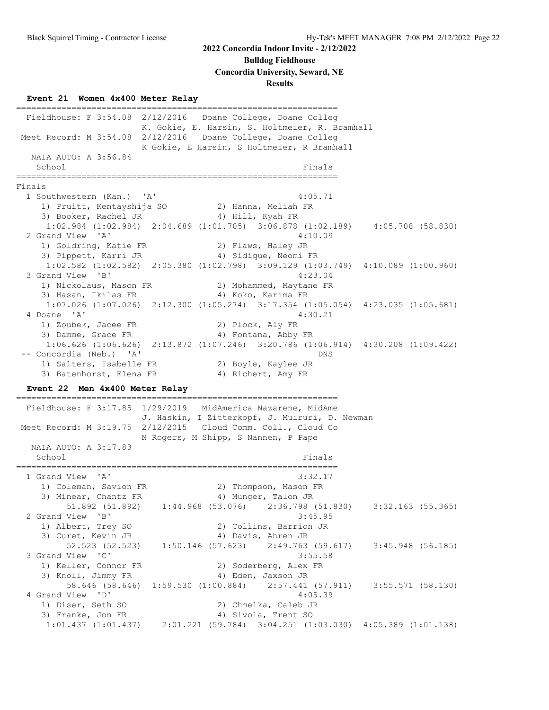### **Bulldog Fieldhouse**

**Concordia University, Seward, NE**

#### **Results**

### **Event 21 Women 4x400 Meter Relay**

================================================================ Fieldhouse: F 3:54.08 2/12/2016 Doane College, Doane Colleg K. Gokie, E. Harsin, S. Holtmeier, R. Bramhall Meet Record: M 3:54.08 2/12/2016 Doane College, Doane Colleg K Gokie, E Harsin, S Holtmeier, R Bramhall NAIA AUTO: A 3:56.84 School Finals ================================================================ Finals 1 Southwestern (Kan.) 'A' 4:05.71 1) Pruitt, Kentayshija SO 2) Hanna, Meliah FR 3) Booker, Rachel JR 4) Hill, Kyah FR 1:02.984 (1:02.984) 2:04.689 (1:01.705) 3:06.878 (1:02.189) 4:05.708 (58.830) 2 Grand View 'A' 4:10.09 1) Goldring, Katie FR 2) Flaws, Haley JR 3) Pippett, Karri JR (4) Sidique, Neomi FR 1:02.582 (1:02.582) 2:05.380 (1:02.798) 3:09.129 (1:03.749) 4:10.089 (1:00.960) 3 Grand View 'B' 1) Nickolaus, Mason FR 2) Mohammed, Maytane FR 3) Hasan, Ikilas FR 4) Koko, Karima FR 1:07.026 (1:07.026) 2:12.300 (1:05.274) 3:17.354 (1:05.054) 4:23.035 (1:05.681) 4 Doane 'A' 4:30.21 1) Zoubek, Jacee FR 2) Plock, Aly FR 3) Damme, Grace FR 4) Fontana, Abby FR 1:06.626 (1:06.626) 2:13.872 (1:07.246) 3:20.786 (1:06.914) 4:30.208 (1:09.422) -- Concordia (Neb.) 'A' DNS 1) Salters, Isabelle FR 2) Boyle, Kaylee JR 3) Batenhorst, Elena FR 4) Richert, Amy FR **Event 22 Men 4x400 Meter Relay** ================================================================ Fieldhouse: F 3:17.85 1/29/2019 MidAmerica Nazarene, MidAme J. Haskin, I Zitterkopf, J. Muiruri, D. Newman Meet Record: M 3:19.75 2/12/2015 Cloud Comm. Coll., Cloud Co N Rogers, M Shipp, S Nannen, P Pape NAIA AUTO: A 3:17.83 School Finals ================================================================ 1 Grand View 'A' 3:32.17 1) Coleman, Savion FR 2) Thompson, Mason FR 3) Minear, Chantz FR 4) Munger, Talon JR 5) Minear, Chantz FR (4) Munger, Talon JR<br>51.892 (51.892) 1:44.968 (53.076) 2:36.798 (51.830) 3:32.163 (55.365) 2 Grand View 'B' 3:45.95 1) Albert, Trey SO 2) Collins, Barrion JR 3) Curet, Kevin JR 4) Davis, Ahren JR 52.523 (52.523) 1:50.146 (57.623) 2:49.763 (59.617) 3:45.948 (56.185) 3 Grand View 'C' 3:55.58 1) Keller, Connor FR 2) Soderberg, Alex FR 3) Knoll, Jimmy FR 4) Eden, Jaxson JR 58.646 (58.646) 1:59.530 (1:00.884) 2:57.441 (57.911) 3:55.571 (58.130) 4 Grand View 'D' 4:05.39 1) Diser, Seth SO 2) Chmelka, Caleb JR 3) Franke, Jon FR 4) Sivola, Trent SO 1:01.437 (1:01.437) 2:01.221 (59.784) 3:04.251 (1:03.030) 4:05.389 (1:01.138)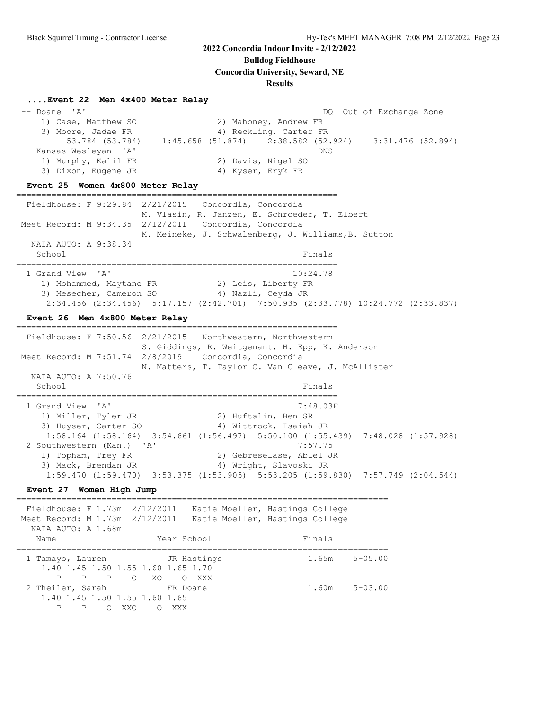**Bulldog Fieldhouse**

**Concordia University, Seward, NE**

### **Results**

### **....Event 22 Men 4x400 Meter Relay**

-- Doane 'A' Doane 'A' Doane and the set of the DQ Out of Exchange Zone 1) Case, Matthew SO 2) Mahoney, Andrew FR 3) Moore, Jadae FR 4) Reckling, Carter FR 53.784 (53.784) 1:45.658 (51.874) 2:38.582 (52.924) 3:31.476 (52.894) -- Kansas Wesleyan 'A' DNS 1) Murphy, Kalil FR 2) Davis, Nigel SO 3) Dixon, Eugene JR 4) Kyser, Eryk FR

### **Event 25 Women 4x800 Meter Relay**

================================================================

 Fieldhouse: F 9:29.84 2/21/2015 Concordia, Concordia M. Vlasin, R. Janzen, E. Schroeder, T. Elbert Meet Record: M 9:34.35 2/12/2011 Concordia, Concordia M. Meineke, J. Schwalenberg, J. Williams,B. Sutton NAIA AUTO: A 9:38.34 School Finals ================================================================ 1 Grand View 'A' 10:24.78

 1) Mohammed, Maytane FR 2) Leis, Liberty FR 3) Mesecher, Cameron SO  $4)$  Nazli, Ceyda JR 2:34.456 (2:34.456) 5:17.157 (2:42.701) 7:50.935 (2:33.778) 10:24.772 (2:33.837)

### **Event 26 Men 4x800 Meter Relay**

================================================================ Fieldhouse: F 7:50.56 2/21/2015 Northwestern, Northwestern S. Giddings, R. Weitgenant, H. Epp, K. Anderson Meet Record: M 7:51.74 2/8/2019 Concordia, Concordia N. Matters, T. Taylor C. Van Cleave, J. McAllister NAIA AUTO: A 7:50.76 School Finals ================================================================ 1 Grand View 'A' 7:48.03F 1) Miller, Tyler JR 2) Huftalin, Ben SR 3) Huyser, Carter SO 4) Wittrock, Isaiah JR 1:58.164 (1:58.164) 3:54.661 (1:56.497) 5:50.100 (1:55.439) 7:48.028 (1:57.928) 2 Southwestern (Kan.) 'A' 7:57.75 1) Topham, Trey FR 2) Gebreselase, Ablel JR 3) Mack, Brendan JR 4) Wright, Slavoski JR 1:59.470 (1:59.470) 3:53.375 (1:53.905) 5:53.205 (1:59.830) 7:57.749 (2:04.544)

### **Event 27 Women High Jump**

========================================================================== Fieldhouse: F 1.73m 2/12/2011 Katie Moeller, Hastings College

 Meet Record: M 1.73m 2/12/2011 Katie Moeller, Hastings College NAIA AUTO: A 1.68m Name **Year School** Finals ========================================================================== 1 Tamayo, Lauren JR Hastings 1.65m 5-05.00 1.40 1.45 1.50 1.55 1.60 1.65 1.70 P P P O XO O XXX 2 Theiler, Sarah FR Doane 1.60m 5-03.00 1.40 1.45 1.50 1.55 1.60 1.65 P P O XXO O XXX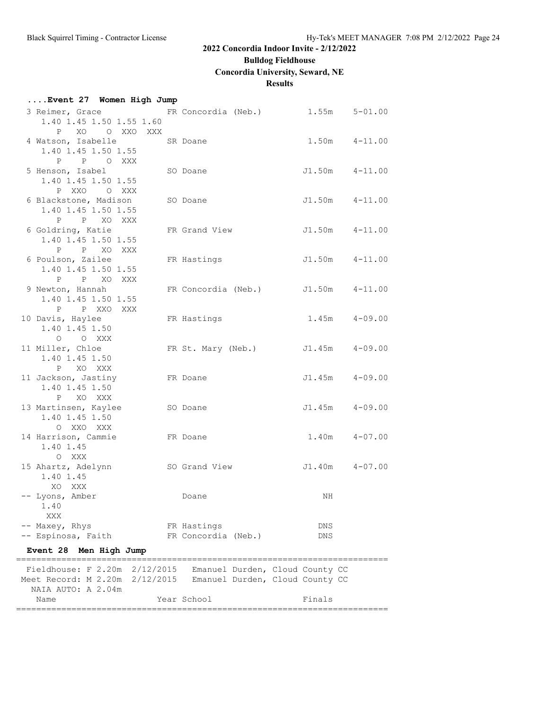**....Event 27 Women High Jump**

# **2022 Concordia Indoor Invite - 2/12/2022**

# **Bulldog Fieldhouse**

**Concordia University, Seward, NE**

## **Results**

| 3 Reimer, Grace FR Concordia (Neb.) 1.55m 5-01.00<br>1.40 1.45 1.50 1.55 1.60<br>P XO O XXO XXX                                                       |                                    |                    |                    |
|-------------------------------------------------------------------------------------------------------------------------------------------------------|------------------------------------|--------------------|--------------------|
| 4 Watson, Isabelle<br>1.40 1.45 1.50 1.55<br>P P O XXX                                                                                                | SR Doane                           |                    | $1.50m$ $4-11.00$  |
| 5 Henson, Isabel<br>1.40 1.45 1.50 1.55<br>P XXO O XXX                                                                                                | SO Doane                           |                    | J1.50m  4-11.00    |
| 6 Blackstone, Madison<br>1.40 1.45 1.50 1.55<br>P P XO XXX                                                                                            | SO Doane                           |                    | $J1.50m$ $4-11.00$ |
| 6 Goldring, Katie<br>1.40 1.45 1.50 1.55<br>P P XO XXX                                                                                                | FR Grand View                      |                    | J1.50m  4-11.00    |
| 6 Poulson, Zailee<br>1.40 1.45 1.50 1.55<br>P P XO XXX                                                                                                | FR Hastings                        |                    | $J1.50m$ $4-11.00$ |
| 9 Newton, Hannah<br>1.40 1.45 1.50 1.55<br>P P XXO XXX                                                                                                | FR Concordia (Neb.) J1.50m 4-11.00 |                    |                    |
| 10 Davis, Haylee<br>1.40 1.45 1.50<br>O O XXX                                                                                                         | FR Hastings                        |                    | $1.45m$ $4-09.00$  |
| 11 Miller, Chloe<br>1.40 1.45 1.50<br>P XO XXX                                                                                                        | FR St. Mary (Neb.) J1.45m 4-09.00  |                    |                    |
| 11 Jackson, Jastiny<br>1.40 1.45 1.50<br>P XO XXX                                                                                                     | FR Doane                           |                    | $J1.45m$ $4-09.00$ |
| 13 Martinsen, Kaylee<br>1.40 1.45 1.50<br>O XXO XXX                                                                                                   | SO Doane                           |                    | $J1.45m$ $4-09.00$ |
| 14 Harrison, Cammie<br>FR Doane<br>1.40 1.45<br>O XXX                                                                                                 |                                    | 1.40m              | $4 - 07.00$        |
| 15 Ahartz, Adelynn SO Grand View<br>1.40 1.45<br>XO XXX                                                                                               |                                    | $J1.40m$ $4-07.00$ |                    |
| -- Lyons, Amber<br>1.40<br>XXX                                                                                                                        | Doane                              | NH                 |                    |
| -- Maxey, Rhys<br>-- Espinosa, Faith<br>Men High Jump<br><b>Event 28</b>                                                                              | FR Hastings<br>FR Concordia (Neb.) | DNS<br>DNS         |                    |
|                                                                                                                                                       |                                    |                    |                    |
| Fieldhouse: F 2.20m 2/12/2015 Emanuel Durden, Cloud County CC<br>Meet Record: M 2.20m 2/12/2015 Emanuel Durden, Cloud County CC<br>NAIA AUTO: A 2.04m |                                    |                    |                    |
| Name                                                                                                                                                  | Year School                        | Finals             |                    |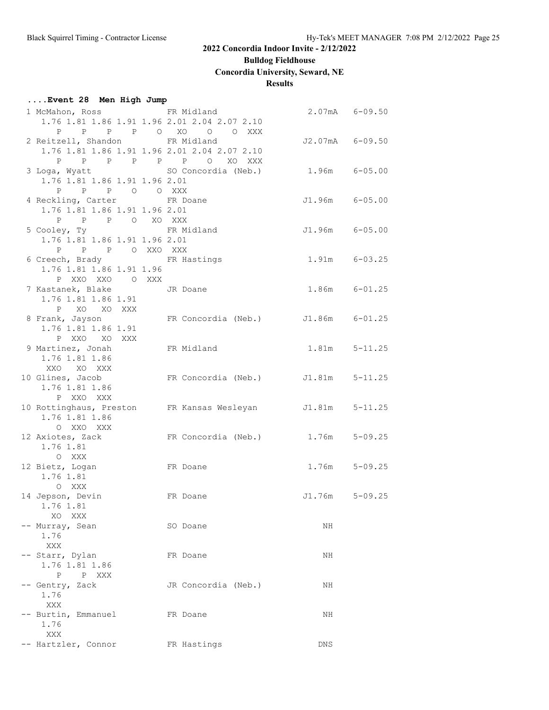**Bulldog Fieldhouse**

**Concordia University, Seward, NE**

## **Results**

# **....Event 28 Men High Jump**

| J2.07mA 6-09.50<br>$1.96m$ $6-05.00$<br>J1.96m 6-05.00<br>J1.96m 6-05.00 |
|--------------------------------------------------------------------------|
|                                                                          |
|                                                                          |
|                                                                          |
|                                                                          |
|                                                                          |
|                                                                          |
|                                                                          |
|                                                                          |
|                                                                          |
|                                                                          |
|                                                                          |
|                                                                          |
| $1.91m$ $6-03.25$                                                        |
|                                                                          |
|                                                                          |
| $1.86m$ $6-01.25$                                                        |
|                                                                          |
|                                                                          |
| FR Concordia (Neb.) J1.86m 6-01.25                                       |
|                                                                          |
|                                                                          |
| $1.81m$ $5-11.25$                                                        |
|                                                                          |
|                                                                          |
| FR Concordia (Neb.) J1.81m 5-11.25                                       |
|                                                                          |
|                                                                          |
| $J1.81m$ $5-11.25$                                                       |
|                                                                          |
| FR Concordia (Neb.) 1.76m 5-09.25                                        |
|                                                                          |
|                                                                          |
| $1.76m$ $5-09.25$                                                        |
|                                                                          |
|                                                                          |
| J1.76m 5-09.25                                                           |
|                                                                          |
|                                                                          |
| NH                                                                       |
|                                                                          |
|                                                                          |
| NH                                                                       |
|                                                                          |
|                                                                          |
| NH                                                                       |
|                                                                          |
| NH                                                                       |
|                                                                          |
|                                                                          |
| DNS                                                                      |
|                                                                          |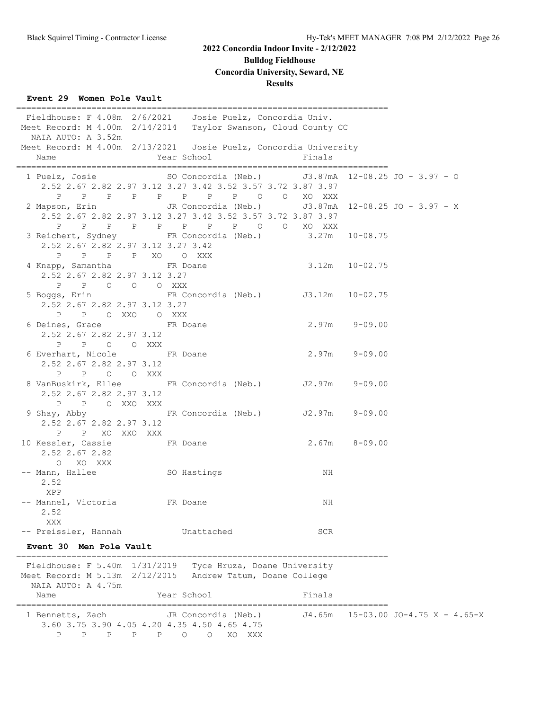## **Bulldog Fieldhouse**

### **Concordia University, Seward, NE**

### **Results**

==========================================================================

### **Event 29 Women Pole Vault**

 Fieldhouse: F 4.08m 2/6/2021 Josie Puelz, Concordia Univ. Meet Record: M 4.00m 2/14/2014 Taylor Swanson, Cloud County CC NAIA AUTO: A 3.52m Meet Record: M 4.00m 2/13/2021 Josie Puelz, Concordia University Name Year School Finals ========================================================================== 1 Puelz, Josie SO Concordia (Neb.) J3.87mA 12-08.25 JO - 3.97 - O 2.52 2.67 2.82 2.97 3.12 3.27 3.42 3.52 3.57 3.72 3.87 3.97 P P P P P P P P O O XO XXX 2 Mapson, Erin JR Concordia (Neb.) J3.87mA 12-08.25 JO - 3.97 - X 2.52 2.67 2.82 2.97 3.12 3.27 3.42 3.52 3.57 3.72 3.87 3.97 P P P P P P P P O O XO XXX 3 Reichert, Sydney FR Concordia (Neb.) 3.27m 10-08.75 2.52 2.67 2.82 2.97 3.12 3.27 3.42 P P P P XO O XXX 4 Knapp, Samantha FR Doane 3.12m 10-02.75 2.52 2.67 2.82 2.97 3.12 3.27 P P O O O XXX 5 Boggs, Erin FR Concordia (Neb.) J3.12m 10-02.75 2.52 2.67 2.82 2.97 3.12 3.27 P P O XXO O XXX 6 Deines, Grace FR Doane 2.97m 9-09.00 2.52 2.67 2.82 2.97 3.12 P P O O XXX 6 Everhart, Nicole FR Doane 2.97m 9-09.00 2.52 2.67 2.82 2.97 3.12 P P O O XXX 8 VanBuskirk, Ellee FR Concordia (Neb.) J2.97m 9-09.00 2.52 2.67 2.82 2.97 3.12 P P O XXO XXX 9 Shay, Abby FR Concordia (Neb.) J2.97m 9-09.00 2.52 2.67 2.82 2.97 3.12 P P XO XXO XXX<br>10 Kessler, Cassie FR Doane 2.67m 8-09.00 2.52 2.67 2.82 O XO XXX -- Mann, Hallee SO Hastings NH 2.52 XPP -- Mannel, Victoria FR Doane NH 2.52 XXX -- Preissler, Hannah Unattached SCR **Event 30 Men Pole Vault** ========================================================================== Fieldhouse: F 5.40m 1/31/2019 Tyce Hruza, Doane University Meet Record: M 5.13m 2/12/2015 Andrew Tatum, Doane College NAIA AUTO: A 4.75m Name **Year School** Finals ========================================================================== 1 Bennetts, Zach JR Concordia (Neb.) J4.65m 15-03.00 JO-4.75 X - 4.65-X 3.60 3.75 3.90 4.05 4.20 4.35 4.50 4.65 4.75 P P P P P O O XO XXX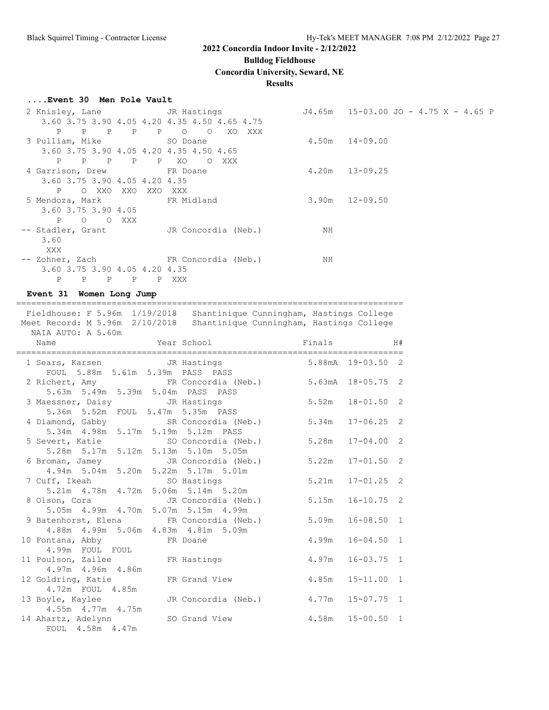**Bulldog Fieldhouse**

**Concordia University, Seward, NE**

### **Results**

#### **....Event 30 Men Pole Vault**

| 2 Knisley, Lane Games JR Hastings            |                   |                                                           |       | $J4.65m$ 15-03.00 JO - 4.75 X - 4.65 P |
|----------------------------------------------|-------------------|-----------------------------------------------------------|-------|----------------------------------------|
|                                              |                   | 3.60 3.75 3.90 4.05 4.20 4.35 4.50 4.65 4.75              |       |                                        |
| $\mathbf{P}$<br>$\mathbf{P}$<br>$\mathbb{P}$ | $\mathbf{P}$<br>P | $\circ$<br>XO.<br>$\circ$<br>XXX                          |       |                                        |
| 3 Pulliam, Mike                              |                   | SO Doane                                                  |       | $4.50m$ $14-09.00$                     |
| 3.60 3.75 3.90 4.05 4.20 4.35 4.50 4.65      |                   |                                                           |       |                                        |
| $\mathbf{P}$<br>$P$ $P$                      | P P XO            | XXX                                                       |       |                                        |
| 4 Garrison, Drew FR Doane                    |                   |                                                           | 4.20m | $13 - 09.25$                           |
| 3.60 3.75 3.90 4.05 4.20 4.35                |                   |                                                           |       |                                        |
| $P \qquad \qquad$<br>O XXO                   | XXO<br>XXO        | XXX                                                       |       |                                        |
| 5 Mendoza, Mark 6 FR Midland                 |                   |                                                           | 3.90m | $12 - 09.50$                           |
| 3.60 3.75 3.90 4.05                          |                   |                                                           |       |                                        |
| P<br>$\circ$                                 | O XXX             |                                                           |       |                                        |
| -- Stadler, Grant                            |                   | JR Concordia (Neb.)                                       | ΝH    |                                        |
| 3.60                                         |                   |                                                           |       |                                        |
| XXX                                          |                   |                                                           |       |                                        |
|                                              |                   | -- Zohner, Zach                       FR Concordia (Neb.) | NH    |                                        |
| 3.60 3.75 3.90 4.05 4.20 4.35                |                   |                                                           |       |                                        |
| P<br>P<br>$\mathbf{P}$                       | P<br>P            | XXX                                                       |       |                                        |

**Event 31 Women Long Jump**

============================================================================= Fieldhouse: F 5.96m 1/19/2018 Shantinique Cunningham, Hastings College Meet Record: M 5.96m 2/10/2018 Shantinique Cunningham, Hastings College NAIA AUTO: A 5.60m Name  $Year School$  Finals H# ============================================================================= 1 Sears, Karsen JR Hastings 5.88mA 19-03.50 2 FOUL 5.88m 5.61m 5.39m PASS PASS 2 Richert, Amy FR Concordia (Neb.) 5.63mA 18-05.75 2 5.63m 5.49m 5.39m 5.04m PASS PASS 3 Maessner, Daisy JR Hastings 5.52m 18-01.50 2 5.36m 5.52m FOUL 5.47m 5.35m PASS 4 Diamond, Gabby SR Concordia (Neb.) 5.34m 17-06.25 2 5.34m 4.98m 5.17m 5.19m 5.12m PASS 5 Severt, Katie SO Concordia (Neb.) 5.28m 17-04.00 2 5.28m 5.17m 5.12m 5.13m 5.10m 5.05m 6 Broman, Jamey JR Concordia (Neb.) 5.22m 17-01.50 2 4.94m 5.04m 5.20m 5.22m 5.17m 5.01m 7 Cuff, Ikeah SO Hastings 5.21m 17-01.25 2 5.21m 4.78m 4.72m 5.06m 5.14m 5.20m 8 Olson, Cora JR Concordia (Neb.) 5.15m 16-10.75 2 5.05m 4.99m 4.70m 5.07m 5.15m 4.99m 9 Batenhorst, Elena FR Concordia (Neb.) 5.09m 16-08.50 1 4.88m 4.99m 5.06m 4.83m 4.81m 5.09m 10 Fontana, Abby FR Doane 4.99m 16-04.50 1 4.99m FOUL FOUL 11 Poulson, Zailee FR Hastings 4.97m 16-03.75 1 4.97m 4.96m 4.86m 12 Goldring, Katie FR Grand View 4.85m 15-11.00 1 4.72m FOUL 4.85m 13 Boyle, Kaylee JR Concordia (Neb.) 4.77m 15-07.75 1 4.55m 4.77m 4.75m 14 Ahartz, Adelynn SO Grand View 4.58m 15-00.50 1 FOUL 4.58m 4.47m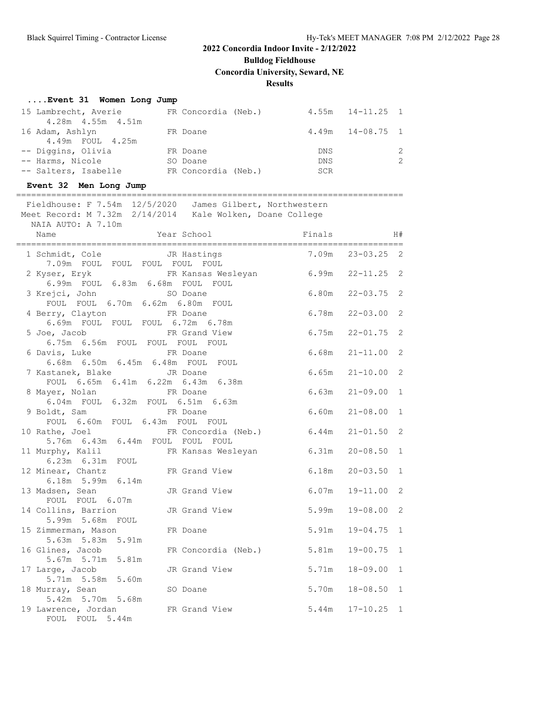**Bulldog Fieldhouse**

**Concordia University, Seward, NE**

### **Results**

### **....Event 31 Women Long Jump**

| 15 Lambrecht, Averie | FR Concordia (Neb.) |            | $4.55m$ $14-11.25$ 1 |  |
|----------------------|---------------------|------------|----------------------|--|
| 4.28m  4.55m  4.51m  |                     |            |                      |  |
| 16 Adam, Ashlyn      | FR Doane            |            | $4.49m$ $14-08.75$ 1 |  |
| 4.49m FOUL 4.25m     |                     |            |                      |  |
| -- Diggins, Olivia   | FR Doane            | DNS        |                      |  |
| -- Harms, Nicole     | SO Doane            | <b>DNS</b> |                      |  |
| -- Salters, Isabelle | FR Concordia (Neb.) | SCR        |                      |  |

### **Event 32 Men Long Jump**

### =============================================================================

 Fieldhouse: F 7.54m 12/5/2020 James Gilbert, Northwestern Meet Record: M 7.32m 2/14/2014 Kale Wolken, Doane College NAIA AUTO: A 7.10m Name The Year School The Finals H# ============================================================================= 1 Schmidt, Cole JR Hastings 7.09m FOUL FOUL FOUL FOUL FOUL 2 Kyser, Eryk FR Kansas Wesleyan 6.99m 22-11.25 2 6.99m FOUL 6.83m 6.68m FOUL FOUL 3 Krejci, John SO Doane 6.80m 22-03.75 2 FOUL FOUL 6.70m 6.62m 6.80m FOUL 4 Berry, Clayton FR Doane 6.78m 22-03.00 2 6.69m FOUL FOUL FOUL 6.72m 6.78m

| 6.69m FOUL FOUL FOUL 6.72m 6.78m                             |                                                                                         |                      |  |
|--------------------------------------------------------------|-----------------------------------------------------------------------------------------|----------------------|--|
|                                                              | 5 Joe, Jacob <b>ER</b> Grand View 6.75m 22-01.75 2                                      |                      |  |
| 6.75m 6.56m FOUL FOUL FOUL FOUL                              |                                                                                         |                      |  |
| 6 Davis, Luke FR Doane                                       |                                                                                         | $6.68m$ $21-11.00$ 2 |  |
| 6.68m  6.50m  6.45m  6.48m  FOUL  FOUL                       |                                                                                         |                      |  |
| 7 Kastanek, Blake JR Doane                                   |                                                                                         | $6.65m$ $21-10.00$ 2 |  |
| FOUL 6.65m 6.41m 6.22m 6.43m 6.38m                           |                                                                                         |                      |  |
| 8 Mayer, Nolan FR Doane<br>6.04m FOUL 6.32m FOUL 6.51m 6.63m |                                                                                         | $6.63m$ $21-09.00$ 1 |  |
|                                                              |                                                                                         |                      |  |
|                                                              | 9 Boldt, Sam North FR Doane                                                             | $6.60m$ $21-08.00$ 1 |  |
| FOUL 6.60m FOUL 6.43m FOUL FOUL                              |                                                                                         |                      |  |
|                                                              | 10 Rathe, Joel FR Concordia (Neb.) 6.44m 21-01.50 2<br>5.76m 6.43m 6.44m FOUL FOUL FOUL |                      |  |
|                                                              |                                                                                         |                      |  |
|                                                              | 11 Murphy, Kalil KR Kansas Wesleyan 6.31m 20-08.50 1                                    |                      |  |
| 6.23m  6.31m  FOUL                                           |                                                                                         |                      |  |
|                                                              | 12 Minear, Chantz FR Grand View 6.18m 20-03.50 1                                        |                      |  |
| $6.18m$ 5.99m $6.14m$                                        |                                                                                         |                      |  |
|                                                              | 13 Madsen, Sean Manuel JR Grand View                                                    | $6.07m$ $19-11.00$ 2 |  |
| FOUL FOUL 6.07m                                              | 14 Collins, Barrion TR Grand View 5.99m 19-08.00 2                                      |                      |  |
| 5.99m 5.68m FOUL                                             |                                                                                         |                      |  |
|                                                              | 15 Zimmerman, Mason FR Doane                                                            | 5.91m 19-04.75 1     |  |
| 5.63m 5.83m 5.91m                                            |                                                                                         |                      |  |
|                                                              | 16 Glines, Jacob FR Concordia (Neb.) 5.81m 19-00.75 1                                   |                      |  |
| 5.67m 5.71m 5.81m                                            |                                                                                         |                      |  |
|                                                              |                                                                                         | 5.71m 18-09.00 1     |  |
|                                                              | 17 Large, Jacob JR Grand View<br>5.71m 5.58m 5.60m                                      |                      |  |
| 18 Murray, Sean SO Doane                                     |                                                                                         | 5.70m 18-08.50 1     |  |
| 5.42m 5.70m 5.68m                                            |                                                                                         |                      |  |
|                                                              | 19 Lawrence, Jordan FR Grand View 5.44m 17-10.25 1                                      |                      |  |
| FOUL FOUL 5.44m                                              |                                                                                         |                      |  |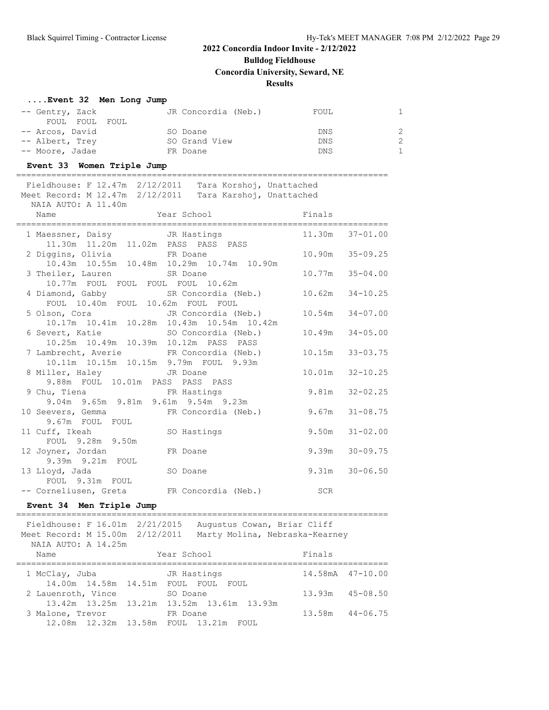**Bulldog Fieldhouse**

**Concordia University, Seward, NE**

### **Results**

==========================================================================

## **....Event 32 Men Long Jump**

| -- Gentry, Zack | JR Concordia (Neb.) | FOUL       |              |
|-----------------|---------------------|------------|--------------|
| FOUL FOUL FOUL  |                     |            |              |
| -- Arcos, David | SO Doane            | DNS        | 2            |
| -- Albert, Trey | SO Grand View       | <b>DNS</b> | 2            |
| -- Moore, Jadae | FR Doane            | <b>DNS</b> | $\mathbf{1}$ |

### **Event 33 Women Triple Jump**

| Fieldhouse: F 12.47m 2/12/2011 Tara Korshoj, Unattached<br>Meet Record: M 12.47m 2/12/2011<br>Tara Karshoj, Unattached<br>NAIA AUTO: A 11.40m |                     |
|-----------------------------------------------------------------------------------------------------------------------------------------------|---------------------|
| Year School Finals<br>Name<br>====================================                                                                            |                     |
| 1 Maessner, Daisy Control JR Hastings<br>11.30m  11.20m  11.02m  PASS  PASS  PASS                                                             | 11.30m 37-01.00     |
| 2 Diggins, Olivia FR Doane<br>10.43m  10.55m  10.48m  10.29m  10.74m  10.90m                                                                  | 10.90m 35-09.25     |
| 3 Theiler, Lauren SR Doane<br>10.77m FOUL FOUL FOUL FOUL 10.62m                                                                               | $10.77m$ 35-04.00   |
| 4 Diamond, Gabby SR Concordia (Neb.)<br>FOUL 10.40m FOUL 10.62m FOUL FOUL                                                                     | $10.62m$ $34-10.25$ |
| 5 Olson, Cora JR Concordia (Neb.)<br>10.17m 10.41m 10.28m 10.43m 10.54m 10.42m                                                                | $10.54m$ $34-07.00$ |
| 6 Severt, Katie Manuel SO Concordia (Neb.)<br>10.25m  10.49m  10.39m  10.12m  PASS  PASS                                                      | $10.49m$ $34-05.00$ |
| 7 Lambrecht, Averie FR Concordia (Neb.)<br>10.11m  10.15m  10.15m  9.79m  FOUL  9.93m                                                         | 10.15m 33-03.75     |
| 8 Miller, Haley GJR Doane<br>9.88m FOUL 10.01m PASS PASS PASS                                                                                 | 10.01m 32-10.25     |
| 9 Chu, Tiena FR Hastings<br>9.04m 9.65m 9.81m 9.61m 9.54m 9.23m                                                                               | $9.81m$ $32-02.25$  |
| FR Concordia (Neb.)<br>10 Seevers, Gemma<br>9.67m FOUL FOUL                                                                                   | $9.67m$ $31-08.75$  |
| 11 Cuff, Ikeah<br>SO Hastings<br>FOUL 9.28m 9.50m                                                                                             | $9.50m$ $31-02.00$  |
| 12 Joyner, Jordan<br>FR Doane<br>9.39m 9.21m FOUL                                                                                             | $9.39m$ $30-09.75$  |
| 13 Lloyd, Jada<br>SO Doane<br>FOUL 9.31m FOUL                                                                                                 | $9.31m$ $30-06.50$  |
| -- Corneliusen, Greta FR Concordia (Neb.) SCR                                                                                                 |                     |

## **Event 34 Men Triple Jump**

========================================================================== Fieldhouse: F 16.01m 2/21/2015 Augustus Cowan, Briar Cliff Meet Record: M 15.00m 2/12/2011 Marty Molina, Nebraska-Kearney NAIA AUTO: A 14.25m Name **Year School** Finals

| 1 McClay, Juba     | JR Hastings                               | 14.58mA 47-10.00    |
|--------------------|-------------------------------------------|---------------------|
|                    | 14.00m  14.58m  14.51m  FOUL  FOUL  FOUL  |                     |
| 2 Lauenroth, Vince | SO Doane                                  | $13.93m$ $45-08.50$ |
|                    | 13.42m 13.25m 13.21m 13.52m 13.61m 13.93m |                     |
| 3 Malone, Trevor   | FR Doane                                  | $13.58m$ $44-06.75$ |
|                    | 12.08m 12.32m 13.58m FOUL 13.21m FOUL     |                     |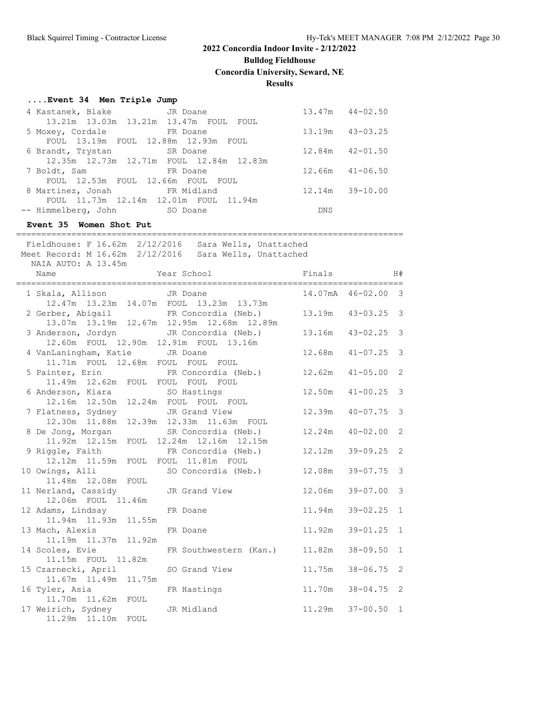**Bulldog Fieldhouse**

**Concordia University, Seward, NE**

### **Results**

### **....Event 34 Men Triple Jump**

| 4 Kastanek, Blake JR Doane              |            | $13.47m$ $44-02.50$ |
|-----------------------------------------|------------|---------------------|
| 13.21m 13.03m 13.21m 13.47m FOUL FOUL   |            |                     |
| 5 Moxey, Cordale FR Doane               |            | 13.19m  43-03.25    |
| FOUL 13.19m FOUL 12.88m 12.93m FOUL     |            |                     |
| 6 Brandt, Trystan SR Doane              |            | $12.84m$ $42-01.50$ |
| 12.35m 12.73m 12.71m FOUL 12.84m 12.83m |            |                     |
| 7 Boldt, Sam<br>FR Doane                |            | $12.66m$ $41-06.50$ |
| FOUL 12.53m FOUL 12.66m FOUL FOUL       |            |                     |
| 8 Martinez, Jonah 6 FR Midland          | 12.14m     | $39 - 10.00$        |
| FOUL 11.73m 12.14m 12.01m FOUL 11.94m   |            |                     |
| -- Himmelberg, John SO Doane            | <b>DNS</b> |                     |

=============================================================================

### **Event 35 Women Shot Put**

 Fieldhouse: F 16.62m 2/12/2016 Sara Wells, Unattached Meet Record: M 16.62m 2/12/2016 Sara Wells, Unattached NAIA AUTO: A 13.45m Name  $Year School$  Finals H# ============================================================================= 1 Skala, Allison JR Doane 14.07mA 46-02.00 3 12.47m 13.23m 14.07m FOUL 13.23m 13.73m 2 Gerber, Abigail FR Concordia (Neb.) 13.19m 43-03.25 3 13.07m 13.19m 12.67m 12.95m 12.68m 12.89m 3 Anderson, Jordyn JR Concordia (Neb.) 13.16m 43-02.25 3 12.60m FOUL 12.90m 12.91m FOUL 13.16m 4 VanLaningham, Katie JR Doane 12.68m 41-07.25 3 11.71m FOUL 12.68m FOUL FOUL FOUL 5 Painter, Erin FR Concordia (Neb.) 12.62m 41-05.00 2 11.49m 12.62m FOUL FOUL FOUL FOUL 6 Anderson, Kiara SO Hastings 12.50m 41-00.25 3 12.16m 12.50m 12.24m FOUL FOUL FOUL 7 Flatness, Sydney JR Grand View 12.39m 40-07.75 3 12.30m 11.88m 12.39m 12.33m 11.63m FOUL 8 De Jong, Morgan SR Concordia (Neb.) 12.24m 40-02.00 2 11.92m 12.15m FOUL 12.24m 12.16m 12.15m 9 Riggle, Faith FR Concordia (Neb.) 12.12m 39-09.25 2 12.12m 11.59m FOUL FOUL 11.81m FOUL 10 Owings, Alli SO Concordia (Neb.) 12.08m 39-07.75 3 11.48m 12.08m FOUL 11 Nerland, Cassidy JR Grand View 12.06m 39-07.00 3 12.06m FOUL 11.46m<br>12 Adams, Lindsay FR Doane 11.94m 39-02.25 1 11.94m 11.93m 11.55m 13 Mach, Alexis FR Doane 11.92m 39-01.25 1 11.19m 11.37m 11.92m 14 Scoles, Evie FR Southwestern (Kan.) 11.82m 38-09.50 1 11.15m FOUL 11.82m 15 Czarnecki, April SO Grand View 11.75m 38-06.75 2 11.67m 11.49m 11.75m 16 Tyler, Asia FR Hastings 11.70m 38-04.75 2 11.70m 11.62m FOUL 17 Weirich, Sydney JR Midland 11.29m 37-00.50 1 11.29m 11.10m FOUL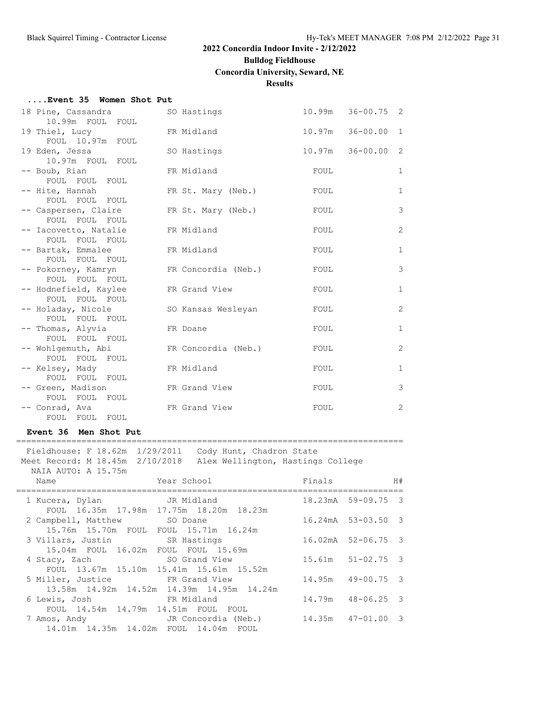### **Bulldog Fieldhouse**

### **Concordia University, Seward, NE**

### **Results**

| Event 35 Women Shot Put |  |  |  |  |
|-------------------------|--|--|--|--|
|-------------------------|--|--|--|--|

| 18 Pine, Cassandra<br>10.99m FOUL FOUL  | SO Hastings         |        | $10.99m$ $36-00.75$ 2    |                |
|-----------------------------------------|---------------------|--------|--------------------------|----------------|
| 19 Thiel, Lucy<br>FOUL 10.97m FOUL      | FR Midland          | 10.97m | $36 - 00.00$<br>1        |                |
| 19 Eden, Jessa<br>10.97m FOUL FOUL      | SO Hastings         |        | $10.97m$ $36-00.00$<br>2 |                |
| -- Boub, Rian<br>FOUL FOUL FOUL         | FR Midland          | FOUL   | $\mathbf{1}$             |                |
| -- Hite, Hannah<br>FOUL FOUL FOUL       | FR St. Mary (Neb.)  | FOUL   | $\mathbf{1}$             |                |
| -- Caspersen, Claire<br>FOUL FOUL FOUL  | FR St. Mary (Neb.)  | FOUL   |                          | 3              |
| -- Iacovetto, Natalie<br>FOUL FOUL FOUL | FR Midland          | FOUL   |                          | $\overline{2}$ |
| -- Bartak, Emmalee<br>FOUL FOUL FOUL    | FR Midland          | FOUL   | $\mathbf{1}$             |                |
| -- Pokorney, Kamryn<br>FOUL FOUL FOUL   | FR Concordia (Neb.) | FOUL   |                          | 3              |
| -- Hodnefield, Kaylee<br>FOUL FOUL FOUL | FR Grand View       | FOUL   | $\mathbf{1}$             |                |
| -- Holaday, Nicole<br>FOUL FOUL FOUL    | SO Kansas Wesleyan  | FOUL   |                          | 2              |
| -- Thomas, Alyvia<br>FOUL FOUL FOUL     | FR Doane            | FOUL   |                          | $\mathbf{1}$   |
| -- Wohlgemuth, Abi<br>FOUL FOUL FOUL    | FR Concordia (Neb.) | FOUL   | 2                        |                |
| -- Kelsey, Mady<br>FOUL FOUL FOUL       | FR Midland          | FOUL   | $\mathbf{1}$             |                |
| -- Green, Madison<br>FOUL FOUL FOUL     | FR Grand View       | FOUL   |                          | 3              |
| -- Conrad, Ava<br>FOUL FOUL FOUL        | FR Grand View       | FOUL   | $\overline{2}$           |                |

#### **Event 36 Men Shot Put**

============================================================================= Fieldhouse: F 18.62m 1/29/2011 Cody Hunt, Chadron State Meet Record: M 18.45m 2/10/2018 Alex Wellington, Hastings College NAIA AUTO: A 15.75m Name  $Year School$  Finals H# ============================================================================= 1 Kucera, Dylan JR Midland 18.23mA 59-09.75 3 FOUL 16.35m 17.98m 17.75m 18.20m 18.23m 2 Campbell, Matthew SO Doane 16.24mA 53-03.50 3 15.76m 15.70m FOUL FOUL 15.71m 16.24m 3 Villars, Justin SR Hastings 16.02mA 52-06.75 3 15.04m FOUL 16.02m FOUL FOUL 15.69m 4 Stacy, Zach SO Grand View 15.61m 51-02.75 3 FOUL 13.67m 15.10m 15.41m 15.61m 15.52m 5 Miller, Justice FR Grand View 14.95m 49-00.75 3 13.58m 14.92m 14.52m 14.39m 14.95m 14.24m 6 Lewis, Josh FR Midland 14.79m 48-06.25 3 FOUL 14.54m 14.79m 14.51m FOUL FOUL 7 Amos, Andy JR Concordia (Neb.) 14.35m 47-01.00 3 14.01m 14.35m 14.02m FOUL 14.04m FOUL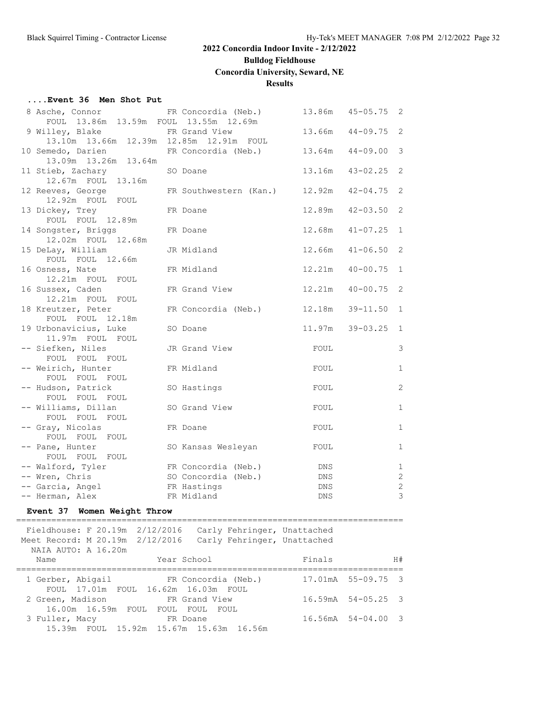# **Bulldog Fieldhouse**

**Concordia University, Seward, NE**

## **Results**

### **....Event 36 Men Shot Put**

| 8 Asche, Connor FR Concordia (Neb.)          |                                    | 13.86m      | $45 - 05.75$ | $\overline{2}$    |
|----------------------------------------------|------------------------------------|-------------|--------------|-------------------|
| FOUL 13.86m 13.59m FOUL 13.55m 12.69m        |                                    |             |              |                   |
| 9 Willey, Blake FR Grand View                |                                    | 13.66m      | $44 - 09.75$ | 2                 |
| 13.10m  13.66m  12.39m  12.85m  12.91m  FOUL |                                    |             |              |                   |
| 10 Semedo, Darien<br>13.09m  13.26m  13.64m  | FR Concordia (Neb.)                | 13.64m      | $44 - 09.00$ | 3                 |
|                                              |                                    | 13.16m      | $43 - 02.25$ | 2                 |
| 11 Stieb, Zachary<br>12.67m FOUL 13.16m      | SO Doane                           |             |              |                   |
| 12 Reeves, George                            | FR Southwestern (Kan.) 12.92m      |             | $42 - 04.75$ | 2                 |
| 12.92m FOUL FOUL                             |                                    |             |              |                   |
| 13 Dickey, Trey                              | FR Doane                           | 12.89m      | $42 - 03.50$ | 2                 |
| FOUL FOUL 12.89m                             |                                    |             |              |                   |
| 14 Songster, Briggs                          | FR Doane                           | 12.68m      | $41 - 07.25$ | 1                 |
| 12.02m FOUL 12.68m                           |                                    |             |              |                   |
| 15 DeLay, William                            | JR Midland                         | 12.66m      | $41 - 06.50$ | 2                 |
| FOUL FOUL 12.66m                             |                                    |             |              |                   |
| 16 Osness, Nate                              | FR Midland                         | 12.21m      | $40 - 00.75$ | 1                 |
| 12.21m FOUL FOUL                             |                                    |             |              |                   |
| 16 Sussex, Caden                             | FR Grand View                      | 12.21m      | $40 - 00.75$ | 2                 |
| 12.21m FOUL FOUL                             |                                    |             |              |                   |
| 18 Kreutzer, Peter                           | FR Concordia (Neb.)                | 12.18m      | $39 - 11.50$ | $\mathbf{1}$      |
| FOUL FOUL 12.18m                             |                                    |             |              |                   |
| 19 Urbonavicius, Luke                        | SO Doane                           | 11.97m      | $39 - 03.25$ | $\mathbf{1}$      |
| 11.97m FOUL FOUL                             |                                    |             |              |                   |
| -- Siefken, Niles                            | JR Grand View                      | FOUL        |              | $\mathcal{S}$     |
| FOUL FOUL FOUL                               |                                    |             |              |                   |
| -- Weirich, Hunter                           | FR Midland                         | FOUL        |              | $\mathbf{1}$      |
| FOUL FOUL FOUL                               |                                    |             |              |                   |
| -- Hudson, Patrick                           | SO Hastings                        | FOUL        |              | $\mathbf{2}$      |
| FOUL FOUL FOUL                               |                                    |             |              |                   |
| -- Williams, Dillan                          | SO Grand View                      | FOUL        |              | $\mathbf{1}$      |
| FOUL FOUL FOUL                               |                                    |             |              |                   |
| -- Gray, Nicolas                             | FR Doane                           | FOUL        |              | $\mathbf{1}$      |
| FOUL FOUL FOUL                               |                                    |             |              |                   |
| -- Pane, Hunter                              | SO Kansas Wesleyan                 | FOUL        |              | $\mathbf{1}$      |
| FOUL FOUL FOUL                               |                                    |             |              |                   |
| -- Walford, Tyler                            | FR Concordia (Neb.)                | DNS         |              | $\mathbf{1}$<br>2 |
| -- Wren, Chris<br>-- Garcia, Angel           | SO Concordia (Neb.)<br>FR Hastings | DNS<br>DNS. |              | $\overline{2}$    |
| -- Herman, Alex                              | FR Midland                         | <b>DNS</b>  |              | $\mathfrak{Z}$    |
|                                              |                                    |             |              |                   |

### **Event 37 Women Weight Throw**

============================================================================= Fieldhouse: F 20.19m 2/12/2016 Carly Fehringer, Unattached

 Meet Record: M 20.19m 2/12/2016 Carly Fehringer, Unattached NAIA AUTO: A 16.20m

| Name                                                                                                       | Year School         | Finals | H#                             |
|------------------------------------------------------------------------------------------------------------|---------------------|--------|--------------------------------|
| 1 Gerber, Abigail                                                                                          | FR Concordia (Neb.) |        | 17.01mA 55-09.75 3             |
| FOUL 17.01m FOUL 16.62m 16.03m FOUL<br>2 Green, Madison FR Grand View<br>16.00m 16.59m FOUL FOUL FOUL FOUL |                     |        | $16.59mA$ $54-05.25$ 3         |
| 3 Fuller, Macy<br>15.39m FOUL 15.92m 15.67m 15.63m 16.56m                                                  | FR Doane            |        | $16.56 \text{mA}$ $54-04.00$ 3 |
|                                                                                                            |                     |        |                                |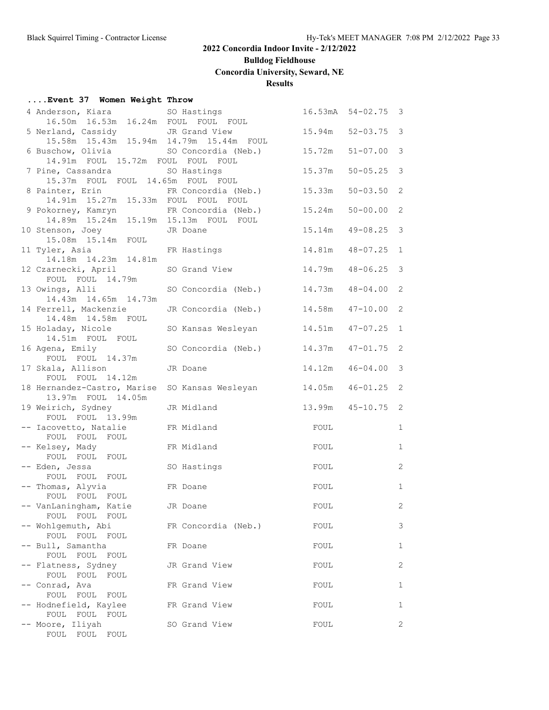# **Bulldog Fieldhouse**

**Concordia University, Seward, NE**

## **Results**

## **....Event 37 Women Weight Throw**

| 4 Anderson, Kiara 60 SO Hastings                                        |                                                   |        | $16.53mA$ $54-02.75$ 3 |                         |
|-------------------------------------------------------------------------|---------------------------------------------------|--------|------------------------|-------------------------|
| 16.50m  16.53m  16.24m  FOUL  FOUL  FOUL                                |                                                   |        |                        |                         |
| 5 Nerland, Cassidy                                                      | JR Grand View                                     |        | 15.94m 52-03.75 3      |                         |
| 15.58m  15.43m  15.94m  14.79m  15.44m  FOUL                            |                                                   |        |                        |                         |
|                                                                         | 6 Buschow, Olivia             SO Concordia (Neb.) | 15.72m | $51 - 07.00$           | $\overline{\mathbf{3}}$ |
| 14.91m FOUL 15.72m FOUL FOUL FOUL                                       |                                                   |        |                        |                         |
| 7 Pine, Cassandra SO Hastings                                           |                                                   | 15.37m | $50 - 05.25$ 3         |                         |
| 15.37m FOUL FOUL 14.65m FOUL FOUL                                       |                                                   |        |                        |                         |
| 8 Painter, Erin                                                         | FR Concordia (Neb.)                               | 15.33m | $50 - 03.50$ 2         |                         |
| 14.91m  15.27m  15.33m  FOUL  FOUL  FOUL                                |                                                   |        |                        |                         |
| 9 Pokorney, Kamryn                                                      | FR Concordia (Neb.)                               | 15.24m | $50 - 00.00$ 2         |                         |
| 14.89m  15.24m  15.19m  15.13m  FOUL  FOUL<br>10 Stenson, Joey JR Doane |                                                   | 15.14m | $49 - 08.25$ 3         |                         |
| 15.08m  15.14m  FOUL                                                    |                                                   |        |                        |                         |
| 11 Tyler, Asia FR Hastings                                              |                                                   |        | 14.81m  48-07.25       | 1                       |
| 14.18m  14.23m  14.81m                                                  |                                                   |        |                        |                         |
| 12 Czarnecki, April                                                     | SO Grand View                                     |        | 14.79m  48-06.25  3    |                         |
| FOUL FOUL 14.79m                                                        |                                                   |        |                        |                         |
| 13 Owings, Alli                                                         | SO Concordia (Neb.)                               | 14.73m | $48 - 04.00$ 2         |                         |
| 14.43m  14.65m  14.73m                                                  |                                                   |        |                        |                         |
| 14 Ferrell, Mackenzie                                                   | JR Concordia (Neb.)                               | 14.58m | $47 - 10.00$ 2         |                         |
| 14.48m  14.58m  FOUL                                                    |                                                   |        |                        |                         |
| 15 Holaday, Nicole                                                      | SO Kansas Wesleyan                                | 14.51m | $47 - 07.25$ 1         |                         |
| 14.51m FOUL FOUL                                                        |                                                   |        |                        |                         |
| 16 Agena, Emily                                                         | SO Concordia (Neb.) 14.37m                        |        | $47 - 01.75$ 2         |                         |
| FOUL FOUL 14.37m                                                        |                                                   |        |                        |                         |
| 17 Skala, Allison                                                       | JR Doane                                          | 14.12m | $46 - 04.00$           | $\overline{\mathbf{3}}$ |
| FOUL FOUL 14.12m                                                        |                                                   |        |                        |                         |
| 18 Hernandez-Castro, Marise<br>13.97m FOUL 14.05m                       | SO Kansas Wesleyan                                |        | 14.05m  46-01.25  2    |                         |
| 19 Weirich, Sydney                                                      | JR Midland                                        |        | 13.99m  45-10.75  2    |                         |
| FOUL FOUL 13.99m                                                        |                                                   |        |                        |                         |
| -- Iacovetto, Natalie                                                   | FR Midland                                        | FOUL   |                        | $\mathbf{1}$            |
| FOUL FOUL FOUL                                                          |                                                   |        |                        |                         |
| -- Kelsey, Mady                                                         | FR Midland                                        | FOUL   |                        | $\mathbf{1}$            |
| FOUL FOUL FOUL                                                          |                                                   |        |                        |                         |
| -- Eden, Jessa                                                          | SO Hastings                                       | FOUL   |                        | 2                       |
| FOUL FOUL FOUL                                                          |                                                   |        |                        |                         |
| -- Thomas, Alyvia                                                       | FR Doane                                          | FOUL   |                        | $\mathbf{1}$            |
| FOUL FOUL FOUL                                                          |                                                   |        |                        |                         |
| -- VanLaningham, Katie                                                  | JR Doane                                          | FOUL   |                        | 2                       |
| FOUL FOUL FOUL                                                          |                                                   |        |                        |                         |
| -- Wohlgemuth, Abi<br>FOUL FOUL FOUL                                    | FR Concordia (Neb.)                               | FOUL   |                        | 3                       |
| -- Bull, Samantha                                                       | FR Doane                                          | FOUL   |                        | 1                       |
| FOUL FOUL<br>FOUL                                                       |                                                   |        |                        |                         |
| -- Flatness, Sydney                                                     | JR Grand View                                     | FOUL   |                        | 2                       |
| FOUL FOUL FOUL                                                          |                                                   |        |                        |                         |
| -- Conrad, Ava                                                          | FR Grand View                                     | FOUL   |                        | $\mathbf{1}$            |
| FOUL FOUL FOUL                                                          |                                                   |        |                        |                         |
| -- Hodnefield, Kaylee                                                   | FR Grand View                                     | FOUL   |                        | 1                       |
| FOUL FOUL FOUL                                                          |                                                   |        |                        |                         |
| -- Moore, Iliyah                                                        | SO Grand View                                     | FOUL   |                        | 2                       |
| FOUL FOUL FOUL                                                          |                                                   |        |                        |                         |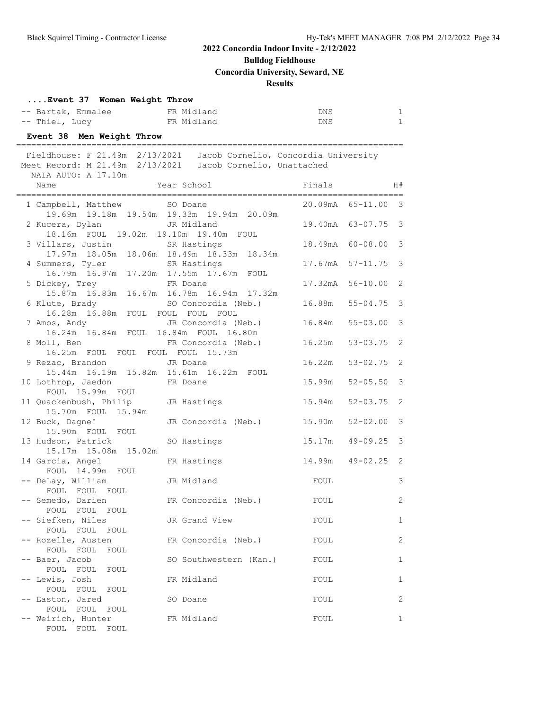**Bulldog Fieldhouse**

**Concordia University, Seward, NE**

## **Results**

| Event 37 Women Weight Throw |            |     |  |
|-----------------------------|------------|-----|--|
| -- Bartak, Emmalee          | FR Midland | DNS |  |
| -- Thiel, Lucy              | FR Midland | DNS |  |

## **Event 38 Men Weight Throw**

| Fieldhouse: F 21.49m 2/13/2021 Jacob Cornelio, Concordia University<br>Meet Record: M 21.49m 2/13/2021 Jacob Cornelio, Unattached |                            |                  |                                |  |
|-----------------------------------------------------------------------------------------------------------------------------------|----------------------------|------------------|--------------------------------|--|
| NAIA AUTO: A 17.10m<br>Name                                                                                                       | Year School                | Finals           | H#                             |  |
| 1 Campbell, Matthew SO Doane<br>19.69m  19.18m  19.54m  19.33m  19.94m  20.09m                                                    |                            |                  | 20.09mA 65-11.00 3             |  |
| 2 Kucera, Dylan<br>JR Midland<br>18.16m FOUL 19.02m 19.10m 19.40m FOUL                                                            |                            |                  | 19.40mA 63-07.75 3             |  |
| 3 Villars, Justin SR Hastings<br>17.97m 18.05m 18.06m 18.49m 18.33m 18.34m                                                        |                            | 18.49mA 60-08.00 | $\mathcal{S}$                  |  |
| 4 Summers, Tyler<br>16.79m 16.97m 17.20m 17.55m 17.67m FOUL                                                                       | SR Hastings                | 17.67mA          | $\mathcal{S}$<br>$57 - 11.75$  |  |
| 5 Dickey, Trey FR Doane<br>15.87m 16.83m 16.67m 16.78m 16.94m 17.32m                                                              |                            | 17.32mA          | $56 - 10.00$<br>2              |  |
| 6 Klute, Brady SO Concordia (N<br>16.28m 16.88m FOUL FOUL FOUL FOUL                                                               | SO Concordia (Neb.)        | 16.88m           | $\mathcal{S}$<br>$55 - 04.75$  |  |
| 7 Amos, Andy<br>16.24m 16.84m FOUL 16.84m FOUL 16.80m                                                                             | JR Concordia (Neb.)        | 16.84m           | $\mathcal{S}$<br>$55 - 03.00$  |  |
| 8 Moll, Ben<br>16.25m FOUL FOUL FOUL FOUL 15.73m                                                                                  | FR Concordia (Neb.)        | 16.25m           | $53 - 03.75$<br>$\overline{2}$ |  |
| 9 Rezac, Brandon<br>15.44m  16.19m  15.82m  15.61m  16.22m  FOUL                                                                  | JR Doane                   | 16.22m           | $53 - 02.75$<br>2              |  |
| 10 Lothrop, Jaedon<br>FOUL 15.99m FOUL                                                                                            | FR Doane                   | 15.99m           | $\mathcal{S}$<br>$52 - 05.50$  |  |
| 11 Quackenbush, Philip JR Hastings<br>15.70m FOUL 15.94m                                                                          |                            | 15.94m           | 2<br>$52 - 03.75$              |  |
| 12 Buck, Dagne'<br>15.90m FOUL FOUL                                                                                               | JR Concordia (Neb.) 15.90m |                  | $\mathcal{S}$<br>$52 - 02.00$  |  |
| 13 Hudson, Patrick<br>15.17m  15.08m  15.02m                                                                                      | SO Hastings                | 15.17m           | $\mathcal{S}$<br>$49 - 09.25$  |  |
| 14 Garcia, Angel<br>FOUL 14.99m FOUL                                                                                              | FR Hastings                |                  | 14.99m 49-02.25 2              |  |
| -- DeLay, William<br>FOUL FOUL FOUL                                                                                               | JR Midland                 | FOUL             | $\mathcal{S}$                  |  |
| -- Semedo, Darien<br>FOUL FOUL FOUL                                                                                               | FR Concordia (Neb.)        | FOUL             | 2                              |  |
| -- Siefken, Niles<br>FOUL FOUL FOUL                                                                                               | JR Grand View              | FOUL             | $\mathbf{1}$                   |  |
| -- Rozelle, Austen<br>FOUL FOUL<br>FOUL                                                                                           | FR Concordia (Neb.)        | FOUL             | $\mathbf{2}$                   |  |
| -- Baer, Jacob<br>FOUL FOUL<br>FOUL                                                                                               | SO Southwestern (Kan.)     | FOUL             | 1                              |  |
| -- Lewis, Josh<br>FOUL FOUL<br>FOUL                                                                                               | FR Midland                 | FOUL             | 1                              |  |
| -- Easton, Jared<br>FOUL FOUL<br>FOUL                                                                                             | SO Doane                   | FOUL             | 2                              |  |
| -- Weirich, Hunter<br>FOUL FOUL<br>FOUL                                                                                           | FR Midland                 | FOUL             | 1                              |  |